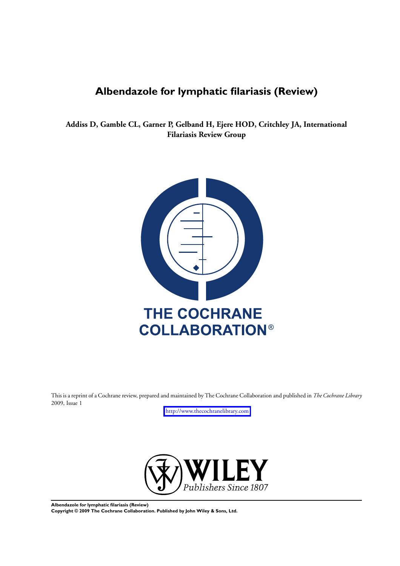# **Albendazole for lymphatic filariasis (Review)**

**Addiss D, Gamble CL, Garner P, Gelband H, Ejere HOD, Critchley JA, International Filariasis Review Group**



This is a reprint of a Cochrane review, prepared and maintained by The Cochrane Collaboration and published in *The Cochrane Library* 2009, Issue 1

<http://www.thecochranelibrary.com>



**Albendazole for lymphatic filariasis (Review)**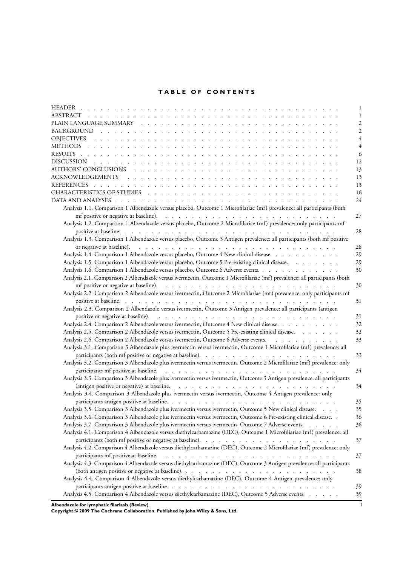## **TABLE OF CONTENTS**

| HEADER                                                                                                                                                                                                                                                                  | 1              |
|-------------------------------------------------------------------------------------------------------------------------------------------------------------------------------------------------------------------------------------------------------------------------|----------------|
|                                                                                                                                                                                                                                                                         | 1              |
|                                                                                                                                                                                                                                                                         | $\overline{2}$ |
|                                                                                                                                                                                                                                                                         | $\overline{2}$ |
|                                                                                                                                                                                                                                                                         | 4              |
|                                                                                                                                                                                                                                                                         | 4              |
|                                                                                                                                                                                                                                                                         | 6              |
|                                                                                                                                                                                                                                                                         | 12             |
|                                                                                                                                                                                                                                                                         | 13             |
|                                                                                                                                                                                                                                                                         | 13             |
|                                                                                                                                                                                                                                                                         | 13             |
|                                                                                                                                                                                                                                                                         | 16             |
|                                                                                                                                                                                                                                                                         | 24             |
| Analysis 1.1. Comparison 1 Albendazole versus placebo, Outcome 1 Microfilariae (mf) prevalence: all participants (both                                                                                                                                                  |                |
|                                                                                                                                                                                                                                                                         | 27             |
| Analysis 1.2. Comparison 1 Albendazole versus placebo, Outcome 2 Microfilariae (mf) prevalence: only participants mf                                                                                                                                                    |                |
|                                                                                                                                                                                                                                                                         | 28             |
| Analysis 1.3. Comparison 1 Albendazole versus placebo, Outcome 3 Antigen prevalence: all participants (both mf positive                                                                                                                                                 |                |
|                                                                                                                                                                                                                                                                         | 28             |
| Analysis 1.4. Comparison 1 Albendazole versus placebo, Outcome 4 New clinical disease.                                                                                                                                                                                  | 29             |
|                                                                                                                                                                                                                                                                         |                |
| Analysis 1.5. Comparison 1 Albendazole versus placebo, Outcome 5 Pre-existing clinical disease.                                                                                                                                                                         | 29             |
| Analysis 1.6. Comparison 1 Albendazole versus placebo, Outcome 6 Adverse events.                                                                                                                                                                                        | 30             |
| Analysis 2.1. Comparison 2 Albendazole versus ivermectin, Outcome 1 Microfilariae (mf) prevalence: all participants (both                                                                                                                                               |                |
|                                                                                                                                                                                                                                                                         | 30             |
| Analysis 2.2. Comparison 2 Albendazole versus ivermectin, Outcome 2 Microfilariae (mf) prevalence: only participants mf                                                                                                                                                 |                |
|                                                                                                                                                                                                                                                                         | 31             |
| Analysis 2.3. Comparison 2 Albendazole versus ivermectin, Outcome 3 Antigen prevalence: all participants (antigen                                                                                                                                                       | 31             |
| Analysis 2.4. Comparison 2 Albendazole versus ivermectin, Outcome 4 New clinical disease.                                                                                                                                                                               | 32             |
| Analysis 2.5. Comparison 2 Albendazole versus ivermectin, Outcome 5 Pre-existing clinical disease.                                                                                                                                                                      | 32             |
| Analysis 2.6. Comparison 2 Albendazole versus ivermectin, Outcome 6 Adverse events.                                                                                                                                                                                     | 33             |
| Analysis 3.1. Comparison 3 Albendazole plus ivermectin versus ivermectin, Outcome 1 Microfilariae (mf) prevalence: all                                                                                                                                                  |                |
|                                                                                                                                                                                                                                                                         | 33             |
| Analysis 3.2. Comparison 3 Albendazole plus ivermectin versus ivermectin, Outcome 2 Microfilariae (mf) prevalence: only                                                                                                                                                 |                |
|                                                                                                                                                                                                                                                                         | 34             |
| Analysis 3.3. Comparison 3 Albendazole plus ivermectin versus ivermectin, Outcome 3 Antigen prevalence: all participants                                                                                                                                                |                |
|                                                                                                                                                                                                                                                                         | 34             |
| Analysis 3.4. Comparison 3 Albendazole plus ivermectin versus ivermectin, Outcome 4 Antigen prevalence: only                                                                                                                                                            |                |
|                                                                                                                                                                                                                                                                         | 35             |
|                                                                                                                                                                                                                                                                         |                |
| Analysis 3.5. Comparison 3 Albendazole plus ivermectin versus ivermectin, Outcome 5 New clinical disease.                                                                                                                                                               | 35             |
| Analysis 3.6. Comparison 3 Albendazole plus ivermectin versus ivermectin, Outcome 6 Pre-existing clinical disease. .<br>Analysis 3.7. Comparison 3 Albendazole plus ivermectin versus ivermectin, Outcome 7 Adverse events.                                             | 36             |
|                                                                                                                                                                                                                                                                         | 36             |
| Analysis 4.1. Comparison 4 Albendazole versus diethylcarbamazine (DEC), Outcome 1 Microfiliariae (mf) prevalence: all                                                                                                                                                   |                |
|                                                                                                                                                                                                                                                                         | 37             |
| Analysis 4.2. Comparison 4 Albendazole versus diethylcarbamazine (DEC), Outcome 2 Microfilariae (mf) prevalence: only                                                                                                                                                   |                |
| participants mf positive at baseline.<br>and the contract of the contract of the contract of the contract of the contract of the contract of the contract of the contract of the contract of the contract of the contract of the contract of the contract of the contra | 37             |
| Analysis 4.3. Comparison 4 Albendazole versus diethylcarbamazine (DEC), Outcome 3 Antigen prevalence: all participants                                                                                                                                                  |                |
|                                                                                                                                                                                                                                                                         | 38             |
| Analysis 4.4. Comparison 4 Albendazole versus diethylcarbamazine (DEC), Outcome 4 Antigen prevalence: only                                                                                                                                                              |                |
|                                                                                                                                                                                                                                                                         | 39             |
| Analysis 4.5. Comparison 4 Albendazole versus diethylcarbamazine (DEC), Outcome 5 Adverse events.                                                                                                                                                                       | 39             |
|                                                                                                                                                                                                                                                                         |                |

**Albendazole for lymphatic filariasis (Review) i**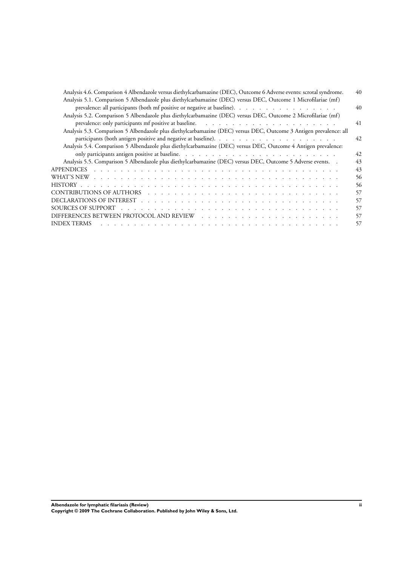| Analysis 4.6. Comparison 4 Albendazole versus diethylcarbamazine (DEC), Outcome 6 Adverse events: scrotal syndrome.                                                                                                                          | 40 |
|----------------------------------------------------------------------------------------------------------------------------------------------------------------------------------------------------------------------------------------------|----|
| Analysis 5.1. Comparison 5 Albendazole plus diethylcarbamazine (DEC) versus DEC, Outcome 1 Microfilariae (mf)                                                                                                                                |    |
| prevalence: all participants (both mf positive or negative at baseline).                                                                                                                                                                     | 40 |
| Analysis 5.2. Comparison 5 Albendazole plus diethylcarbamazine (DEC) versus DEC, Outcome 2 Microfilariae (mf)                                                                                                                                |    |
|                                                                                                                                                                                                                                              | 41 |
| Analysis 5.3. Comparison 5 Albendazole plus diethylcarbamazine (DEC) versus DEC, Outcome 3 Antigen prevalence: all                                                                                                                           |    |
|                                                                                                                                                                                                                                              | 42 |
| Analysis 5.4. Comparison 5 Albendazole plus diethylcarbamazine (DEC) versus DEC, Outcome 4 Antigen prevalence:                                                                                                                               |    |
|                                                                                                                                                                                                                                              | 42 |
| Analysis 5.5. Comparison 5 Albendazole plus diethylcarbamazine (DEC) versus DEC, Outcome 5 Adverse events. .                                                                                                                                 | 43 |
|                                                                                                                                                                                                                                              | 43 |
|                                                                                                                                                                                                                                              | 56 |
|                                                                                                                                                                                                                                              | 56 |
|                                                                                                                                                                                                                                              | 57 |
|                                                                                                                                                                                                                                              | 57 |
| SOURCES OF SUPPORT in the state of the state of the state of the state of the state of the state of the state of the state of the state of the state of the state of the state of the state of the state of the state of the s               | 57 |
|                                                                                                                                                                                                                                              | 57 |
| INDEX TERMS<br>a constitution of the constitution of the constitution of the constitution of the constitution of the constitution of the constitution of the constitution of the constitution of the constitution of the constitution of the | 57 |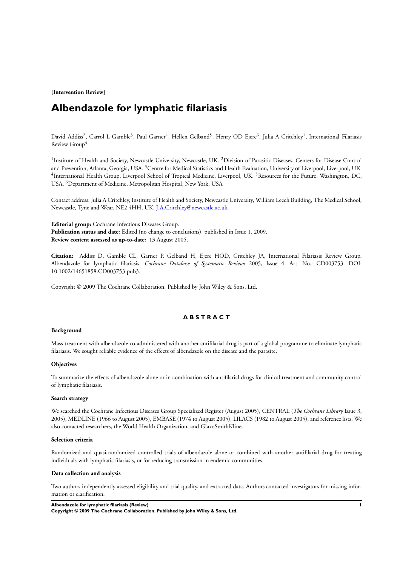**[Intervention Review]**

# **Albendazole for lymphatic filariasis**

David Addiss<sup>2</sup>, Carrol L Gamble<sup>3</sup>, Paul Garner<sup>4</sup>, Hellen Gelband<sup>5</sup>, Henry OD Ejere<sup>6</sup>, Julia A Critchley<sup>1</sup>, International Filariasis Review Group<sup>4</sup>

<sup>1</sup> Institute of Health and Society, Newcastle University, Newcastle, UK. <sup>2</sup> Division of Parasitic Diseases, Centers for Disease Control and Prevention, Atlanta, Georgia, USA. <sup>3</sup>Centre for Medical Statistics and Health Evaluation, University of Liverpool, Liverpool, UK. 4 International Health Group, Liverpool School of Tropical Medicine, Liverpool, UK. <sup>5</sup>Resources for the Future, Washington, DC, USA. <sup>6</sup>Department of Medicine, Metropolitan Hospital, New York, USA

Contact address: Julia A Critchley, Institute of Health and Society, Newcastle University, William Leech Building, The Medical School, Newcastle, Tyne and Wear, NE2 4HH, UK. [J.A.Critchley@newcastle.ac.uk](mailto:J.A.Critchley@newcastle.ac.uk).

**Editorial group:** Cochrane Infectious Diseases Group. **Publication status and date:** Edited (no change to conclusions), published in Issue 1, 2009. **Review content assessed as up-to-date:** 13 August 2005.

**Citation:** Addiss D, Gamble CL, Garner P, Gelband H, Ejere HOD, Critchley JA, International Filariasis Review Group. Albendazole for lymphatic filariasis. *Cochrane Database of Systematic Reviews* 2005, Issue 4. Art. No.: CD003753. DOI: 10.1002/14651858.CD003753.pub3.

Copyright © 2009 The Cochrane Collaboration. Published by John Wiley & Sons, Ltd.

## **A B S T R A C T**

#### **Background**

Mass treatment with albendazole co-administered with another antifilarial drug is part of a global programme to eliminate lymphatic filariasis. We sought reliable evidence of the effects of albendazole on the disease and the parasite.

## **Objectives**

To summarize the effects of albendazole alone or in combination with antifilarial drugs for clinical treatment and community control of lymphatic filariasis.

### **Search strategy**

We searched the Cochrane Infectious Diseases Group Specialized Register (August 2005), CENTRAL (*The Cochrane Library* Issue 3, 2005), MEDLINE (1966 to August 2005), EMBASE (1974 to August 2005), LILACS (1982 to August 2005), and reference lists. We also contacted researchers, the World Health Organization, and GlaxoSmithKline.

## **Selection criteria**

Randomized and quasi-randomized controlled trials of albendazole alone or combined with another antifilarial drug for treating individuals with lymphatic filariasis, or for reducing transmission in endemic communities.

### **Data collection and analysis**

Two authors independently assessed eligibility and trial quality, and extracted data. Authors contacted investigators for missing information or clarification.

**Albendazole for lymphatic filariasis (Review) 1**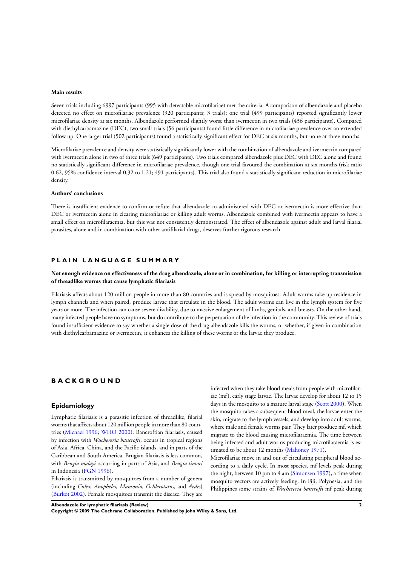### <span id="page-4-0"></span>**Main results**

Seven trials including 6997 participants (995 with detectable microfilariae) met the criteria. A comparison of albendazole and placebo detected no effect on microfilariae prevalence (920 participants; 3 trials); one trial (499 participants) reported significantly lower microfilariae density at six months. Albendazole performed slightly worse than ivermectin in two trials (436 participants). Compared with diethylcarbamazine (DEC), two small trials (56 participants) found little difference in microfilariae prevalence over an extended follow up. One larger trial (502 participants) found a statistically significant effect for DEC at six months, but none at three months.

Microfilariae prevalence and density were statistically significantly lower with the combination of albendazole and ivermectin compared with ivermectin alone in two of three trials (649 participants). Two trials compared albendazole plus DEC with DEC alone and found no statistically significant difference in microfilariae prevalence, though one trial favoured the combination at six months (risk ratio 0.62, 95% confidence interval 0.32 to 1.21; 491 participants). This trial also found a statistically significant reduction in microfilariae density.

### **Authors' conclusions**

There is insufficient evidence to confirm or refute that albendazole co-administered with DEC or ivermectin is more effective than DEC or ivermectin alone in clearing microfilariae or killing adult worms. Albendazole combined with ivermectin appears to have a small effect on microfilaraemia, but this was not consistently demonstrated. The effect of albendazole against adult and larval filarial parasites, alone and in combination with other antifilarial drugs, deserves further rigorous research.

### **P L A I N L A N G U A G E S U M M A R Y**

### **Not enough evidence on effectiveness of the drug albendazole, alone or in combination, for killing or interrupting transmission of threadlike worms that cause lymphatic filariasis**

Filariasis affects about 120 million people in more than 80 countries and is spread by mosquitoes. Adult worms take up residence in lymph channels and when paired, produce larvae that circulate in the blood. The adult worms can live in the lymph system for five years or more. The infection can cause severe disability, due to massive enlargement of limbs, genitals, and breasts. On the other hand, many infected people have no symptoms, but do contribute to the perpetuation of the infection in the community. This review of trials found insufficient evidence to say whether a single dose of the drug albendazole kills the worms, or whether, if given in combination with diethylcarbamazine or ivermectin, it enhances the killing of these worms or the larvae they produce.

## **B A C K G R O U N D**

#### **Epidemiology**

Lymphatic filariasis is a parasitic infection of threadlike, filarial worms that affects about 120 million people in more than 80 countries [\(Michael 1996](#page-15-0); [WHO 2000](#page-15-0)). Bancroftian filariasis, caused by infection with *Wuchereria bancrofti*, occurs in tropical regions of Asia, Africa, China, and the Pacific islands, and in parts of the Caribbean and South America. Brugian filariasis is less common, with *Brugia malayi* occurring in parts of Asia, and *Brugia timori* in Indonesia [\(FGN 1996](#page-15-0)).

Filariasis is transmitted by mosquitoes from a number of genera (including *Culex, Anopheles, Mansonia, Ochlerotatus,* and *Aedes*) [\(Burkot 2002](#page-15-0)). Female mosquitoes transmit the disease. They are infected when they take blood meals from people with microfilariae (mf), early stage larvae. The larvae develop for about 12 to 15 days in the mosquito to a mature larval stage [\(Scott 2000](#page-15-0)). When the mosquito takes a subsequent blood meal, the larvae enter the skin, migrate to the lymph vessels, and develop into adult worms, where male and female worms pair. They later produce mf, which migrate to the blood causing microfilaraemia. The time between being infected and adult worms producing microfilaraemia is estimated to be about 12 months ([Mahoney 1971](#page-15-0)).

Microfilariae move in and out of circulating peripheral blood according to a daily cycle. In most species, mf levels peak during the night, between 10 pm to 4 am [\(Simonsen 1997](#page-15-0)), a time when mosquito vectors are actively feeding. In Fiji, Polynesia, and the Philippines some strains of *Wuchereria bancrofti* mf peak during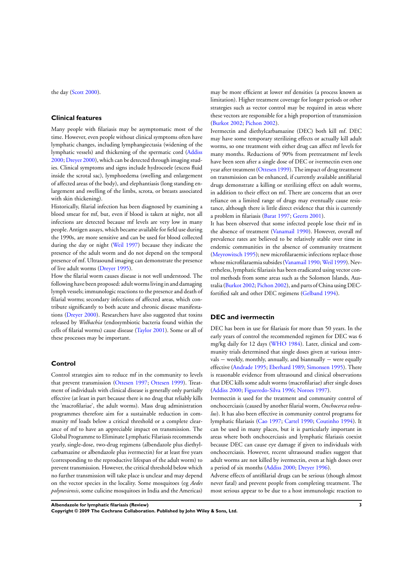the day ([Scott 2000\)](#page-15-0).

### **Clinical features**

Many people with filariasis may be asymptomatic most of the time. However, even people without clinical symptoms often have lymphatic changes, including lymphangiectasia (widening of the lymphatic vessels) and thickening of the spermatic cord [\(Addiss](#page-15-0) [2000](#page-15-0); [Dreyer 2000](#page-15-0)), which can be detected through imaging studies. Clinical symptoms and signs include hydrocoele (excess fluid inside the scrotal sac), lymphoedema (swelling and enlargement of affected areas of the body), and elephantiasis (long standing enlargement and swelling of the limbs, scrota, or breasts associated with skin thickening).

Historically, filarial infection has been diagnosed by examining a blood smear for mf, but, even if blood is taken at night, not all infections are detected because mf levels are very low in many people. Antigen assays, which became available for field use during the 1990s, are more sensitive and can be used for blood collected during the day or night ([Weil 1997](#page-15-0)) because they indicate the presence of the adult worm and do not depend on the temporal presence of mf. Ultrasound imaging can demonstrate the presence of live adult worms [\(Dreyer 1995](#page-15-0)).

How the filarial worm causes disease is not well understood. The following have been proposed: adult worms living in and damaging lymph vessels; immunologic reactions to the presence and death of filarial worms; secondary infections of affected areas, which contribute significantly to both acute and chronic disease manifestations ([Dreyer 2000](#page-15-0)). Researchers have also suggested that toxins released by *Wolbachia* (endosymbiotic bacteria found within the cells of filarial worms) cause disease [\(Taylor 2001\)](#page-15-0). Some or all of these processes may be important.

## **Control**

Control strategies aim to reduce mf in the community to levels that prevent transmission ([Ottesen 1997](#page-15-0); [Ottesen 1999\)](#page-15-0). Treatment of individuals with clinical disease is generally only partially effective (at least in part because there is no drug that reliably kills the 'macrofilariae', the adult worms). Mass drug administration programmes therefore aim for a sustainable reduction in community mf loads below a critical threshold or a complete clearance of mf to have an appreciable impact on transmission. The Global Programme to Eliminate Lymphatic Filariasis recommends yearly, single-dose, two-drug regimens (albendazole plus diethylcarbamazine or albendazole plus ivermectin) for at least five years (corresponding to the reproductive lifespan of the adult worm) to prevent transmission. However, the critical threshold below which no further transmission will take place is unclear and may depend on the vector species in the locality. Some mosquitoes (eg *Aedes polynesiensis*, some culicine mosquitoes in India and the Americas)

may be more efficient at lower mf densities (a process known as limitation). Higher treatment coverage for longer periods or other strategies such as vector control may be required in areas where these vectors are responsible for a high proportion of transmission [\(Burkot 2002;](#page-15-0) [Pichon 2002\)](#page-15-0).

Ivermectin and diethylcarbamazine (DEC) both kill mf. DEC may have some temporary sterilizing effects or actually kill adult worms, so one treatment with either drug can affect mf levels for many months. Reductions of 90% from pretreatment mf levels have been seen after a single dose of DEC or ivermectin even one year after treatment ([Ottesen 1999\)](#page-15-0). The impact of drug treatment on transmission can be enhanced, if currently available antifilarial drugs demonstrate a killing or sterilizing effect on adult worms, in addition to their effect on mf. There are concerns that an over reliance on a limited range of drugs may eventually cause resistance, although there is little direct evidence that this is currently a problem in filariasis ([Barat 1997](#page-15-0); [Geerts 2001](#page-15-0)).

It has been observed that some infected people lose their mf in the absence of treatment ([Vanamail 1990](#page-15-0)). However, overall mf prevalence rates are believed to be relatively stable over time in endemic communities in the absence of community treatment [\(Meyrowitsch 1995\)](#page-15-0); new microfilaraemic infections replace those whose microfilaraemia subsides (Vanamail 1990; Weil 1999). Nevertheless, lymphatic filariasis has been eradicated using vector control methods from some areas such as the Solomon Islands, Australia [\(Burkot 2002;](#page-15-0) [Pichon 2002](#page-15-0)), and parts of China using DECfortified salt and other DEC regimens [\(Gelband 1994](#page-15-0)).

## **DEC and ivermectin**

DEC has been in use for filariasis for more than 50 years. In the early years of control the recommended regimen for DEC was 6 mg/kg daily for 12 days [\(WHO 1984\)](#page-15-0). Later, clinical and community trials determined that single doses given at various intervals − weekly, monthly, annually, and biannually − were equally effective [\(Andrade 1995](#page-15-0); [Eberhard 1989](#page-15-0); [Simonsen 1995](#page-15-0)). There is reasonable evidence from ultrasound and clinical observations that DEC kills some adult worms (macrofilariae) after single doses [\(Addiss 2000](#page-15-0); [Figueredo-Silva 1996;](#page-15-0) [Noroes 1997](#page-15-0)).

Ivermectin is used for the treatment and community control of onchocerciasis (caused by another filarial worm, *Onchocerca volvulus*). It has also been effective in community control programs for lymphatic filariasis ([Cao 1997](#page-15-0); [Cartel 1990](#page-15-0); [Coutinho 1994\)](#page-15-0). It can be used in many places, but it is particularly important in areas where both onchocerciasis and lymphatic filariasis coexist because DEC can cause eye damage if given to individuals with onchocerciasis. However, recent ultrasound studies suggest that adult worms are not killed by ivermectin, even at high doses over a period of six months ([Addiss 2000;](#page-15-0) [Dreyer 1996\)](#page-15-0).

Adverse effects of antifilarial drugs can be serious (though almost never fatal) and prevent people from completing treatment. The most serious appear to be due to a host immunologic reaction to

**Albendazole for lymphatic filariasis (Review) 3**

**Copyright © 2009 The Cochrane Collaboration. Published by John Wiley & Sons, Ltd.**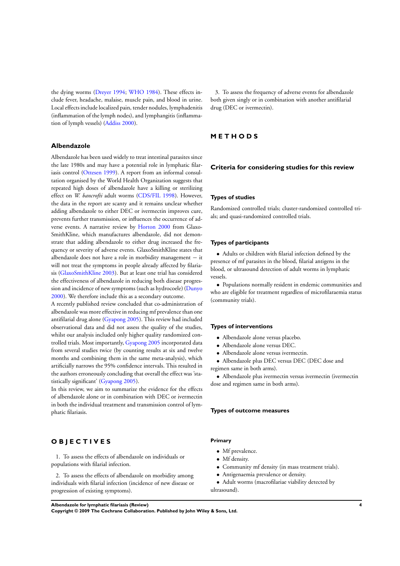the dying worms ([Dreyer 1994](#page-15-0); [WHO 1984](#page-15-0)). These effects include fever, headache, malaise, muscle pain, and blood in urine. Local effects include localized pain, tender nodules, lymphadenitis (inflammation of the lymph nodes), and lymphangitis (inflammation of lymph vessels) [\(Addiss 2000\)](#page-15-0).

## **Albendazole**

Albendazole has been used widely to treat intestinal parasites since the late 1980s and may have a potential role in lymphatic filar-iasis control ([Ottesen 1999\)](#page-15-0). A report from an informal consultation organised by the World Health Organization suggests that repeated high doses of albendazole have a killing or sterilizing effect on *W. bancrofti* adult worms [\(CDS/FIL 1998](#page-15-0)). However, the data in the report are scanty and it remains unclear whether adding albendazole to either DEC or ivermectin improves cure, prevents further transmission, or influences the occurrence of adverse events. A narrative review by [Horton 2000](#page-15-0) from Glaxo-SmithKline, which manufactures albendazole, did not demonstrate that adding albendazole to either drug increased the frequency or severity of adverse events. GlaxoSmithKline states that albendazole does not have a role in morbidity management − it will not treat the symptoms in people already affected by filariasis ([GlaxoSmithKline 2003\)](#page-15-0). But at least one trial has considered the effectiveness of albendazole in reducing both disease progression and incidence of new symptoms (such as hydrocoele) ([Dunyo](#page-15-0) [2000](#page-15-0)). We therefore include this as a secondary outcome.

A recently published review concluded that co-administration of albendazole was more effective in reducing mf prevalence than one antifilarial drug alone [\(Gyapong 2005](#page-15-0)). This review had included observational data and did not assess the quality of the studies, whilst our analysis included only higher quality randomized controlled trials. Most importantly, [Gyapong 2005](#page-15-0) incorporated data from several studies twice (by counting results at six and twelve months and combining them in the same meta-analysis), which artificially narrows the 95% confidence intervals. This resulted in the authors erroneously concluding that overall the effect was 'statistically significant' ([Gyapong 2005](#page-15-0)).

In this review, we aim to summarize the evidence for the effects of albendazole alone or in combination with DEC or ivermectin in both the individual treatment and transmission control of lymphatic filariasis.

## **O B J E C T I V E S**

1. To assess the effects of albendazole on individuals or populations with filarial infection.

2. To assess the effects of albendazole on morbidity among individuals with filarial infection (incidence of new disease or progression of existing symptoms).

3. To assess the frequency of adverse events for albendazole both given singly or in combination with another antifilarial drug (DEC or ivermectin).

## **M E T H O D S**

#### **Criteria for considering studies for this review**

#### **Types of studies**

Randomized controlled trials; cluster-randomized controlled trials; and quasi-randomized controlled trials.

#### **Types of participants**

• Adults or children with filarial infection defined by the presence of mf parasites in the blood, filarial antigens in the blood, or ultrasound detection of adult worms in lymphatic vessels.

• Populations normally resident in endemic communities and who are eligible for treatment regardless of microfilaraemia status (community trials).

#### **Types of interventions**

- Albendazole alone versus placebo.
- Albendazole alone versus DEC.
- Albendazole alone versus ivermectin.
- Albendazole plus DEC versus DEC (DEC dose and regimen same in both arms).

• Albendazole plus ivermectin versus ivermectin (ivermectin dose and regimen same in both arms).

#### **Types of outcome measures**

#### **Primary**

- Mf prevalence.
- Mf density.
- Community mf density (in mass treatment trials).
- Antigenaemia prevalence or density.
- Adult worms (macrofilariae viability detected by ultrasound).

**Albendazole for lymphatic filariasis (Review) 4**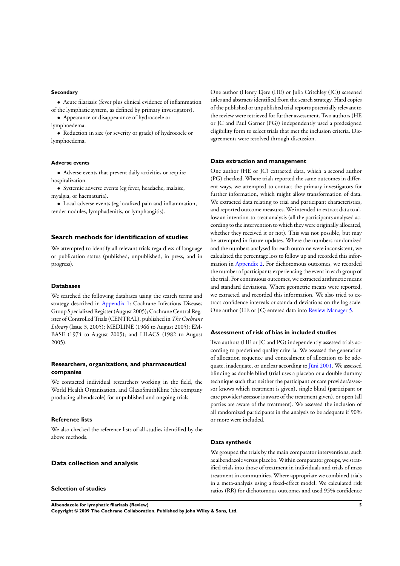### **Secondary**

• Acute filariasis (fever plus clinical evidence of inflammation of the lymphatic system, as defined by primary investigators).

• Appearance or disappearance of hydrocoele or lymphoedema.

• Reduction in size (or severity or grade) of hydrocoele or lymphoedema.

#### **Adverse events**

• Adverse events that prevent daily activities or require hospitalization.

• Systemic adverse events (eg fever, headache, malaise, myalgia, or haematuria).

• Local adverse events (eg localized pain and inflammation, tender nodules, lymphadenitis, or lymphangitis).

### **Search methods for identification of studies**

We attempted to identify all relevant trials regardless of language or publication status (published, unpublished, in press, and in progress).

#### **Databases**

We searched the following databases using the search terms and strategy described in [Appendix 1:](#page-45-0) Cochrane Infectious Diseases Group Specialized Register (August 2005); Cochrane Central Register of Controlled Trials (CENTRAL), published in *The Cochrane Library* (Issue 3, 2005); MEDLINE (1966 to August 2005); EM-BASE (1974 to August 2005); and LILACS (1982 to August 2005).

## **Researchers, organizations, and pharmaceutical companies**

We contacted individual researchers working in the field, the World Health Organization, and GlaxoSmithKline (the company producing albendazole) for unpublished and ongoing trials.

### **Reference lists**

We also checked the reference lists of all studies identified by the above methods.

### **Data collection and analysis**

## **Selection of studies**

**Albendazole for lymphatic filariasis (Review) 5**

**Copyright © 2009 The Cochrane Collaboration. Published by John Wiley & Sons, Ltd.**

One author (Henry Ejere (HE) or Julia Critchley (JC)) screened titles and abstracts identified from the search strategy. Hard copies of the published or unpublished trial reports potentially relevant to the review were retrieved for further assessment. Two authors (HE or JC and Paul Garner (PG)) independently used a predesigned eligibility form to select trials that met the inclusion criteria. Disagreements were resolved through discussion.

#### **Data extraction and management**

One author (HE or JC) extracted data, which a second author (PG) checked. Where trials reported the same outcomes in different ways, we attempted to contact the primary investigators for further information, which might allow transformation of data. We extracted data relating to trial and participant characteristics, and reported outcome measures. We intended to extract data to allow an intention-to-treat analysis (all the participants analysed according to the intervention to which they were originally allocated, whether they received it or not). This was not possible, but may be attempted in future updates. Where the numbers randomized and the numbers analysed for each outcome were inconsistent, we calculated the percentage loss to follow up and recorded this information in [Appendix 2.](#page-46-0) For dichotomous outcomes, we recorded the number of participants experiencing the event in each group of the trial. For continuous outcomes, we extracted arithmetic means and standard deviations. Where geometric means were reported, we extracted and recorded this information. We also tried to extract confidence intervals or standard deviations on the log scale. One author (HE or JC) entered data into [Review Manager 5.](#page-15-0)

#### **Assessment of risk of bias in included studies**

Two authors (HE or JC and PG) independently assessed trials according to predefined quality criteria. We assessed the generation of allocation sequence and concealment of allocation to be adequate, inadequate, or unclear according to [Jüni 2001.](#page-15-0) We assessed blinding as double blind (trial uses a placebo or a double dummy technique such that neither the participant or care provider/assessor knows which treatment is given), single blind (participant or care provider/assessor is aware of the treatment given), or open (all parties are aware of the treatment). We assessed the inclusion of all randomized participants in the analysis to be adequate if 90% or more were included.

#### **Data synthesis**

We grouped the trials by the main comparator interventions, such as albendazole versus placebo.Within comparator groups, we stratified trials into those of treatment in individuals and trials of mass treatment in communities. Where appropriate we combined trials in a meta-analysis using a fixed-effect model. We calculated risk ratios (RR) for dichotomous outcomes and used 95% confidence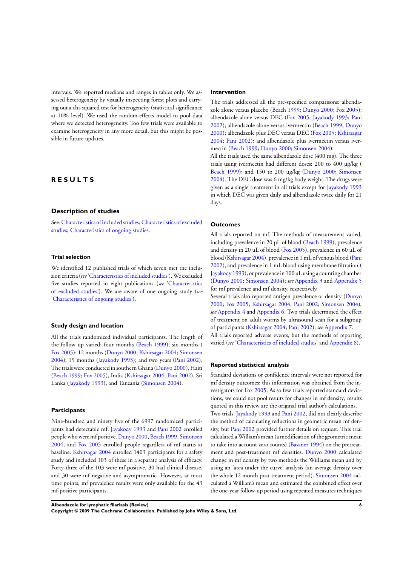intervals. We reported medians and ranges in tables only. We assessed heterogeneity by visually inspecting forest plots and carrying out a chi-squared test for heterogeneity (statistical significance at 10% level). We used the random-effects model to pool data where we detected heterogeneity. Too few trials were available to examine heterogeneity in any more detail, but this might be possible in future updates.

## **R E S U L T S**

#### **Description of studies**

See:[Characteristics of included studies;](#page-19-0)[Characteristics of excluded](#page-24-0) [studies;](#page-24-0) [Characteristics of ongoing studies](#page-25-0).

### **Trial selection**

We identified 12 published trials of which seven met the inclusion criteria (*see*['Characteristics of included studies](#page-19-0)'). We excluded five studies reported in eight publications (*see* ['Characteristics](#page-24-0) [of excluded studies'](#page-24-0)). We are aware of one ongoing study (*see* ['Characteristics of ongoing studies](#page-25-0)').

### **Study design and location**

All the trials randomized individual participants. The length of the follow up varied: four months [\(Beach 1999](#page-15-0)); six months ( [Fox 2005\)](#page-15-0); 12 months [\(Dunyo 2000;](#page-15-0) [Kshirsagar 2004](#page-15-0); [Simonsen](#page-15-0) [2004](#page-15-0)); 19 months ([Jayakody 1993](#page-15-0)); and two years [\(Pani 2002](#page-15-0)). The trials were conducted in southern Ghana [\(Dunyo 2000](#page-15-0)), Haiti [\(Beach 1999](#page-15-0); [Fox 2005](#page-15-0)), India [\(Kshirsagar 2004](#page-15-0); [Pani 2002](#page-15-0)), Sri Lanka ([Jayakody 1993](#page-15-0)), and Tanzania ([Simonsen 2004](#page-15-0)).

#### **Participants**

Nine-hundred and ninety five of the 6997 randomized participants had detectable mf. [Jayakody 1993](#page-15-0) and [Pani 2002](#page-15-0) enrolled people who were mf positive. [Dunyo 2000,](#page-15-0) [Beach 1999,](#page-15-0) [Simonsen](#page-15-0) [2004](#page-15-0), and [Fox 2005](#page-15-0) enrolled people regardless of mf status at baseline. [Kshirsagar 2004](#page-15-0) enrolled 1403 participants for a safety study and included 103 of these in a separate analysis of efficacy. Forty-three of the 103 were mf positive, 30 had clinical disease, and 30 were mf negative and asymptomatic. However, at most time points, mf prevalence results were only available for the 43 mf-positive participants.

#### **Intervention**

The trials addressed all the pre-specified comparisons: albendazole alone versus placebo ([Beach 1999;](#page-15-0) [Dunyo 2000](#page-15-0); [Fox 2005](#page-15-0)); albendazole alone versus DEC [\(Fox 2005](#page-15-0); [Jayakody 1993;](#page-15-0) [Pani](#page-15-0) [2002](#page-15-0)); albendazole alone versus ivermectin ([Beach 1999](#page-15-0); [Dunyo](#page-15-0) [2000](#page-15-0)); albendazole plus DEC versus DEC ([Fox 2005;](#page-15-0) [Kshirsagar](#page-15-0) [2004](#page-15-0); [Pani 2002](#page-15-0)); and albendazole plus ivermectin versus ivermectin [\(Beach 1999](#page-15-0); [Dunyo 2000;](#page-15-0) [Simonsen 2004](#page-15-0)).

All the trials used the same albendazole dose (400 mg). The three trials using ivermectin had different doses: 200 to 400 µg/kg ( [Beach 1999\)](#page-15-0); and 150 to 200 µg/kg [\(Dunyo 2000](#page-15-0); [Simonsen](#page-15-0) [2004](#page-15-0)). The DEC dose was 6 mg/kg body weight. The drugs were given as a single treatment in all trials except for [Jayakody 1993](#page-15-0) in which DEC was given daily and albendazole twice daily for 21 days.

### **Outcomes**

All trials reported on mf. The methods of measurement varied, including prevalence in 20 µL of blood ([Beach 1999\)](#page-15-0), prevalence and density in 20 µL of blood [\(Fox 2005\)](#page-15-0), prevalence in 60 µL of blood [\(Kshirsagar 2004](#page-15-0)), prevalence in 1 mL of venous blood ([Pani](#page-15-0) [2002](#page-15-0)), and prevalence in 1 mL blood using membrane filtration ( [Jayakody 1993\)](#page-15-0), or prevalence in 100 µL using a counting chamber [\(Dunyo 2000](#page-15-0); [Simonsen 2004](#page-15-0)); *see* [Appendix 3](#page-47-0) and [Appendix 5](#page-51-0) for mf prevalence and mf density, respectively.

Several trials also reported antigen prevalence or density ([Dunyo](#page-15-0) [2000](#page-15-0); [Fox 2005;](#page-15-0) [Kshirsagar 2004;](#page-15-0) [Pani 2002](#page-15-0); [Simonsen 2004](#page-15-0)); *see* [Appendix 4](#page-50-0) and [Appendix 6.](#page-53-0) Two trials determined the effect of treatment on adult worms by ultrasound scan for a subgroup of participants [\(Kshirsagar 2004;](#page-15-0) [Pani 2002\)](#page-15-0); *see* [Appendix 7](#page-55-0).

All trials reported adverse events, but the methods of reporting varied (*see* ['Characteristics of included studies'](#page-19-0) and [Appendix 8\)](#page-55-0).

#### **Reported statistical analysis**

Standard deviations or confidence intervals were not reported for mf density outcomes; this information was obtained from the investigators for [Fox 2005](#page-15-0). As so few trials reported standard deviations, we could not pool results for changes in mf density; results quoted in this review are the original trial author's calculations.

Two trials, [Jayakody 1993](#page-15-0) and [Pani 2002,](#page-15-0) did not clearly describe the method of calculating reductions in geometric mean mf density, but [Pani 2002](#page-15-0) provided further details on request. This trial calculated a William's mean (a modification of the geometric mean to take into account zero counts) ([Basanez 1994](#page-15-0)) on the pretreatment and post-treatment mf densities. [Dunyo 2000](#page-15-0) calculated change in mf density by two methods the Williams mean and by using an 'area under the curve' analysis (an average density over the whole 12 month post-treatment period). [Simonsen 2004](#page-15-0) calculated a William's mean and estimated the combined effect over the one-year follow-up period using repeated measures techniques

**Albendazole for lymphatic filariasis (Review) 6**

**Copyright © 2009 The Cochrane Collaboration. Published by John Wiley & Sons, Ltd.**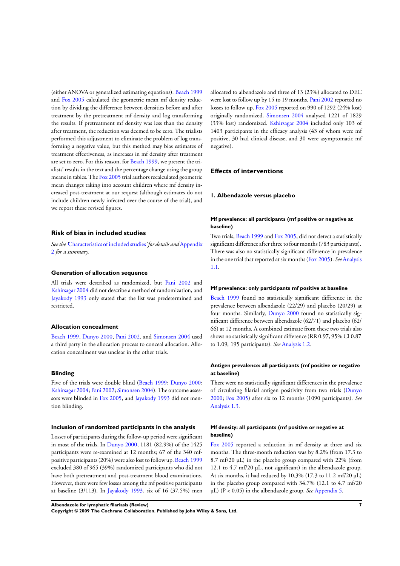(either ANOVA or generalized estimating equations). [Beach 1999](#page-15-0) and [Fox 2005](#page-15-0) calculated the geometric mean mf density reduction by dividing the difference between densities before and after treatment by the pretreatment mf density and log transforming the results. If pretreatment mf density was less than the density after treatment, the reduction was deemed to be zero. The trialists performed this adjustment to eliminate the problem of log transforming a negative value, but this method may bias estimates of treatment effectiveness, as increases in mf density after treatment are set to zero. For this reason, for [Beach 1999,](#page-15-0) we present the trialists' results in the text and the percentage change using the group means in tables. The [Fox 2005](#page-15-0) trial authors recalculated geometric mean changes taking into account children where mf density increased post-treatment at our request (although estimates do not include children newly infected over the course of the trial), and we report these revised figures.

## **Risk of bias in included studies**

*See the '*[Characteristics of included studies](#page-19-0)*' for details and* [Appendix](#page-46-0) [2](#page-46-0) *for a summary.*

#### **Generation of allocation sequence**

All trials were described as randomized, but [Pani 2002](#page-15-0) and [Kshirsagar 2004](#page-15-0) did not describe a method of randomization, and [Jayakody 1993](#page-15-0) only stated that the list was predetermined and restricted.

## **Allocation concealment**

[Beach 1999,](#page-15-0) [Dunyo 2000,](#page-15-0) [Pani 2002](#page-15-0), and [Simonsen 2004](#page-15-0) used a third party in the allocation process to conceal allocation. Allocation concealment was unclear in the other trials.

## **Blinding**

Five of the trials were double blind ([Beach 1999](#page-15-0); [Dunyo 2000;](#page-15-0) [Kshirsagar 2004;](#page-15-0) [Pani 2002;](#page-15-0) [Simonsen 2004](#page-15-0)). The outcome assessors were blinded in [Fox 2005](#page-15-0), and [Jayakody 1993](#page-15-0) did not mention blinding.

#### **Inclusion of randomized participants in the analysis**

Losses of participants during the follow-up period were significant in most of the trials. In [Dunyo 2000](#page-15-0), 1181 (82.9%) of the 1425 participants were re-examined at 12 months; 67 of the 340 mfpositive participants (20%) were also lost to follow up. [Beach 1999](#page-15-0) excluded 380 of 965 (39%) randomized participants who did not have both pretreatment and post-treatment blood examinations. However, there were few losses among the mf positive participants at baseline (3/113). In [Jayakody 1993,](#page-15-0) six of 16 (37.5%) men

**Copyright © 2009 The Cochrane Collaboration. Published by John Wiley & Sons, Ltd.**

allocated to albendazole and three of 13 (23%) allocated to DEC were lost to follow up by 15 to 19 months. [Pani 2002](#page-15-0) reported no losses to follow up. [Fox 2005](#page-15-0) reported on 990 of 1292 (24% lost) originally randomized. [Simonsen 2004](#page-15-0) analysed 1221 of 1829 (33% lost) randomized. [Kshirsagar 2004](#page-15-0) included only 103 of 1403 participants in the efficacy analysis (43 of whom were mf positive, 30 had clinical disease, and 30 were asymptomatic mf negative).

## **Effects of interventions**

### **1. Albendazole versus placebo**

## **Mf prevalence: all participants (mf positive or negative at baseline)**

Two trials, [Beach 1999](#page-15-0) and [Fox 2005,](#page-15-0) did not detect a statistically significant difference after three to four months (783 participants). There was also no statistically significant difference in prevalence in the one trial that reported at six months ([Fox 2005](#page-15-0)). *See* [Analysis](#page-29-0) [1.1](#page-29-0)*.*

### **Mf prevalence: only participants mf positive at baseline**

[Beach 1999](#page-15-0) found no statistically significant difference in the prevalence between albendazole (22/29) and placebo (20/29) at four months. Similarly, [Dunyo 2000](#page-15-0) found no statistically significant difference between albendazole (62/71) and placebo (62/ 66) at 12 months. A combined estimate from these two trials also shows no statistically significant difference (RR 0.97, 95% CI 0.87 to 1.09; 195 participants). *See* [Analysis 1.2](#page-30-0)*.*

## **Antigen prevalence: all participants (mf positive or negative at baseline)**

There were no statistically significant differences in the prevalence of circulating filarial antigen positivity from two trials ([Dunyo](#page-15-0) [2000](#page-15-0); [Fox 2005](#page-15-0)) after six to 12 months (1090 participants). *See* [Analysis 1.3](#page-30-0)*.*

## **Mf density: all participants (mf positive or negative at baseline)**

[Fox 2005](#page-15-0) reported a reduction in mf density at three and six months. The three-month reduction was by 8.2% (from 17.3 to 8.7 mf/20 µL) in the placebo group compared with 22% (from 12.1 to 4.7 mf/20 µL, not significant) in the albendazole group. At six months, it had reduced by 10.3% (17.3 to 11.2 mf/20 µL) in the placebo group compared with 34.7% (12.1 to 4.7 mf/20 µL) (P < 0.05) in the albendazole group. *See* [Appendix 5](#page-51-0)*.*

**Albendazole for lymphatic filariasis (Review) 7**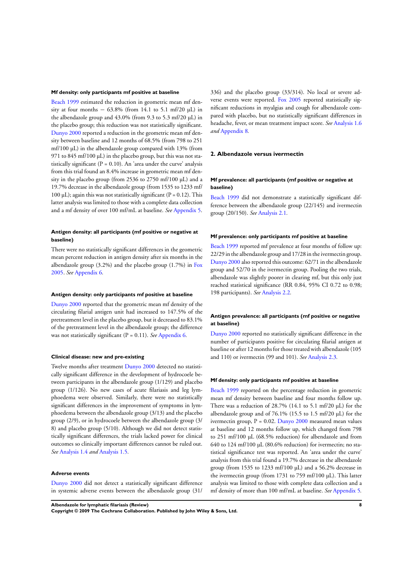### **Mf density: only participants mf positive at baseline**

[Beach 1999](#page-15-0) estimated the reduction in geometric mean mf density at four months  $-$  63.8% (from 14.1 to 5.1 mf/20 uL) in the albendazole group and 43.0% (from 9.3 to 5.3 mf/20 µL) in the placebo group; this reduction was not statistically significant. [Dunyo 2000](#page-15-0) reported a reduction in the geometric mean mf density between baseline and 12 months of 68.5% (from 798 to 251 mf/100 µL) in the albendazole group compared with 13% (from 971 to 845 mf/100 µL) in the placebo group, but this was not statistically significant ( $P = 0.10$ ). An 'area under the curve' analysis from this trial found an 8.4% increase in geometric mean mf density in the placebo group (from 2536 to 2750 mf/100 µL) and a 19.7% decrease in the albendazole group (from 1535 to 1233 mf/ 100 µL); again this was not statistically significant ( $P = 0.12$ ). This latter analysis was limited to those with a complete data collection and a mf density of over 100 mf/mL at baseline. *See* [Appendix 5.](#page-51-0)

### **Antigen density: all participants (mf positive or negative at baseline)**

There were no statistically significant differences in the geometric mean percent reduction in antigen density after six months in the albendazole group (3.2%) and the placebo group (1.7%) in [Fox](#page-15-0) [2005](#page-15-0). *See* [Appendix 6](#page-53-0)*.*

#### **Antigen density: only participants mf positive at baseline**

[Dunyo 2000](#page-15-0) reported that the geometric mean mf density of the circulating filarial antigen unit had increased to 147.5% of the pretreatment level in the placebo group, but it decreased to 83.1% of the pretreatment level in the albendazole group; the difference was not statistically significant (P = 0.11). *See* [Appendix 6](#page-53-0)*.*

### **Clinical disease: new and pre-existing**

Twelve months after treatment [Dunyo 2000](#page-15-0) detected no statistically significant difference in the development of hydrocoele between participants in the albendazole group (1/129) and placebo group (1/126). No new cases of acute filariasis and leg lymphoedema were observed. Similarly, there were no statistically significant differences in the improvement of symptoms in lymphoedema between the albendazole group (3/13) and the placebo group (2/9), or in hydrocoele between the albendazole group (3/ 8) and placebo group (5/10). Although we did not detect statistically significant differences, the trials lacked power for clinical outcomes so clinically important differences cannot be ruled out. *See* [Analysis 1.4](#page-31-0) *and* [Analysis 1.5](#page-31-0)*.*

### **Adverse events**

[Dunyo 2000](#page-15-0) did not detect a statistically significant difference in systemic adverse events between the albendazole group (31/ 336) and the placebo group (33/314). No local or severe adverse events were reported. [Fox 2005](#page-15-0) reported statistically significant reductions in myalgias and cough for albendazole compared with placebo, but no statistically significant differences in headache, fever, or mean treatment impact score. *See* [Analysis 1.6](#page-32-0) *and* [Appendix 8](#page-55-0)*.*

#### **2. Albendazole versus ivermectin**

## **Mf prevalence: all participants (mf positive or negative at baseline)**

[Beach 1999](#page-15-0) did not demonstrate a statistically significant difference between the albendazole group (22/145) and ivermectin group (20/150). *See* [Analysis 2.1](#page-32-0)*.*

#### **Mf prevalence: only participants mf positive at baseline**

[Beach 1999](#page-15-0) reported mf prevalence at four months of follow up: 22/29 in the albendazole group and 17/28 in the ivermectin group. [Dunyo 2000](#page-15-0) also reported this outcome: 62/71 in the albendazole group and 52/70 in the ivermectin group. Pooling the two trials, albendazole was slightly poorer in clearing mf, but this only just reached statistical significance (RR 0.84, 95% CI 0.72 to 0.98; 198 participants). *See* [Analysis 2.2](#page-33-0)*.*

### **Antigen prevalence: all participants (mf positive or negative at baseline)**

[Dunyo 2000](#page-15-0) reported no statistically significant difference in the number of participants positive for circulating filarial antigen at baseline or after 12 months for those treated with albendazole (105 and 110) or ivermectin (99 and 101). *See* [Analysis 2.3](#page-33-0)*.*

#### **Mf density: only participants mf positive at baseline**

[Beach 1999](#page-15-0) reported on the percentage reduction in geometric mean mf density between baseline and four months follow up. There was a reduction of 28.7% (14.1 to 5.1 mf/20 µL) for the albendazole group and of 76.1% (15.5 to 1.5 mf/20 µL) for the ivermectin group,  $P = 0.02$ . [Dunyo 2000](#page-15-0) measured mean values at baseline and 12 months follow up, which changed from 798 to 251 mf/100 µL (68.5% reduction) for albendazole and from 640 to 124 mf/100 µL (80.6% reduction) for ivermectin; no statistical significance test was reported. An 'area under the curve' analysis from this trial found a 19.7% decrease in the albendazole group (from 1535 to 1233 mf/100 µL) and a 56.2% decrease in the ivermectin group (from 1731 to 759 mf/100 µL). This latter analysis was limited to those with complete data collection and a mf density of more than 100 mf/mL at baseline. *See* [Appendix 5](#page-51-0)*.*

**Albendazole for lymphatic filariasis (Review) 8**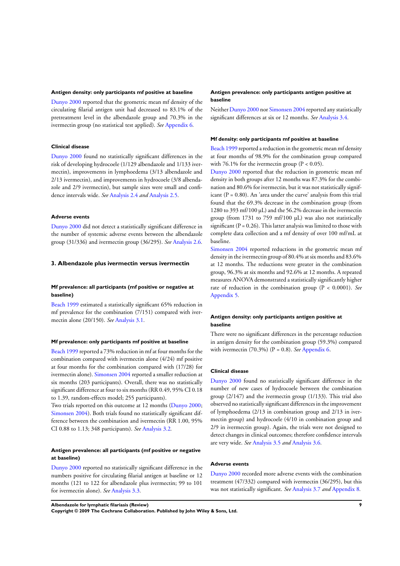### **Antigen density: only participants mf positive at baseline**

[Dunyo 2000](#page-15-0) reported that the geometric mean mf density of the circulating filarial antigen unit had decreased to 83.1% of the pretreatment level in the albendazole group and 70.3% in the ivermectin group (no statistical test applied). *See* [Appendix 6](#page-53-0)*.*

#### **Clinical disease**

[Dunyo 2000](#page-15-0) found no statistically significant differences in the risk of developing hydrocoele (1/129 albendazole and 1/133 ivermectin), improvements in lymphoedema (3/13 albendazole and 2/13 ivermectin), and improvements in hydrocoele (3/8 albendazole and 2/9 ivermectin), but sample sizes were small and confidence intervals wide. *See* [Analysis 2.4](#page-34-0) *and* [Analysis 2.5](#page-34-0)*.*

### **Adverse events**

[Dunyo 2000](#page-15-0) did not detect a statistically significant difference in the number of systemic adverse events between the albendazole group (31/336) and ivermectin group (36/295). *See* [Analysis 2.6](#page-35-0)*.*

#### **3. Albendazole plus ivermectin versus ivermectin**

## **Mf prevalence: all participants (mf positive or negative at baseline)**

[Beach 1999](#page-15-0) estimated a statistically significant 65% reduction in mf prevalence for the combination (7/151) compared with ivermectin alone (20/150). *See* [Analysis 3.1](#page-35-0)*.*

#### **Mf prevalence: only participants mf positive at baseline**

[Beach 1999](#page-15-0) reported a 73% reduction in mf at four months for the combination compared with ivermectin alone (4/24) mf positive at four months for the combination compared with (17/28) for ivermectin alone). [Simonsen 2004](#page-15-0) reported a smaller reduction at six months (203 participants). Overall, there was no statistically significant difference at four to six months (RR 0.49, 95% CI 0.18 to 1.39, random-effects model; 255 participants).

Two trials reported on this outcome at 12 months [\(Dunyo 2000;](#page-15-0) [Simonsen 2004](#page-15-0)). Both trials found no statistically significant difference between the combination and ivermectin (RR 1.00, 95% CI 0.88 to 1.13; 348 participants). *See* [Analysis 3.2](#page-36-0)*.*

### **Antigen prevalence: all participants (mf positive or negative at baseline)**

[Dunyo 2000](#page-15-0) reported no statistically significant difference in the numbers positive for circulating filarial antigen at baseline or 12 months (121 to 122 for albendazole plus ivermectin; 99 to 101 for ivermectin alone). *See* [Analysis 3.3](#page-36-0)*.*

### **Antigen prevalence: only participants antigen positive at baseline**

Neither[Dunyo 2000](#page-15-0) nor [Simonsen 2004](#page-15-0) reported any statistically significant differences at six or 12 months. *See* [Analysis 3.4](#page-36-0)*.*

#### **Mf density: only participants mf positive at baseline**

[Beach 1999](#page-15-0) reported a reduction in the geometric mean mf density at four months of 98.9% for the combination group compared with 76.1% for the ivermectin group ( $P < 0.05$ ).

[Dunyo 2000](#page-15-0) reported that the reduction in geometric mean mf density in both groups after 12 months was 87.3% for the combination and 80.6% for ivermectin, but it was not statistically significant ( $P = 0.80$ ). An 'area under the curve' analysis from this trial found that the 69.3% decrease in the combination group (from 1280 to 393 mf/100 µL) and the 56.2% decrease in the ivermectin group (from 1731 to 759 mf/100 µL) was also not statistically significant ( $P = 0.26$ ). This latter analysis was limited to those with complete data collection and a mf density of over 100 mf/mL at baseline.

[Simonsen 2004](#page-15-0) reported reductions in the geometric mean mf density in the ivermectin group of 80.4% at six months and 83.6% at 12 months. The reductions were greater in the combination group, 96.3% at six months and 92.6% at 12 months. A repeated measures ANOVA demonstrated a statistically significantly higher rate of reduction in the combination group (P < 0.0001). *See* [Appendix 5](#page-51-0)*.*

## **Antigen density: only participants antigen positive at baseline**

There were no significant differences in the percentage reduction in antigen density for the combination group (59.3%) compared with ivermectin (70.3%) (P = 0.8). *See* [Appendix 6.](#page-53-0)

### **Clinical disease**

[Dunyo 2000](#page-15-0) found no statistically significant difference in the number of new cases of hydrocoele between the combination group (2/147) and the ivermectin group (1/133). This trial also observed no statistically significant differences in the improvement of lymphoedema (2/13 in combination group and 2/13 in ivermectin group) and hydrocoele (4/10 in combination group and 2/9 in ivermectin group). Again, the trials were not designed to detect changes in clinical outcomes; therefore confidence intervals are very wide. *See* [Analysis 3.5](#page-37-0) *and* [Analysis 3.6](#page-38-0)*.*

#### **Adverse events**

[Dunyo 2000](#page-15-0) recorded more adverse events with the combination treatment (47/332) compared with ivermectin (36/295), but this was not statistically significant. *See* [Analysis 3.7](#page-38-0) *and* [Appendix 8](#page-55-0)*.*

**Albendazole for lymphatic filariasis (Review) 9**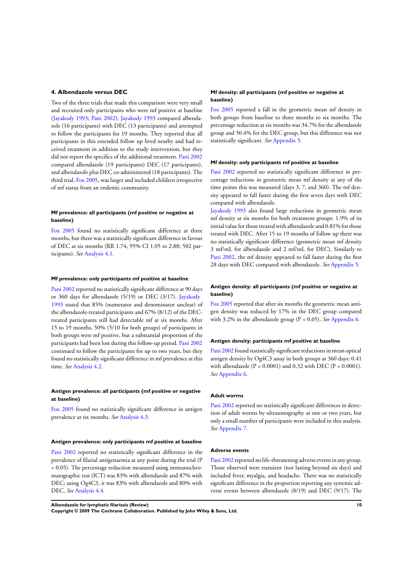### **4. Albendazole versus DEC**

Two of the three trials that made this comparison were very small and recruited only participants who were mf positive at baseline [\(Jayakody 1993](#page-15-0); [Pani 2002\)](#page-15-0). [Jayakody 1993](#page-15-0) compared albendazole (16 participants) with DEC (13 participants) and attempted to follow the participants for 19 months. They reported that all participants in this extended follow up lived nearby and had received treatment in addition to the study intervention, but they did not report the specifics of the additional treatment. [Pani 2002](#page-15-0) compared albendazole (19 participants) DEC (17 participants), and albendazole plus DEC co-administered (18 participants). The third trial, [Fox 2005,](#page-15-0) was larger and included children irrespective of mf status from an endemic community.

### **Mf prevalence: all participants (mf positive or negative at baseline)**

[Fox 2005](#page-15-0) found no statistically significant difference at three months, but there was a statistically significant difference in favour of DEC at six months (RR 1.74, 95% CI 1.05 to 2.88; 502 participants). *See* [Analysis 4.1](#page-39-0)*.*

#### **Mf prevalence: only participants mf positive at baseline**

[Pani 2002](#page-15-0) reported no statistically significant difference at 90 days or 360 days for albendazole (5/19) or DEC (3/17). [Jayakody](#page-15-0) [1993](#page-15-0) stated that 85% (numerator and denominator unclear) of the albendazole-treated participants and 67% (8/12) of the DECtreated participants still had detectable mf at six months. After 15 to 19 months, 50% (5/10 for both groups) of participants in both groups were mf positive, but a substantial proportion of the participants had been lost during this follow-up period. [Pani 2002](#page-15-0) continued to follow the participants for up to two years, but they found no statistically significant difference in mf prevalence at this time. *See* [Analysis 4.2](#page-40-0)*.*

### **Antigen prevalence: all participants (mf positive or negative at baseline)**

[Fox 2005](#page-15-0) found no statistically significant difference in antigen prevalence at six months. *See* [Analysis 4.3](#page-40-0)*.*

#### **Antigen prevalence: only participants mf positive at baseline**

[Pani 2002](#page-15-0) reported no statistically significant difference in the prevalence of filarial antigenaemia at any point during the trial (P > 0.05). The percentage reduction measured using immunochromatographic test (ICT) was 83% with albendazole and 87% with DEC; using Og4C3, it was 83% with albendazole and 80% with DEC. *See* [Analysis 4.4](#page-41-0)*.*

## **Mf density: all participants (mf positive or negative at baseline)**

[Fox 2005](#page-15-0) reported a fall in the geometric mean mf density in both groups from baseline to three months to six months. The percentage reduction at six months was 34.7% for the albendazole group and 50.4% for the DEC group, but this difference was not statistically significant. *See* [Appendix 5](#page-51-0)*.*

#### **Mf density: only participants mf positive at baseline**

[Pani 2002](#page-15-0) reported no statistically significant difference in percentage reductions in geometric mean mf density at any of the time points this was measured (days 3, 7, and 360). The mf density appeared to fall faster during the first seven days with DEC compared with albendazole.

[Jayakody 1993](#page-15-0) also found large reductions in geometric mean mf density at six months for both treatment groups: 1.9% of its initial value for those treated with albendazole and 0.81% for those treated with DEC. After 15 to 19 months of follow up there was no statistically significant difference (geometric mean mf density 3 mf/mL for albendazole and 2 mf/mL for DEC). Similarly to [Pani 2002](#page-15-0), the mf density appeared to fall faster during the first 28 days with DEC compared with albendazole. *See* [Appendix 5](#page-51-0)*.*

## **Antigen density: all participants (mf positive or negative at baseline)**

[Fox 2005](#page-15-0) reported that after six months the geometric mean antigen density was reduced by 17% in the DEC group compared with 3.2% in the albendazole group (P < 0.05). *See* [Appendix 6](#page-53-0)*.*

#### **Antigen density: participants mf positive at baseline**

[Pani 2002](#page-15-0) found statistically significant reductions in mean optical antigen density by Og4C3 assay in both groups at 360 days: 0.41 with albendazole  $(P < 0.0001)$  and 0.32 with DEC  $(P < 0.0001)$ . *See* [Appendix 6](#page-53-0)*.*

#### **Adult worms**

[Pani 2002](#page-15-0) reported no statistically significant differences in detection of adult worms by ultrasonography at one or two years, but only a small number of participants were included in this analysis. *See* [Appendix 7](#page-55-0)*.*

#### **Adverse events**

[Pani 2002](#page-15-0) reported no life-threatening adverse events in any group. Those observed were transient (not lasting beyond six days) and included fever, myalgia, and headache. There was no statistically significant difference in the proportion reporting any systemic adverse events between albendazole (8/19) and DEC (9/17). The

**Albendazole for lymphatic filariasis (Review) 10**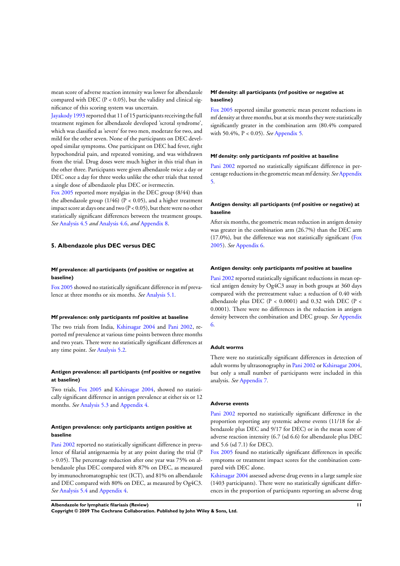mean score of adverse reaction intensity was lower for albendazole compared with DEC ( $P < 0.05$ ), but the validity and clinical significance of this scoring system was uncertain.

[Jayakody 1993](#page-15-0) reported that 11 of 15 participants receiving the full treatment regimen for albendazole developed 'scrotal syndrome', which was classified as 'severe' for two men, moderate for two, and mild for the other seven. None of the participants on DEC developed similar symptoms. One participant on DEC had fever, right hypochondrial pain, and repeated vomiting, and was withdrawn from the trial. Drug doses were much higher in this trial than in the other three. Participants were given albendazole twice a day or DEC once a day for three weeks unlike the other trials that tested a single dose of albendazole plus DEC or ivermectin.

[Fox 2005](#page-15-0) reported more myalgias in the DEC group (8/44) than the albendazole group (1/46) ( $P < 0.05$ ), and a higher treatment impact score at days one and two  $(P < 0.05)$ , but there were no other statistically significant differences between the treatment groups. *See* [Analysis 4.5](#page-41-0) *and* [Analysis 4.6](#page-42-0)*, and* [Appendix 8.](#page-55-0)

## **5. Albendazole plus DEC versus DEC**

## **Mf prevalence: all participants (mf positive or negative at baseline)**

[Fox 2005](#page-15-0) showed no statistically significant difference in mf prevalence at three months or six months. *See* [Analysis 5.1](#page-42-0)*.*

#### **Mf prevalence: only participants mf positive at baseline**

The two trials from India, [Kshirsagar 2004](#page-15-0) and [Pani 2002](#page-15-0), reported mf prevalence at various time points between three months and two years. There were no statistically significant differences at any time point. *See* [Analysis 5.2](#page-43-0)*.*

## **Antigen prevalence: all participants (mf positive or negative at baseline)**

Two trials, [Fox 2005](#page-15-0) and [Kshirsagar 2004,](#page-15-0) showed no statistically significant difference in antigen prevalence at either six or 12 months. *See* [Analysis 5.3](#page-44-0) and [Appendix 4](#page-50-0)*.*

## **Antigen prevalence: only participants antigen positive at baseline**

[Pani 2002](#page-15-0) reported no statistically significant difference in prevalence of filarial antigenaemia by at any point during the trial (P > 0.05). The percentage reduction after one year was 75% on albendazole plus DEC compared with 87% on DEC, as measured by immunochromatographic test (ICT), and 81% on albendazole and DEC compared with 80% on DEC, as measured by Og4C3. *See* [Analysis 5.4](#page-44-0) and [Appendix 4](#page-50-0).

## **Mf density: all participants (mf positive or negative at baseline)**

[Fox 2005](#page-15-0) reported similar geometric mean percent reductions in mf density at three months, but at six months they were statistically significantly greater in the combination arm (80.4% compared with 50.4%, P < 0.05). *See* [Appendix 5](#page-51-0)*.*

#### **Mf density: only participants mf positive at baseline**

[Pani 2002](#page-15-0) reported no statistically significant difference in percentage reductions in the geometric mean mf density. *See*[Appendix](#page-51-0) [5](#page-51-0)*.*

## **Antigen density: all participants (mf positive or negative) at baseline**

After six months, the geometric mean reduction in antigen density was greater in the combination arm (26.7%) than the DEC arm (17.0%), but the difference was not statistically significant [\(Fox](#page-15-0) [2005](#page-15-0)). *See* [Appendix 6](#page-53-0)*.*

## **Antigen density: only participants mf positive at baseline**

[Pani 2002](#page-15-0) reported statistically significant reductions in mean optical antigen density by Og4C3 assay in both groups at 360 days compared with the pretreatment value: a reduction of 0.40 with albendazole plus DEC ( $P < 0.0001$ ) and 0.32 with DEC ( $P <$ 0.0001). There were no differences in the reduction in antigen density between the combination and DEC group. *See* [Appendix](#page-53-0) [6](#page-53-0)*.*

#### **Adult worms**

There were no statistically significant differences in detection of adult worms by ultrasonography in [Pani 2002](#page-15-0) or [Kshirsagar 2004,](#page-15-0) but only a small number of participants were included in this analysis. *See* [Appendix 7](#page-55-0)*.*

#### **Adverse events**

[Pani 2002](#page-15-0) reported no statistically significant difference in the proportion reporting any systemic adverse events (11/18 for albendazole plus DEC and 9/17 for DEC) or in the mean score of adverse reaction intensity (6.7 (sd 6.6) for albendazole plus DEC and 5.6 (sd 7.1) for DEC).

[Fox 2005](#page-15-0) found no statistically significant differences in specific symptoms or treatment impact scores for the combination compared with DEC alone.

[Kshirsagar 2004](#page-15-0) assessed adverse drug events in a large sample size (1403 participants). There were no statistically significant differences in the proportion of participants reporting an adverse drug

**Albendazole for lymphatic filariasis (Review) 11**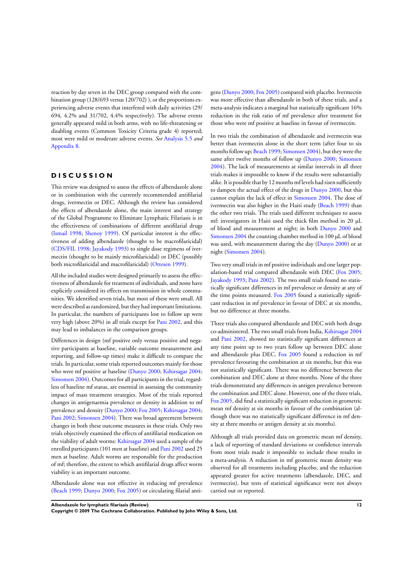reaction by day seven in the DEC group compared with the combination group (128/693 versus 120/702)), or the proportions experiencing adverse events that interfered with daily activities (29/ 694, 4.2% and 31/702, 4.4% respectively). The adverse events generally appeared mild in both arms, with no life-threatening or disabling events (Common Toxicity Criteria grade 4) reported; most were mild or moderate adverse events. *See* [Analysis 5.5](#page-44-0) *and* [Appendix 8](#page-55-0)*.*

## **D I S C U S S I O N**

This review was designed to assess the effects of albendazole alone or in combination with the currently recommended antifilarial drugs, ivermectin or DEC. Although the review has considered the effects of albendazole alone, the main interest and strategy of the Global Programme to Eliminate Lymphatic Filariasis is in the effectiveness of combinations of different antifilarial drugs [\(Ismail 1998](#page-15-0); [Shenoy 1999](#page-15-0)). Of particular interest is the effectiveness of adding albendazole (thought to be macrofilaricidal) [\(CDS/FIL 1998;](#page-15-0) [Jayakody 1993\)](#page-15-0) to single dose regimens of ivermectin (thought to be mainly microfilaricidal) or DEC (possibly both microfilaricidal and macrofilaricidal) ([Ottesen 1999](#page-15-0)).

All the included studies were designed primarily to assess the effectiveness of albendazole for treatment of individuals, and none have explicitly considered its effects on transmission in whole communities. We identified seven trials, but most of these were small. All were described as randomized, but they had important limitations. In particular, the numbers of participants lost to follow up were very high (above 20%) in all trials except for [Pani 2002,](#page-15-0) and this may lead to imbalances in the comparison groups.

Differences in design (mf positive only versus positive and negative participants at baseline, variable outcome measurement and reporting, and follow-up times) make it difficult to compare the trials. In particular, some trials reported outcomes mainly for those who were mf positive at baseline [\(Dunyo 2000](#page-15-0); [Kshirsagar 2004;](#page-15-0) [Simonsen 2004\)](#page-15-0). Outcomes for all participants in the trial, regardless of baseline mf status, are essential in assessing the community impact of mass treatment strategies. Most of the trials reported changes in antigenaemia prevalence or density in addition to mf prevalence and density [\(Dunyo 2000;](#page-15-0) [Fox 2005](#page-15-0); [Kshirsagar 2004;](#page-15-0) [Pani 2002](#page-15-0); [Simonsen 2004](#page-15-0)). There was broad agreement between changes in both these outcome measures in these trials. Only two trials objectively examined the effects of antifilarial medication on the viability of adult worms: [Kshirsagar 2004](#page-15-0) used a sample of the enrolled participants (101 men at baseline) and [Pani 2002](#page-15-0) used 25 men at baseline. Adult worms are responsible for the production of mf; therefore, the extent to which antifilarial drugs affect worm viability is an important outcome.

Albendazole alone was not effective in reducing mf prevalence [\(Beach 1999](#page-15-0); [Dunyo 2000;](#page-15-0) [Fox 2005](#page-15-0)) or circulating filarial antigens ([Dunyo 2000](#page-15-0); [Fox 2005](#page-15-0)) compared with placebo. Ivermectin was more effective than albendazole in both of these trials, and a meta-analysis indicates a marginal but statistically significant 16% reduction in the risk ratio of mf prevalence after treatment for those who were mf positive at baseline in favour of ivermectin.

In two trials the combination of albendazole and ivermectin was better than ivermectin alone in the short term (after four to six months follow up; [Beach 1999](#page-15-0); [Simonsen 2004](#page-15-0)), but they were the same after twelve months of follow up ([Dunyo 2000](#page-15-0); [Simonsen](#page-15-0) [2004](#page-15-0)). The lack of measurements at similar intervals in all three trials makes it impossible to know if the results were substantially alike. It is possible that by 12 months mf levels had risen sufficiently to dampen the actual effect of the drugs in [Dunyo 2000](#page-15-0), but this cannot explain the lack of effect in [Simonsen 2004.](#page-15-0) The dose of ivermectin was also higher in the Haiti study ([Beach 1999](#page-15-0)) than the other two trials. The trials used different techniques to assess mf: investigators in Haiti used the thick film method in 20 µL of blood and measurement at night; in both [Dunyo 2000](#page-15-0) and [Simonsen 2004](#page-15-0) the counting chamber method in 100 µL of blood was used, with measurement during the day ([Dunyo 2000\)](#page-15-0) or at night ([Simonsen 2004\)](#page-15-0).

Two very small trials in mf positive individuals and one larger population-based trial compared albendazole with DEC [\(Fox 2005;](#page-15-0) [Jayakody 1993;](#page-15-0) [Pani 2002\)](#page-15-0). The two small trials found no statistically significant differences in mf prevalence or density at any of the time points measured. [Fox 2005](#page-15-0) found a statistically significant reduction in mf prevalence in favour of DEC at six months, but no difference at three months.

Three trials also compared albendazole and DEC with both drugs co-administered. The two small trials from India, [Kshirsagar 2004](#page-15-0) and [Pani 2002,](#page-15-0) showed no statistically significant differences at any time point up to two years follow up between DEC alone and albendazole plus DEC. [Fox 2005](#page-15-0) found a reduction in mf prevalence favouring the combination at six months, but this was not statistically significant. There was no difference between the combination and DEC alone at three months. None of the three trials demonstrated any differences in antigen prevalence between the combination and DEC alone. However, one of the three trials, [Fox 2005](#page-15-0), did find a statistically significant reduction in geometric mean mf density at six months in favour of the combination (although there was no statistically significant difference in mf density at three months or antigen density at six months).

Although all trials provided data on geometric mean mf density, a lack of reporting of standard deviations or confidence intervals from most trials made it impossible to include these results in a meta-analysis. A reduction in mf geometric mean density was observed for all treatments including placebo, and the reduction appeared greater for active treatments (albendazole, DEC, and ivermectin), but tests of statistical significance were not always carried out or reported.

**Albendazole for lymphatic filariasis (Review) 12**

**Copyright © 2009 The Cochrane Collaboration. Published by John Wiley & Sons, Ltd.**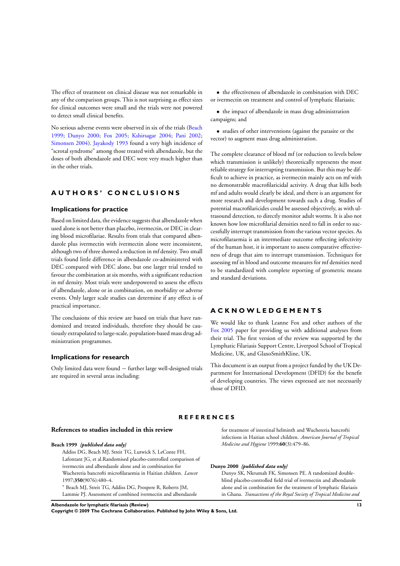<span id="page-15-0"></span>The effect of treatment on clinical disease was not remarkable in any of the comparison groups. This is not surprising as effect sizes for clinical outcomes were small and the trials were not powered to detect small clinical benefits.

No serious adverse events were observed in six of the trials (Beach 1999; Dunyo 2000; Fox 2005; Kshirsagar 2004; Pani 2002; Simonsen 2004). Jayakody 1993 found a very high incidence of "scrotal syndrome" among those treated with albendazole, but the doses of both albendazole and DEC were very much higher than in the other trials.

## **A U T H O R S ' C O N C L U S I O N S**

## **Implications for practice**

Based on limited data, the evidence suggests that albendazole when used alone is not better than placebo, ivermectin, or DEC in clearing blood microfilariae. Results from trials that compared albendazole plus ivermectin with ivermectin alone were inconsistent, although two of three showed a reduction in mf density. Two small trials found little difference in albendazole co-administered with DEC compared with DEC alone, but one larger trial tended to favour the combination at six months, with a significant reduction in mf density. Most trials were underpowered to assess the effects of albendazole, alone or in combination, on morbidity or adverse events. Only larger scale studies can determine if any effect is of practical importance.

The conclusions of this review are based on trials that have randomized and treated individuals, therefore they should be cautiously extrapolated to large-scale, population-based mass drug administration programmes.

## **Implications for research**

Only limited data were found − further large well-designed trials are required in several areas including:

• the effectiveness of albendazole in combination with DEC or ivermectin on treatment and control of lymphatic filariasis;

• the impact of albendazole in mass drug administration campaigns; and

• studies of other interventions (against the parasite or the vector) to augment mass drug administration.

The complete clearance of blood mf (or reduction to levels below which transmission is unlikely) theoretically represents the most reliable strategy for interrupting transmission. But this may be difficult to achieve in practice, as ivermectin mainly acts on mf with no demonstrable macrofilaricidal activity. A drug that kills both mf and adults would clearly be ideal, and there is an argument for more research and development towards such a drug. Studies of potential macrofilaricides could be assessed objectively, as with ultrasound detection, to directly monitor adult worms. It is also not known how low microfilarial densities need to fall in order to successfully interrupt transmission from the various vector species. As microfilaraemia is an intermediate outcome reflecting infectivity of the human host, it is important to assess comparative effectiveness of drugs that aim to interrupt transmission. Techniques for assessing mf in blood and outcome measures for mf densities need to be standardized with complete reporting of geometric means and standard deviations.

## **A C K N O W L E D G E M E N T S**

We would like to thank Leanne Fox and other authors of the Fox 2005 paper for providing us with additional analyses from their trial. The first version of the review was supported by the Lymphatic Filariasis Support Centre, Liverpool School of Tropical Medicine, UK, and GlaxoSmithKline, UK.

This document is an output from a project funded by the UK Department for International Development (DFID) for the benefit of developing countries. The views expressed are not necessarily those of DFID.

## **R E F E R E N C E S**

#### **References to studies included in this review**

#### **Beach 1999** *{published data only}*

Addiss DG, Beach MJ, Streit TG, Lutwick S, LeConte FH, Lafontant JG, et al.Randomised placebo-controlled comparison of ivermectin and albendazole alone and in combination for Wuchereria bancrofti microfilaraemia in Haitian children. *Lancet* 1997;**350**(9076):480–4.

Beach MJ, Streit TG, Addiss DG, Prospere R, Roberts JM, Lammie PJ. Assessment of combined ivermectin and albendazole for treatment of intestinal helminth and Wuchereria bancrofti infections in Haitian school children. *American Journal of Tropical Medicine and Hygiene* 1999;**60**(3):479–86.

#### **Dunyo 2000** *{published data only}*

Dunyo SK, Nkrumah FK, Simonsen PE. A randomized doubleblind placebo-controlled field trial of ivermectin and albendazole alone and in combination for the treatment of lymphatic filariasis in Ghana. *Transactions of the Royal Society of Tropical Medicine and*

**Albendazole for lymphatic filariasis (Review) 13**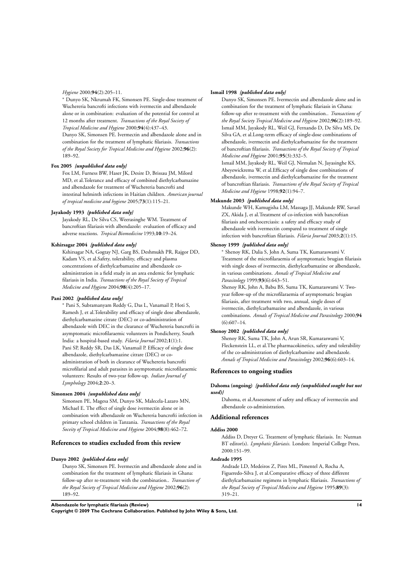#### *Hygiene* 2000;**94**(2):205–11.

<sup>∗</sup> Dunyo SK, Nkrumah FK, Simonsen PE. Single-dose treatment of Wuchereria bancrofti infections with ivermectin and albendazole alone or in combination: evaluation of the potential for control at 12 months after treatment. *Transactions of the Royal Society of Tropical Medicine and Hygiene* 2000;**94**(4):437–43. Dunyo SK, Simonsen PE. Ivermectin and albendazole alone and in combination for the treatment of lymphatic filariasis. *Transactions of the Royal Society for Tropical Medicine and Hygiene* 2002;**96**(2): 189–92.

#### **Fox 2005** *{unpublished data only}*

Fox LM, Furness BW, Haser JK, Desire D, Brissau JM, Milord MD, et al.Tolerance and efficacy of combined diethylcarbamazine and albendazole for treatment of Wuchereria bancrofti and intestinal helminth infections in Haitian children. *American journal of tropical medicine and hygiene* 2005;**73**(1):115–21.

#### **Jayakody 1993** *{published data only}*

Jayakody RL, De Silva CS, Weerasinghe WM. Treatment of bancroftian filariasis with albendazole: evaluation of efficacy and adverse reactions. *Tropical Biomedicine* 1993;**10**:19–24.

#### **Kshirsagar 2004** *{published data only}*

Kshirsagar NA, Gogtay NJ, Garg BS, Deshmukh PR, Rajgor DD, Kadam VS, et al.Safety, tolerability, efficacy and plasma concentrations of diethylcarbamazine and albendazole coadministration in a field study in an area endemic for lymphatic filariasis in India. *Transactions of the Royal Society of Tropical Medicine and Hygiene* 2004;**98**(4):205–17.

### **Pani 2002** *{published data only}*

<sup>∗</sup> Pani S, Subramanyam Reddy G, Das L, Vanamail P, Hoti S, Ramesh J, et al.Tolerability and efficacy of single dose albendazole, diethylcarbamazine citrate (DEC) or co-administration of albendazole with DEC in the clearance of Wuchereria bancrofti in asymptomatic microfilaraemic volunteers in Pondicherry, South India: a hospital-based study. *Filaria Journal* 2002;**1**(1):1. Pani SP, Reddy SR, Das LK, Vanamail P. Efficacy of single dose albendazole, diethylcarbamazine citrare (DEC) or coadministration of both in clearance of Wuchereria bancrofti microfilarial and adult parasites in asymptomatic microfilaraemic volunteers: Results of two-year follow-up. *Indian Journal of Lymphology* 2004;**2**:20–3.

#### **Simonsen 2004** *{unpublished data only}*

Simonsen PE, Magesa SM, Dunyo SK, Malecela-Lazaro MN, Michael E. The effect of single dose ivermectin alone or in combination with albendazole on Wuchereria bancrofti infection in primary school children in Tanzania. *Transactions of the Royal Soceity of Tropical Medicine and Hygiene* 2004;**98**(8):462–72.

#### **References to studies excluded from this review**

#### **Dunyo 2002** *{published data only}*

Dunyo SK, Simonsen PE. Ivermectin and albendazole alone and in combination for the treatment of lymphatic filariasis in Ghana: follow-up after re-treatment with the combination.. *Transaction of the Royal Society of Tropical Medicine and Hygiene* 2002;**96**(2): 189–92.

#### **Ismail 1998** *{published data only}*

Dunyo SK, Simonsen PE. Ivermectin and albendazole alone and in combination for the treatment of lymphatic filariasis in Ghana: follow-up after re-treatment with the combination.. *Transactions of the Royal Society Tropical Medicine and Hygiene* 2002;**96**(2):189–92. Ismail MM, Jayakody RL, Weil GJ, Fernando D, De Silva MS, De Silva GA, et al.Long-term efficacy of single-dose combinations of albendazole, ivermectin and diethylcarbamazine for the treatment of bancroftian filariasis. *Transactions of the Royal Society of Tropical Medicine and Hygiene* 2001;**95**(3):332–5.

Ismail MM, Jayakody RL, Weil GJ, Nirmalan N, Jayasinghe KS, Abeyewickrema W, et al.Efficacy of single dose combinations of albendazole, ivermectin and diethylcarbamazine for the treatment of bancroftian filariasis. *Transactions of the Royal Society of Tropical Medicine and Hygiene* 1998;**92**(1):94–7.

#### **Makunde 2003** *{published data only}*

Makunde WH, Kamugisha LM, Massaga JJ, Makunde RW, Savael ZX, Akida J, et al.Treatment of co-infection with bancroftian filariasis and onchocerciasis: a safety and efficacy study of albendazole with ivermectin compared to treatment of single infection with bancroftian filariasis. *Filaria Journal* 2003;**2**(1):15.

#### **Shenoy 1999** *{published data only}*

<sup>∗</sup> Shenoy RK, Dalia S, John A, Suma TK, Kumaraswami V. Treatment of the microfilaraemia of asymptomatic brugian filariasis with single doses of ivermectin, diethylcarbamazine or albendazole, in various combinations. *Annals of Tropical Medicine and Parasitology* 1999;**93**(6):643–51.

Shenoy RK, John A, Babu BS, Suma TK, Kumaraswami V. Twoyear follow-up of the microfilaraemia of asymptomatic brugian filariasis, after treatment with two, annual, single doses of ivermectin, diethylcarbamazine and albendazole, in various combinations. *Annals of Tropical Medicine and Parasitology* 2000;**94**  $(6):607-14.$ 

#### **Shenoy 2002** *{published data only}*

Shenoy RK, Suma TK, John A, Arun SR, Kumaraswami V, Fleckenstein LL, et al.The pharmacokinetics, safety and tolerability of the co-administration of diethylcarbamine and albendazole. *Annals of Tropical Medicine and Parasitology* 2002;**96**(6):603–14.

## **References to ongoing studies**

## **Dahoma (ongoing)** *{published data only (unpublished sought but not used)}*

Dahoma, et al.Assessment of safety and efficacy of ivermectin and albendazole co-administration.

### **Additional references**

#### **Addiss 2000**

Addiss D, Dreyer G. Treatment of lymphatic filariasis. In: Nutman BT editor(s). *Lymphatic filariasis*. London: Imperial College Press, 2000:151–99.

## **Andrade 1995**

Andrade LD, Medeiros Z, Pires ML, Pimentel A, Rocha A, Figueredo-Silva J, et al.Comparative efficacy of three different diethylcarbamazine regimens in lymphatic filariasis. *Transactions of the Royal Society of Tropical Medicine and Hygiene* 1995;**89**(3): 319–21.

**Albendazole for lymphatic filariasis (Review) 14**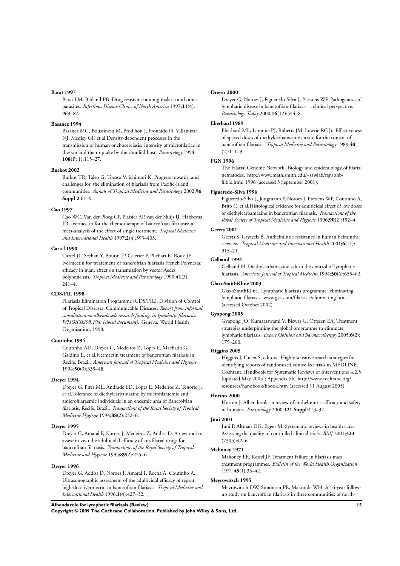### **Barat 1997**

Barat LM, Bloland PB. Drug resistance among malaria and other parasites. *Infectious Disease Clinics of North America* 1997;**11**(4): 969–87.

#### **Basanez 1994**

Basanez MG, Boussinesq M, Prod'hon J, Frontado H, Villamizar NJ, Medley GF, et al.Density-dependent processes in the transmission of human onchocerciasis: intensity of microfilariae in theskin and their uptake by the simuliid host. *Parasitology* 1994; **108**(Pt 1):115–27.

#### **Burkot 2002**

Burkot TR, Taleo G, Toeaso V, Ichimori K. Progress towards, and challenges for, the elimination of filariasis from Pacific-island communities. *Annals of Tropical Medicine and Parasitology* 2002;**96 Suppl 2**:61–9.

#### **Cao 1997**

Cao WC, Van der Ploeg CP, Plaisier AP, van der Sluijs IJ, Habbema JD. Ivermectin for the chemotherapy of bancroftian filariasis: a meta-analysis of the effect of single treatment. *Tropical Medicine and International Health* 1997;**2**(4):393–403.

#### **Cartel 1990**

Cartel JL, Sechan Y, Boutin JP, Celerier P, Plichart R, Roux JF. Ivermectin for treatement of bancroftian filariasis French Polynesia: efficacy in man, effect on transmission by vector Aedes polynesiensis. *Tropical Medicine and Parasitology* 1990;**41**(3): 241–4.

#### **CDS/FIL 1998**

Filariasis Elimination Programme (CDS/FIL). Division of Control of Tropical Diseases, Communicable Diseases. *Report from informal consultation on albendazole research findings in lymphatic filariasis; WHO/FIL/98.194; (closed document)*. Geneva: World Health Organization, 1998.

#### **Coutinho 1994**

Coutinho AD, Dreyer G, Medeiros Z, Lopes E, Machado G, Galdino E, et al.Ivermectin treatment of bancroftian filariasis in Recife, Brazil. *American Journal of Tropical Medicine and Hygiene* 1994;**50**(3):339–48.

#### **Dreyer 1994**

Dreyer G, Pires ML, Andrade LD, Lopes E, Medeiros Z, Tenorio J, et al.Tolerance of diethylcarbamazine by microfilaraemic and amicrofilaraemic individuals in an endemic area of Bancroftian filariasis, Recife, Brazil. *Transactions of the Royal Society of Tropical Medicine Hygiene* 1994;**88**(2):232–6.

#### **Dreyer 1995**

Dreyer G, Amaral F, Noroes J, Medeiros Z, Addiss D. A new tool to assess in vivo the adulticidal efficacy of antifilarial drugs for bancroftian filariasis. *Transactions of the Royal Society of Tropical Medicine and Hygiene* 1995;**89**(2):225–6.

#### **Dreyer 1996**

Dreyer G, Addiss D, Noroes J, Amaral F, Rocha A, Coutinho A. Ultrasonographic assessment of the adulticidal efficacy of repeat high-dose ivermectin in bancroftian filariasis. *Tropical Medicine and International Health* 1996;**1**(4):427–32.

#### **Dreyer 2000**

Dreyer G, Noroes J, Figueredo-Silva J, Piessens WF. Pathogenesis of lymphatic disease in bancroftian filariasis: a clinical perspective. *Parasitology Today* 2000;**16**(12):544–8.

### **Eberhard 1989**

Eberhard ML, Lammie PJ, Roberts JM, Lowrie RC Jr. Effectiveness of spaced doses of diethylcarbamazine citrate for the control of bancroftian filariasis. *Tropical Medicine and Parasitology* 1989;**40**  $(2):111-3$ .

### **FGN 1996**

The Filarial Genome Network. Biology and epidemiology of filarial nematodes. http://www.math.smith.edu/~sawlab/fgn/pnb/ filbio.html 1996 (accessed 3 September 2001).

### **Figueredo-Silva 1996**

Figueredo-Silva J, Jungmann P, Noroes J, Piessens WF, Coutinho A, Brito C, et al.Histological evidence for adulticidal effect of low doses of diethylcarbamazine in bancroftian filariasis. *Transactions of the Royal Society of Tropical Medicine and Hygiene* 1996;**90**(2):192–4.

#### **Geerts 2001**

Geerts S, Gryseels B. Anthelmintic resistance in human helminths: a review. *Tropical Medicine and International Health* 2001;**6**(11): 915–21.

#### **Gelband 1994**

Gelband H. Diethylcarbamazine salt in the control of lymphatic filariasis. *American Journal of Tropical Medicine* 1994;**50**(6):655–62.

#### **GlaxoSmithKline 2003**

GlaxoSmithKline. Lymphatic filariasis programme: eliminating lymphatic filariasis. www.gsk.com/filariasis/eliminating.htm (accessed October 2002).

#### **Gyapong 2005**

Gyapong JO, Kumaraswami V, Biswas G, Ottesen EA. Treatment strategies underpinning the global programme to eliminate lymphatic filariasis. *Expert Opinion on Pharmacotherapy* 2005;**6**(2):  $179 - 200$ .

#### **Higgins 2005**

Higgins J, Green S, editors. Highly sensitive search strategies for identifying reports of randomized controlled trials in MEDLINE. Cochrane Handbook for Systematic Reviews of Interventions 4.2.5 [updated May 2005]; Appendix 5b. http://www.cochrane.org/ resources/handbook/hbook.htm (accessed 11 August 2005).

#### **Horton 2000**

Horton J. Albendazole: a review of anthelmintic efficacy and safety in humans. *Parasitology* 2000;**121 Suppl**:113–32.

#### **Jüni 2001**

Jüni P, Altman DG, Egger M. Systematic reviews in health care: Assessing the quality of controlled clinical trials. *BMJ* 2001;**323** (7303):42–6.

#### **Mahoney 1971**

Mahoney LE, Kessel JF. Treatment failure in filariasis mass treatment programmes. *Bulletin of the World Health Organization* 1971;**45**(1):35–42.

#### **Meyrowitsch 1995**

Meyrowitsch DW, Simonsen PE, Makunde WH. A 16-year followup study on bancroftian filariasis in three communities of north-

### **Albendazole for lymphatic filariasis (Review) 15**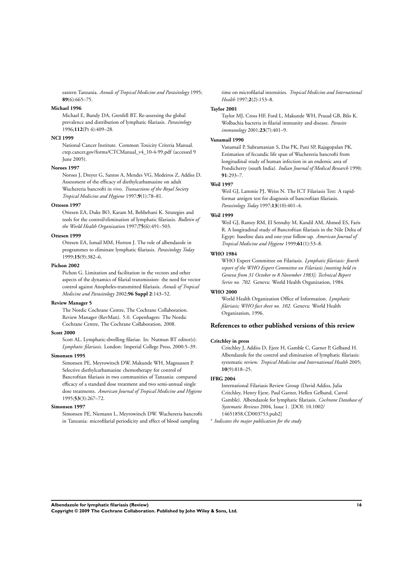eastern Tanzania. *Annals of Tropical Medicine and Parasitology* 1995; **89**(6):665–75.

### **Michael 1996**

Michael E, Bundy DA, Grenfell BT. Re-assessing the global prevalence and distribution of lymphatic filariasis. *Parasitology* 1996;**112**(Pt 4):409–28.

#### **NCI 1999**

National Cancer Institute. Common Toxicity Criteria Manual. ctep.cancer.gov/forms/CTCManual\_v4\_10-4-99.pdf (accessed 9 June 2005).

#### **Noroes 1997**

Noroes J, Dreyer G, Santos A, Mendes VG, Medeiros Z, Addiss D. Assessment of the efficacy of diethylcarbamazine on adult Wuchereria bancrofti in vivo. *Transactions of the Royal Society Tropical Medicine and Hygiene* 1997;**9**(1):78–81.

#### **Ottesen 1997**

Ottesen EA, Duke BO, Karam M, Behbehani K. Strategies and tools for the control/elimination of lymphatic filariasis. *Bulletin of the World Health Organization* 1997;**75**(6):491–503.

#### **Ottesen 1999**

Ottesen EA, Ismail MM, Horton J. The role of albendazole in programmes to eliminate lymphatic filariasis. *Parasitology Today* 1999;**15**(9):382–6.

### **Pichon 2002**

Pichon G. Limitation and facilitation in the vectors and other aspects of the dynamics of filarial transmission: the need for vector control against Anopheles-transmitted filariasis. *Annals of Tropical Medicine and Parasitology* 2002;**96 Suppl 2**:143–52.

#### **Review Manager 5**

The Nordic Cochrane Centre, The Cochrane Collaboration. Review Manager (RevMan). 5.0. Copenhagen: The Nordic Cochrane Centre, The Cochrane Collaboration, 2008.

### **Scott 2000**

Scott AL. Lymphatic-dwelling filariae. In: Nutman BT editor(s). *Lymphatic filariasis*. London: Imperial College Press, 2000:5–39.

### **Simonsen 1995**

Simonsen PE, Meyrowitsch DW, Makunde WH, Magnussen P. Selective diethylcarbamazine chemotherapy for control of Bancroftian filariasis in two communities of Tanzania: compared efficacy of a standard dose treatment and two semi-annual single dose treatments. *American Journal of Tropical Medicine and Hygiene* 1995;**53**(3):267–72.

### **Simonsen 1997**

Simonsen PE, Niemann L, Meyrowitsch DW. Wuchereria bancrofti in Tanzania: microfilarial periodicity and effect of blood sampling

time on microfilarial intensities. *Tropical Medicine and International Health* 1997;**2**(2):153–8.

#### **Taylor 2001**

Taylor MJ, Cross HF, Ford L, Makunde WH, Prasad GB, Bilo K. Wolbachia bacteria in filarial immunity and disease. *Parasite immunology* 2001;**23**(7):401–9.

#### **Vanamail 1990**

Vanamail P, Subramanian S, Das PK, Pani SP, Rajagopalan PK. Estimation of fecundic life span of Wuchereria bancrofti from longitudinal study of human infection in an endemic area of Pondicherry (south India). *Indian Journal of Medical Research* 1990; **91**:293–7.

#### **Weil 1997**

Weil GJ, Lammie PJ, Weiss N. The ICT Filariasis Test: A rapidformat antigen test for diagnosis of bancroftian filariasis. *Parasitology Today* 1997;**13**(10):401–4.

#### **Weil 1999**

Weil GJ, Ramzy RM, El Setouhy M, Kandil AM, Ahmed ES, Faris R. A longitudinal study of Bancroftian filariasis in the Nile Delta of Egypt: baseline data and one-year follow-up. *American Journal of Tropical Medicine and Hygiene* 1999;**61**(1):53–8.

#### **WHO 1984**

WHO Expert Committee on Filariasis. *Lymphatic filariasis: fourth report of the WHO Expert Committee on Filariasis [meeting held in Geneva from 31 October to 8 November 1983]; Technical Report Series no. 702*. Geneva: World Health Organization, 1984.

#### **WHO 2000**

World Health Organization Office of Information. *Lymphatic filariasis; WHO fact sheet no. 102*. Geneva: World Health Organization, 1996.

#### **References to other published versions of this review**

#### **Critchley in press**

Critchley J, Addiss D, Ejere H, Gamble C, Garner P, Gelband H. Albendazole for the control and elimination of lymphatic filariasis: systematic review. *Tropical Medicine and International Health* 2005; **10**(9):818–25.

#### **IFRG 2004**

International Filariasis Review Group (David Addiss, Julia Critchley, Henry Ejere, Paul Garner, Hellen Gelband, Carrol Gamble). Albendazole for lymphatic filariasis. *Cochrane Database of Systematic Reviews* 2004, Issue 1. [DOI: 10.1002/ 14651858.CD003753.pub2]

∗ *Indicates the major publication for the study*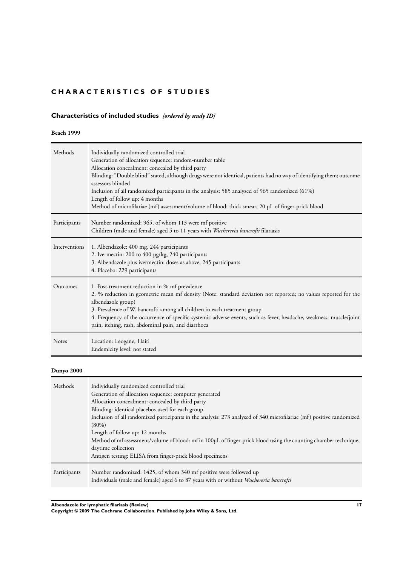## <span id="page-19-0"></span>**CHARACTERISTICS OF STUDIES**

## **Characteristics of included studies** *[ordered by study ID]*

**Beach 1999**

| Methods       | Individually randomized controlled trial<br>Generation of allocation sequence: random-number table<br>Allocation concealment: concealed by third party<br>Blinding: "Double blind" stated, although drugs were not identical, patients had no way of identifying them; outcome<br>assessors blinded<br>Inclusion of all randomized participants in the analysis: 585 analysed of 965 randomized (61%)<br>Length of follow up: 4 months<br>Method of microfilariae (mf) assessment/volume of blood: thick smear; 20 µL of finger-prick blood |
|---------------|---------------------------------------------------------------------------------------------------------------------------------------------------------------------------------------------------------------------------------------------------------------------------------------------------------------------------------------------------------------------------------------------------------------------------------------------------------------------------------------------------------------------------------------------|
| Participants  | Number randomized: 965, of whom 113 were mf positive<br>Children (male and female) aged 5 to 11 years with Wuchereria bancrofti filariasis                                                                                                                                                                                                                                                                                                                                                                                                  |
| Interventions | 1. Albendazole: 400 mg, 244 participants<br>2. Ivermectin: 200 to 400 µg/kg, 240 participants<br>3. Albendazole plus ivermectin: doses as above, 245 participants<br>4. Placebo: 229 participants                                                                                                                                                                                                                                                                                                                                           |
| Outcomes      | 1. Post-treatment reduction in % mf prevalence<br>2. % reduction in geometric mean mf density (Note: standard deviation not reported; no values reported for the<br>albendazole group)<br>3. Prevalence of W. bancrofti among all children in each treatment group<br>4. Frequency of the occurrence of specific systemic adverse events, such as fever, headache, weakness, muscle/joint<br>pain, itching, rash, abdominal pain, and diarrhoea                                                                                             |
| Notes         | Location: Leogane, Haiti<br>Endemicity level: not stated                                                                                                                                                                                                                                                                                                                                                                                                                                                                                    |

## **Dunyo 2000**

| Methods      | Individually randomized controlled trial<br>Generation of allocation sequence: computer generated<br>Allocation concealment: concealed by third party<br>Blinding: identical placebos used for each group<br>Inclusion of all randomized participants in the analysis: 273 analysed of 340 microfilariae (mf) positive randomized<br>$(80\%)$<br>Length of follow up: 12 months<br>Method of mf assessment/volume of blood: mf in 100µL of finger-prick blood using the counting chamber technique,<br>daytime collection<br>Antigen testing: ELISA from finger-prick blood specimens |
|--------------|---------------------------------------------------------------------------------------------------------------------------------------------------------------------------------------------------------------------------------------------------------------------------------------------------------------------------------------------------------------------------------------------------------------------------------------------------------------------------------------------------------------------------------------------------------------------------------------|
| Participants | Number randomized: 1425, of whom 340 mf positive were followed up<br>Individuals (male and female) aged 6 to 87 years with or without Wuchereria bancrofti                                                                                                                                                                                                                                                                                                                                                                                                                            |

**Albendazole for lymphatic filariasis (Review) 17**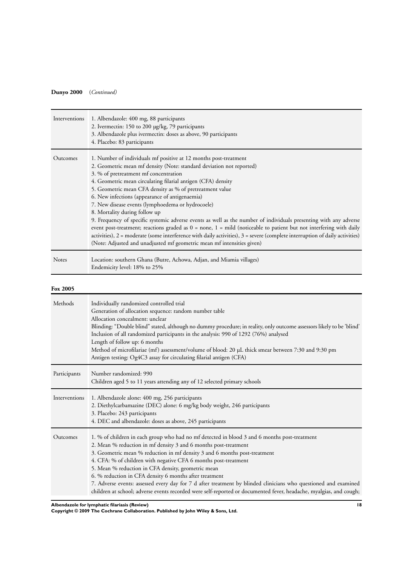## **Dunyo 2000** (*Continued)*

| Interventions | 1. Albendazole: 400 mg, 88 participants<br>2. Ivermectin: 150 to 200 µg/kg, 79 participants<br>3. Albendazole plus ivermectin: doses as above, 90 participants<br>4. Placebo: 83 participants                                                                                                                                                                                                                                                                                                                                                                                                                                                                                                                                                                                                                                                                                                                     |
|---------------|-------------------------------------------------------------------------------------------------------------------------------------------------------------------------------------------------------------------------------------------------------------------------------------------------------------------------------------------------------------------------------------------------------------------------------------------------------------------------------------------------------------------------------------------------------------------------------------------------------------------------------------------------------------------------------------------------------------------------------------------------------------------------------------------------------------------------------------------------------------------------------------------------------------------|
| Outcomes      | 1. Number of individuals mf positive at 12 months post-treatment<br>2. Geometric mean mf density (Note: standard deviation not reported)<br>3. % of pretreatment mf concentration<br>4. Geometric mean circulating filarial antigen (CFA) density<br>5. Geometric mean CFA density as % of pretreatment value<br>6. New infections (appearance of antigenaemia)<br>7. New disease events (lymphoedema or hydrocoele)<br>8. Mortality during follow up<br>9. Frequency of specific systemic adverse events as well as the number of individuals presenting with any adverse<br>event post-treatment; reactions graded as $0 =$ none, $1 =$ mild (noticeable to patient but not interfering with daily<br>activities), $2 =$ moderate (some interference with daily activities), $3 =$ severe (complete interruption of daily activities)<br>(Note: Adjusted and unadjusted mf geometric mean mf intensities given) |
| Notes         | Location: southern Ghana (Butre, Achowa, Adjan, and Miamia villages)<br>Endemicity level: 18% to 25%                                                                                                                                                                                                                                                                                                                                                                                                                                                                                                                                                                                                                                                                                                                                                                                                              |

## **Fox 2005**

| Methods       | Individually randomized controlled trial<br>Generation of allocation sequence: random number table<br>Allocation concealment: unclear<br>Blinding: "Double blind" stated, although no dummy procedure; in reality, only outcome assessors likely to be 'blind'<br>Inclusion of all randomized participants in the analysis: 990 of 1292 (76%) analysed<br>Length of follow up: 6 months<br>Method of microfilariae (mf) assessment/volume of blood: 20 µL thick smear between 7:30 and 9:30 pm<br>Antigen testing: Og4C3 assay for circulating filarial antigen (CFA)                                                                                                    |
|---------------|--------------------------------------------------------------------------------------------------------------------------------------------------------------------------------------------------------------------------------------------------------------------------------------------------------------------------------------------------------------------------------------------------------------------------------------------------------------------------------------------------------------------------------------------------------------------------------------------------------------------------------------------------------------------------|
| Participants  | Number randomized: 990<br>Children aged 5 to 11 years attending any of 12 selected primary schools                                                                                                                                                                                                                                                                                                                                                                                                                                                                                                                                                                       |
| Interventions | 1. Albendazole alone: 400 mg, 256 participants<br>2. Diethylcarbamazine (DEC) alone: 6 mg/kg body weight, 246 participants<br>3. Placebo: 243 participants<br>4. DEC and albendazole: doses as above, 245 participants                                                                                                                                                                                                                                                                                                                                                                                                                                                   |
| Outcomes      | 1. % of children in each group who had no mf detected in blood 3 and 6 months post-treatment<br>2. Mean % reduction in mf density 3 and 6 months post-treatment<br>3. Geometric mean % reduction in mf density 3 and 6 months post-treatment<br>4. CFA: % of children with negative CFA 6 months post-treatment<br>5. Mean % reduction in CFA density, geometric mean<br>6. % reduction in CFA density 6 months after treatment<br>7. Adverse events: assessed every day for 7 d after treatment by blinded clinicians who questioned and examined<br>children at school; adverse events recorded were self-reported or documented fever, headache, myalgias, and cough; |

**Albendazole for lymphatic filariasis (Review) 18**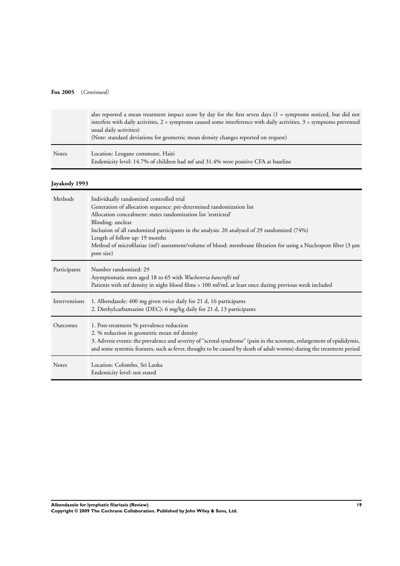## **Fox 2005** (*Continued)*

|              | also reported a mean treatment impact score by day for the first seven days $(1 =$ symptoms noticed, but did not<br>interfere with daily activities, $2 =$ symptoms caused some interference with daily activities, $3 =$ symptoms prevented<br>usual daily activities)<br>(Note: standard deviations for geometric mean density changes reported on request) |
|--------------|---------------------------------------------------------------------------------------------------------------------------------------------------------------------------------------------------------------------------------------------------------------------------------------------------------------------------------------------------------------|
| <b>Notes</b> | Location: Leogane commune, Haiti<br>Endemicity level: 14.7% of children had mf and 31.4% were positive CFA at baseline                                                                                                                                                                                                                                        |

## **Jayakody 1993**

| Methods       | Individually randomized controlled trial<br>Generation of allocation sequence: pre-determined randomization list<br>Allocation concealment: states randomization list 'restricted'<br>Blinding: unclear<br>Inclusion of all randomized participants in the analysis: 20 analysed of 29 randomized (74%)<br>Length of follow up: 19 months<br>Method of microfilariae (mf) assessment/volume of blood: membrane filtration for using a Nucleopore filter (3 µm<br>pore size) |
|---------------|-----------------------------------------------------------------------------------------------------------------------------------------------------------------------------------------------------------------------------------------------------------------------------------------------------------------------------------------------------------------------------------------------------------------------------------------------------------------------------|
| Participants  | Number randomized: 29<br>Asymptomatic men aged 18 to 65 with <i>Wuchereria bancrofti</i> mf<br>Patients with mf density in night blood films > 100 mf/mL at least once during previous week included                                                                                                                                                                                                                                                                        |
| Interventions | 1. Albendazole: 400 mg given twice daily for 21 d, 16 participants<br>2. Diethylcarbamazine (DEC): 6 mg/kg daily for 21 d, 13 participants                                                                                                                                                                                                                                                                                                                                  |
| Outcomes      | 1. Post-treatment % prevalence reduction<br>2. % reduction in geometric mean mf density<br>3. Adverse events: the prevalence and severity of "scrotal syndrome" (pain in the scrotum, enlargement of epididymis,<br>and some systemic features, such as fever, thought to be caused by death of adult worms) during the treatment period                                                                                                                                    |
| Notes         | Location: Colombo, Sri Lanka<br>Endemicity level: not stated                                                                                                                                                                                                                                                                                                                                                                                                                |

**Albendazole for lymphatic filariasis (Review) 19**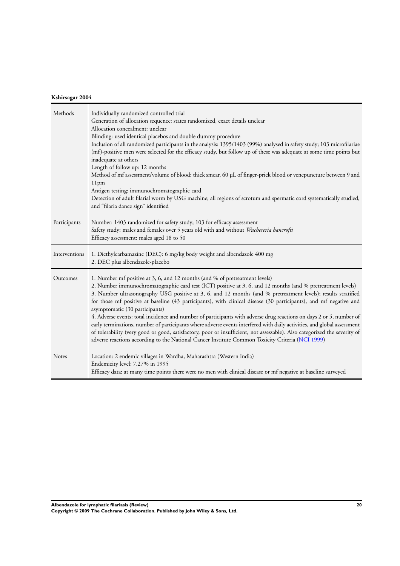## **Kshirsagar 2004**

| Methods       | Individually randomized controlled trial<br>Generation of allocation sequence: states randomized, exact details unclear<br>Allocation concealment: unclear<br>Blinding: used identical placebos and double dummy procedure<br>Inclusion of all randomized participants in the analysis: 1395/1403 (99%) analysed in safety study; 103 microfilariae<br>(mf)-positive men were selected for the efficacy study, but follow up of these was adequate at some time points but<br>inadequate at others<br>Length of follow up: 12 months<br>Method of mf assessment/volume of blood: thick smear, 60 µL of finger-prick blood or venepuncture between 9 and<br>11pm<br>Antigen testing: immunochromatographic card<br>Detection of adult filarial worm by USG machine; all regions of scrotum and spermatic cord systematically studied,<br>and "filaria dance sign" identified                                                                           |
|---------------|-------------------------------------------------------------------------------------------------------------------------------------------------------------------------------------------------------------------------------------------------------------------------------------------------------------------------------------------------------------------------------------------------------------------------------------------------------------------------------------------------------------------------------------------------------------------------------------------------------------------------------------------------------------------------------------------------------------------------------------------------------------------------------------------------------------------------------------------------------------------------------------------------------------------------------------------------------|
| Participants  | Number: 1403 randomized for safety study; 103 for efficacy assessment<br>Safety study: males and females over 5 years old with and without Wuchereria bancrofti<br>Efficacy assessment: males aged 18 to 50                                                                                                                                                                                                                                                                                                                                                                                                                                                                                                                                                                                                                                                                                                                                           |
| Interventions | 1. Diethylcarbamazine (DEC): 6 mg/kg body weight and albendazole 400 mg<br>2. DEC plus albendazole-placebo                                                                                                                                                                                                                                                                                                                                                                                                                                                                                                                                                                                                                                                                                                                                                                                                                                            |
| Outcomes      | 1. Number mf positive at 3, 6, and 12 months (and % of pretreatment levels)<br>2. Number immunochromatographic card test (ICT) positive at 3, 6, and 12 months (and % pretreatment levels)<br>3. Number ultrasonography USG positive at 3, 6, and 12 months (and % pretreatment levels); results stratified<br>for those mf positive at baseline (43 participants), with clinical disease (30 participants), and mf negative and<br>asymptomatic (30 participants)<br>4. Adverse events: total incidence and number of participants with adverse drug reactions on days 2 or 5, number of<br>early terminations, number of participants where adverse events interfered with daily activities, and global assessment<br>of tolerability (very good or good, satisfactory, poor or insufficient, not assessable). Also categorized the severity of<br>adverse reactions according to the National Cancer Institute Common Toxicity Criteria (NCI 1999) |
| Notes         | Location: 2 endemic villages in Wardha, Maharashtra (Western India)<br>Endemicity level: 7.27% in 1995<br>Efficacy data: at many time points there were no men with clinical disease or mf negative at baseline surveyed                                                                                                                                                                                                                                                                                                                                                                                                                                                                                                                                                                                                                                                                                                                              |

**Albendazole for lymphatic filariasis (Review) 20**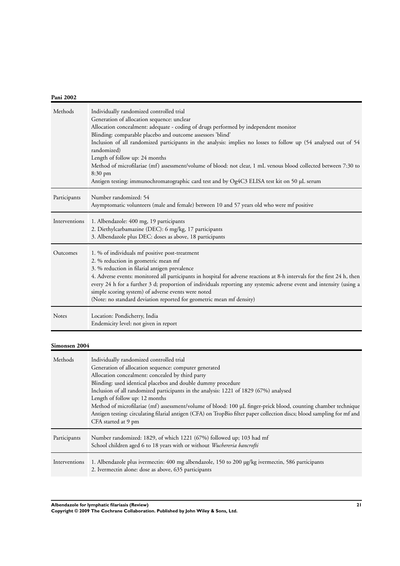## **Pani 2002**

| Methods       | Individually randomized controlled trial<br>Generation of allocation sequence: unclear<br>Allocation concealment: adequate - coding of drugs performed by independent monitor<br>Blinding: comparable placebo and outcome assessors 'blind'<br>Inclusion of all randomized participants in the analysis: implies no losses to follow up (54 analysed out of 54<br>randomized)<br>Length of follow up: 24 months<br>Method of microfilariae (mf) assessment/volume of blood: not clear, 1 mL venous blood collected between 7:30 to<br>8:30 pm<br>Antigen testing: immunochromatographic card test and by Og4C3 ELISA test kit on 50 µL serum |
|---------------|----------------------------------------------------------------------------------------------------------------------------------------------------------------------------------------------------------------------------------------------------------------------------------------------------------------------------------------------------------------------------------------------------------------------------------------------------------------------------------------------------------------------------------------------------------------------------------------------------------------------------------------------|
| Participants  | Number randomized: 54<br>Asymptomatic volunteers (male and female) between 10 and 57 years old who were mf positive                                                                                                                                                                                                                                                                                                                                                                                                                                                                                                                          |
| Interventions | 1. Albendazole: 400 mg, 19 participants<br>2. Diethylcarbamazine (DEC): 6 mg/kg, 17 participants<br>3. Albendazole plus DEC: doses as above, 18 participants                                                                                                                                                                                                                                                                                                                                                                                                                                                                                 |
| Outcomes      | 1. % of individuals mf positive post-treatment<br>2. % reduction in geometric mean mf<br>3. % reduction in filarial antigen prevalence<br>4. Adverse events: monitored all participants in hospital for adverse reactions at 8-h intervals for the first 24 h, then<br>every 24 h for a further 3 d; proportion of individuals reporting any systemic adverse event and intensity (using a<br>simple scoring system) of adverse events were noted<br>(Note: no standard deviation reported for geometric mean mf density)                                                                                                                    |
| <b>Notes</b>  | Location: Pondicherry, India<br>Endemicity level: not given in report                                                                                                                                                                                                                                                                                                                                                                                                                                                                                                                                                                        |

## **Simonsen 2004**

| Methods       | Individually randomized controlled trial<br>Generation of allocation sequence: computer generated<br>Allocation concealment: concealed by third party<br>Blinding: used identical placebos and double dummy procedure<br>Inclusion of all randomized participants in the analysis: 1221 of 1829 (67%) analysed<br>Length of follow up: 12 months<br>Method of microfilariae (mf) assessment/volume of blood: 100 µL finger-prick blood, counting chamber technique<br>Antigen testing: circulating filarial antigen (CFA) on TropBio filter paper collection discs; blood sampling for mf and<br>CFA started at 9 pm |
|---------------|----------------------------------------------------------------------------------------------------------------------------------------------------------------------------------------------------------------------------------------------------------------------------------------------------------------------------------------------------------------------------------------------------------------------------------------------------------------------------------------------------------------------------------------------------------------------------------------------------------------------|
| Participants  | Number randomized: 1829, of which 1221 (67%) followed up; 103 had mf<br>School children aged 6 to 18 years with or without Wuchereria bancrofti                                                                                                                                                                                                                                                                                                                                                                                                                                                                      |
| Interventions | 1. Albendazole plus ivermectin: 400 mg albendazole, 150 to 200 µg/kg ivermectin, 586 participants<br>2. Ivermectin alone: dose as above, 635 participants                                                                                                                                                                                                                                                                                                                                                                                                                                                            |

**Albendazole for lymphatic filariasis (Review) 21**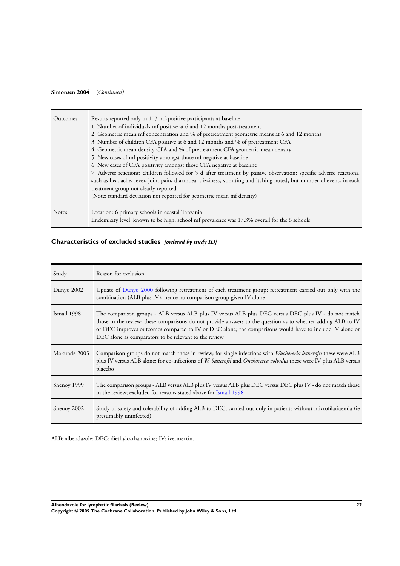## <span id="page-24-0"></span>**Simonsen 2004** (*Continued)*

| Outcomes     | Results reported only in 103 mf-positive participants at baseline<br>1. Number of individuals mf positive at 6 and 12 months post-treatment<br>2. Geometric mean mf concentration and % of pretreatment geometric means at 6 and 12 months<br>3. Number of children CFA positive at 6 and 12 months and % of pretreatment CFA<br>4. Geometric mean density CFA and % of pretreatment CFA geometric mean density<br>5. New cases of mf positivity amongst those mf negative at baseline<br>6. New cases of CFA positivity amongst those CFA negative at baseline<br>7. Adverse reactions: children followed for 5 d after treatment by passive observation; specific adverse reactions,<br>such as headache, fever, joint pain, diarrhoea, dizziness, vomiting and itching noted, but number of events in each<br>treatment group not clearly reported<br>(Note: standard deviation not reported for geometric mean mf density) |
|--------------|--------------------------------------------------------------------------------------------------------------------------------------------------------------------------------------------------------------------------------------------------------------------------------------------------------------------------------------------------------------------------------------------------------------------------------------------------------------------------------------------------------------------------------------------------------------------------------------------------------------------------------------------------------------------------------------------------------------------------------------------------------------------------------------------------------------------------------------------------------------------------------------------------------------------------------|
| <b>Notes</b> | Location: 6 primary schools in coastal Tanzania<br>Endemicity level: known to be high; school mf prevalence was 17.3% overall for the 6 schools                                                                                                                                                                                                                                                                                                                                                                                                                                                                                                                                                                                                                                                                                                                                                                                |

## **Characteristics of excluded studies** *[ordered by study ID]*

| Study        | Reason for exclusion                                                                                                                                                                                                                                                                                                                                                                     |
|--------------|------------------------------------------------------------------------------------------------------------------------------------------------------------------------------------------------------------------------------------------------------------------------------------------------------------------------------------------------------------------------------------------|
| Dunyo 2002   | Update of Dunyo 2000 following retreatment of each treatment group; retreatment carried out only with the<br>combination (ALB plus IV), hence no comparison group given IV alone                                                                                                                                                                                                         |
| Ismail 1998  | The comparison groups - ALB versus ALB plus IV versus ALB plus DEC versus DEC plus IV - do not match<br>those in the review; these comparisons do not provide answers to the question as to whether adding ALB to IV<br>or DEC improves outcomes compared to IV or DEC alone; the comparisons would have to include IV alone or<br>DEC alone as comparators to be relevant to the review |
| Makunde 2003 | Comparison groups do not match those in review; for single infections with Wuchereria bancrofii these were ALB<br>plus IV versus ALB alone; for co-infections of W. bancrofti and Onchocerca volvulus these were IV plus ALB versus<br>placebo                                                                                                                                           |
| Shenoy 1999  | The comparison groups - ALB versus ALB plus IV versus ALB plus DEC versus DEC plus IV - do not match those<br>in the review; excluded for reasons stated above for Ismail 1998                                                                                                                                                                                                           |
| Shenoy 2002  | Study of safety and tolerability of adding ALB to DEC; carried out only in patients without microfilariaemia (ie<br>presumably uninfected)                                                                                                                                                                                                                                               |

ALB: albendazole; DEC: diethylcarbamazine; IV: ivermectin.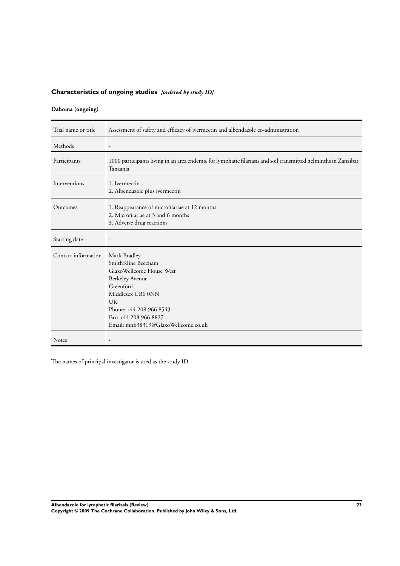## <span id="page-25-0"></span>**Characteristics of ongoing studies** *[ordered by study ID]*

## **Dahoma (ongoing)**

| Trial name or title | Assessment of safety and efficacy of ivermectin and albendazole co-administration                                                                                                                                                   |
|---------------------|-------------------------------------------------------------------------------------------------------------------------------------------------------------------------------------------------------------------------------------|
| Methods             |                                                                                                                                                                                                                                     |
| Participants        | 1000 participants living in an area endemic for lymphatic filariasis and soil transmitted helminths in Zanzibar,<br>Tanzania                                                                                                        |
| Interventions       | 1. Ivermectin<br>2. Albendazole plus ivermectin                                                                                                                                                                                     |
| Outcomes            | 1. Reappearance of microfilariae at 12 months<br>2. Microfilariae at 3 and 6 months<br>3. Adverse drug reactions                                                                                                                    |
| Starting date       |                                                                                                                                                                                                                                     |
| Contact information | Mark Bradley<br>SmithKline Beecham<br>Glaxo Wellcome House West<br><b>Berkeley Avenue</b><br>Greenford<br>Middlesex UB6 0NN<br><b>UK</b><br>Phone: +44 208 966 8543<br>Fax: +44 208 966 8827<br>Email: mhb38319@GlaxoWellcome.co.uk |
| <b>Notes</b>        |                                                                                                                                                                                                                                     |

The names of principal investigator is used as the study ID.

**Albendazole for lymphatic filariasis (Review) 23 Copyright © 2009 The Cochrane Collaboration. Published by John Wiley & Sons, Ltd.**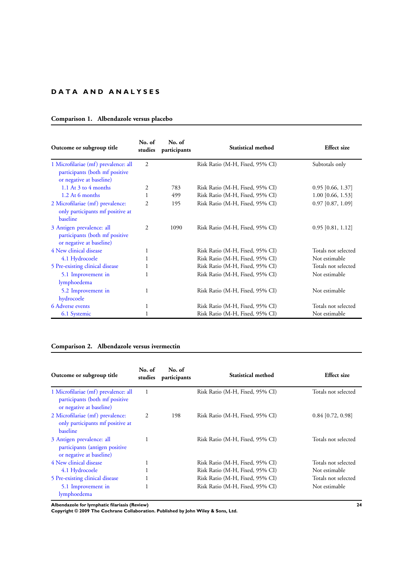## **D A T A A N D A N A L Y S E S**

## **Comparison 1. Albendazole versus placebo**

| Outcome or subgroup title                                                                          | No. of<br>No. of<br>participants<br>studies |      | Statistical method              | <b>Effect</b> size  |
|----------------------------------------------------------------------------------------------------|---------------------------------------------|------|---------------------------------|---------------------|
| 1 Microfilariae (mf) prevalence: all<br>participants (both mf positive<br>or negative at baseline) | $\overline{2}$                              |      | Risk Ratio (M-H, Fixed, 95% CI) | Subtotals only      |
| 1.1 At $3$ to $4$ months                                                                           | 2                                           | 783  | Risk Ratio (M-H, Fixed, 95% CI) | $0.95$ [0.66, 1.37] |
| $1.2$ At 6 months                                                                                  | 1                                           | 499  | Risk Ratio (M-H, Fixed, 95% CI) | $1.00$ [0.66, 1.53] |
| 2 Microfilariae (mf) prevalence:<br>only participants mf positive at<br>baseline                   | 2                                           | 195  | Risk Ratio (M-H, Fixed, 95% CI) | $0.97$ [0.87, 1.09] |
| 3 Antigen prevalence: all<br>participants (both mf positive<br>or negative at baseline)            | 2                                           | 1090 | Risk Ratio (M-H, Fixed, 95% CI) | $0.95$ [0.81, 1.12] |
| 4 New clinical disease                                                                             | $\mathbf{1}$                                |      | Risk Ratio (M-H, Fixed, 95% CI) | Totals not selected |
| 4.1 Hydrocoele                                                                                     | 1                                           |      | Risk Ratio (M-H, Fixed, 95% CI) | Not estimable       |
| 5 Pre-existing clinical disease                                                                    | 1                                           |      | Risk Ratio (M-H, Fixed, 95% CI) | Totals not selected |
| 5.1 Improvement in<br>lymphoedema                                                                  | 1                                           |      | Risk Ratio (M-H, Fixed, 95% CI) | Not estimable       |
| 5.2 Improvement in<br>hydrocoele                                                                   | 1                                           |      | Risk Ratio (M-H, Fixed, 95% CI) | Not estimable       |
| 6 Adverse events                                                                                   | 1                                           |      | Risk Ratio (M-H, Fixed, 95% CI) | Totals not selected |
| 6.1 Systemic                                                                                       |                                             |      | Risk Ratio (M-H, Fixed, 95% CI) | Not estimable       |

## **Comparison 2. Albendazole versus ivermectin**

| Outcome or subgroup title                                                                          | No. of<br>studies | No. of<br>participants | <b>Statistical method</b>       | <b>Effect</b> size  |
|----------------------------------------------------------------------------------------------------|-------------------|------------------------|---------------------------------|---------------------|
| 1 Microfilariae (mf) prevalence: all<br>participants (both mf positive<br>or negative at baseline) |                   |                        | Risk Ratio (M-H, Fixed, 95% CI) | Totals not selected |
| 2 Microfilariae (mf) prevalence:<br>only participants mf positive at<br><b>baseline</b>            | 2                 | 198                    | Risk Ratio (M-H, Fixed, 95% CI) | $0.84$ [0.72, 0.98] |
| 3 Antigen prevalence: all<br>participants (antigen positive<br>or negative at baseline)            |                   |                        | Risk Ratio (M-H, Fixed, 95% CI) | Totals not selected |
| 4 New clinical disease                                                                             |                   |                        | Risk Ratio (M-H, Fixed, 95% CI) | Totals not selected |
| 4.1 Hydrocoele                                                                                     |                   |                        | Risk Ratio (M-H, Fixed, 95% CI) | Not estimable       |
| 5 Pre-existing clinical disease                                                                    |                   |                        | Risk Ratio (M-H, Fixed, 95% CI) | Totals not selected |
| 5.1 Improvement in<br>lymphoedema                                                                  |                   |                        | Risk Ratio (M-H, Fixed, 95% CI) | Not estimable       |

**Albendazole for lymphatic filariasis (Review) 24**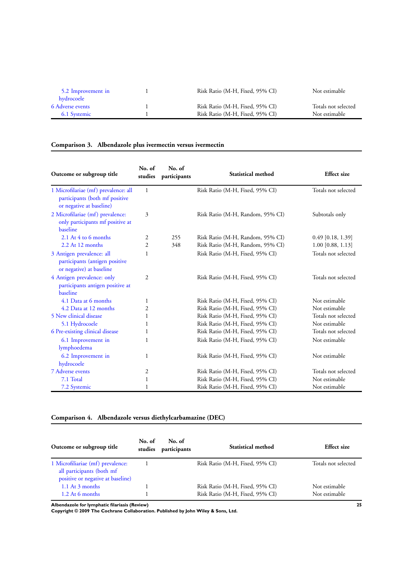| 5.2 Improvement in | Risk Ratio (M-H, Fixed, 95% CI) | Not estimable       |
|--------------------|---------------------------------|---------------------|
| hydrocoele         |                                 |                     |
| 6 Adverse events   | Risk Ratio (M-H, Fixed, 95% CI) | Totals not selected |
| 6.1 Systemic       | Risk Ratio (M-H, Fixed, 95% CI) | Not estimable       |

## **Comparison 3. Albendazole plus ivermectin versus ivermectin**

| Outcome or subgroup title                                                                          | No. of<br>No. of<br>studies<br>participants |     | <b>Statistical method</b>        | <b>Effect</b> size  |
|----------------------------------------------------------------------------------------------------|---------------------------------------------|-----|----------------------------------|---------------------|
| 1 Microfilariae (mf) prevalence: all<br>participants (both mf positive<br>or negative at baseline) | $\mathbf{1}$                                |     | Risk Ratio (M-H, Fixed, 95% CI)  | Totals not selected |
| 2 Microfilariae (mf) prevalence:<br>only participants mf positive at<br>baseline                   | 3                                           |     | Risk Ratio (M-H, Random, 95% CI) | Subtotals only      |
| 2.1 At 4 to 6 months                                                                               | 2                                           | 255 | Risk Ratio (M-H, Random, 95% CI) | $0.49$ [0.18, 1.39] |
| 2.2 At 12 months                                                                                   | $\overline{2}$                              | 348 | Risk Ratio (M-H, Random, 95% CI) | $1.00$ [0.88, 1.13] |
| 3 Antigen prevalence: all<br>participants (antigen positive<br>or negative) at baseline            | $\mathbf{1}$                                |     | Risk Ratio (M-H, Fixed, 95% CI)  | Totals not selected |
| 4 Antigen prevalence: only<br>participants antigen positive at<br><b>baseline</b>                  | 2                                           |     | Risk Ratio (M-H, Fixed, 95% CI)  | Totals not selected |
| 4.1 Data at 6 months                                                                               | 1                                           |     | Risk Ratio (M-H, Fixed, 95% CI)  | Not estimable       |
| 4.2 Data at 12 months                                                                              | 2                                           |     | Risk Ratio (M-H, Fixed, 95% CI)  | Not estimable       |
| 5 New clinical disease                                                                             | 1                                           |     | Risk Ratio (M-H, Fixed, 95% CI)  | Totals not selected |
| 5.1 Hydrocoele                                                                                     | 1                                           |     | Risk Ratio (M-H, Fixed, 95% CI)  | Not estimable       |
| 6 Pre-existing clinical disease                                                                    | 1                                           |     | Risk Ratio (M-H, Fixed, 95% CI)  | Totals not selected |
| 6.1 Improvement in<br>lymphoedema                                                                  | 1                                           |     | Risk Ratio (M-H, Fixed, 95% CI)  | Not estimable       |
| 6.2 Improvement in                                                                                 | 1                                           |     | Risk Ratio (M-H, Fixed, 95% CI)  | Not estimable       |
| hydrocoele                                                                                         |                                             |     |                                  |                     |
| 7 Adverse events                                                                                   | $\mathfrak{2}$                              |     | Risk Ratio (M-H, Fixed, 95% CI)  | Totals not selected |
| 7.1 Total                                                                                          | 1                                           |     | Risk Ratio (M-H, Fixed, 95% CI)  | Not estimable       |
| 7.2 Systemic                                                                                       | 1                                           |     | Risk Ratio (M-H, Fixed, 95% CI)  | Not estimable       |

## **Comparison 4. Albendazole versus diethylcarbamazine (DEC)**

| Outcome or subgroup title                                                                           | No. of<br>studies | No. of<br>participants | Statistical method                                                 | Effect size                    |
|-----------------------------------------------------------------------------------------------------|-------------------|------------------------|--------------------------------------------------------------------|--------------------------------|
| 1 Microfiliariae (mf) prevalence:<br>all participants (both mf<br>positive or negative at baseline) |                   |                        | Risk Ratio (M-H, Fixed, 95% CI)                                    | Totals not selected            |
| 1.1 At $3$ months<br>1.2 At 6 months                                                                |                   |                        | Risk Ratio (M-H, Fixed, 95% CI)<br>Risk Ratio (M-H, Fixed, 95% CI) | Not estimable<br>Not estimable |

**Albendazole for lymphatic filariasis (Review) 25**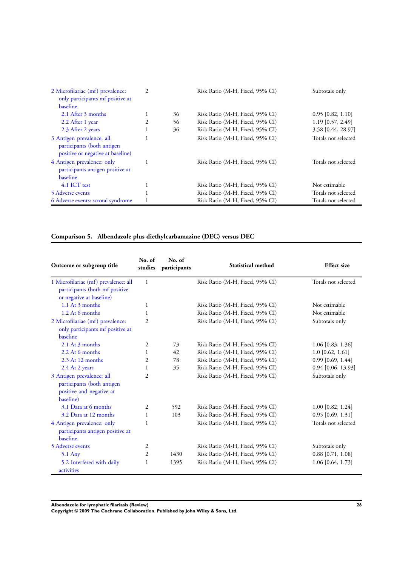| 2 Microfilariae (mf) prevalence:<br>only participants mf positive at<br><b>baseline</b>      | 2 |    | Risk Ratio (M-H, Fixed, 95% CI) | Subtotals only      |
|----------------------------------------------------------------------------------------------|---|----|---------------------------------|---------------------|
| 2.1 After 3 months                                                                           |   | 36 | Risk Ratio (M-H, Fixed, 95% CI) | $0.95$ [0.82, 1.10] |
| 2.2 After 1 year                                                                             | 2 | 56 | Risk Ratio (M-H, Fixed, 95% CI) | $1.19$ [0.57, 2.49] |
| 2.3 After 2 years                                                                            |   | 36 | Risk Ratio (M-H, Fixed, 95% CI) | 3.58 [0.44, 28.97]  |
| 3 Antigen prevalence: all<br>participants (both antigen<br>positive or negative at baseline) |   |    | Risk Ratio (M-H, Fixed, 95% CI) | Totals not selected |
| 4 Antigen prevalence: only<br>participants antigen positive at<br><b>baseline</b>            |   |    | Risk Ratio (M-H, Fixed, 95% CI) | Totals not selected |
| 4.1 ICT test                                                                                 |   |    | Risk Ratio (M-H, Fixed, 95% CI) | Not estimable       |
| 5 Adverse events                                                                             |   |    | Risk Ratio (M-H, Fixed, 95% CI) | Totals not selected |
| 6 Adverse events: scrotal syndrome                                                           |   |    | Risk Ratio (M-H, Fixed, 95% CI) | Totals not selected |

## **Comparison 5. Albendazole plus diethylcarbamazine (DEC) versus DEC**

| Outcome or subgroup title                                                                          | No. of<br>studies | No. of<br>participants | Statistical method              | <b>Effect</b> size   |
|----------------------------------------------------------------------------------------------------|-------------------|------------------------|---------------------------------|----------------------|
| 1 Microfilariae (mf) prevalence: all<br>participants (both mf positive<br>or negative at baseline) | $\mathbf{1}$      |                        | Risk Ratio (M-H, Fixed, 95% CI) | Totals not selected  |
| 1.1 At $3$ months                                                                                  | 1                 |                        | Risk Ratio (M-H, Fixed, 95% CI) | Not estimable        |
| 1.2 At 6 months                                                                                    | 1                 |                        | Risk Ratio (M-H, Fixed, 95% CI) | Not estimable        |
| 2 Microfilariae (mf) prevalence:<br>only participants mf positive at<br>baseline                   | $\overline{2}$    |                        | Risk Ratio (M-H, Fixed, 95% CI) | Subtotals only       |
| 2.1 At 3 months                                                                                    | 2                 | 73                     | Risk Ratio (M-H, Fixed, 95% CI) | $1.06$ [0.83, 1.36]  |
| 2.2 At 6 months                                                                                    | 1                 | 42                     | Risk Ratio (M-H, Fixed, 95% CI) | $1.0$ [0.62, 1.61]   |
| 2.3 At 12 months                                                                                   | 2                 | 78                     | Risk Ratio (M-H, Fixed, 95% CI) | $0.99$ [0.69, 1.44]  |
| 2.4 At 2 years                                                                                     | $\mathbf{1}$      | 35                     | Risk Ratio (M-H, Fixed, 95% CI) | $0.94$ [0.06, 13.93] |
| 3 Antigen prevalence: all<br>participants (both antigen<br>positive and negative at<br>baseline)   | $\overline{2}$    |                        | Risk Ratio (M-H, Fixed, 95% CI) | Subtotals only       |
| 3.1 Data at 6 months                                                                               | 2                 | 592                    | Risk Ratio (M-H, Fixed, 95% CI) | $1.00$ [0.82, 1.24]  |
| 3.2 Data at 12 months                                                                              | $\mathbf{1}$      | 103                    | Risk Ratio (M-H, Fixed, 95% CI) | $0.95$ [0.69, 1.31]  |
| 4 Antigen prevalence: only<br>participants antigen positive at<br>baseline                         | 1                 |                        | Risk Ratio (M-H, Fixed, 95% CI) | Totals not selected  |
| 5 Adverse events                                                                                   | 2                 |                        | Risk Ratio (M-H, Fixed, 95% CI) | Subtotals only       |
| $5.1$ Any                                                                                          | $\overline{c}$    | 1430                   | Risk Ratio (M-H, Fixed, 95% CI) | $0.88$ [0.71, 1.08]  |
| 5.2 Interfered with daily<br>activities                                                            | 1                 | 1395                   | Risk Ratio (M-H, Fixed, 95% CI) | 1.06 [0.64, 1.73]    |

**Albendazole for lymphatic filariasis (Review) 26**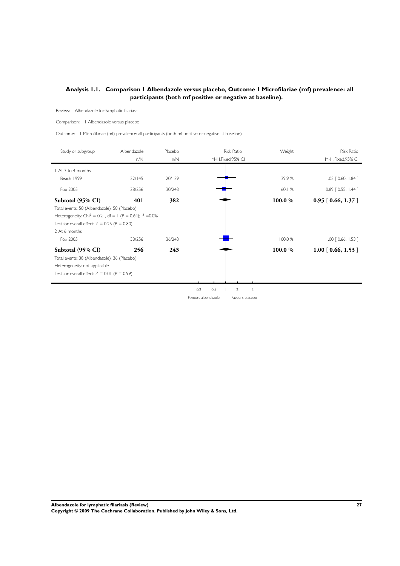## <span id="page-29-0"></span>**Analysis 1.1. Comparison 1 Albendazole versus placebo, Outcome 1 Microfilariae (mf) prevalence: all participants (both mf positive or negative at baseline).**

Review: Albendazole for lymphatic filariasis

Comparison: 1 Albendazole versus placebo

Outcome: 1 Microfilariae (mf) prevalence: all par ticipants (both mf positive or negative at baseline)

| Study or subgroup                                                       | Albendazole | Placebo | Risk Ratio                             | Weight      | Risk Ratio                 |
|-------------------------------------------------------------------------|-------------|---------|----------------------------------------|-------------|----------------------------|
|                                                                         | n/N         | $n/N$   | M-H,Fixed,95% CI                       |             | M-H, Fixed, 95% CI         |
| I At 3 to 4 months                                                      |             |         |                                        |             |                            |
| Beach 1999                                                              | 22/145      | 20/139  |                                        | 39.9%       | $1.05$ $[0.60, 1.84]$      |
| Fox 2005                                                                | 28/256      | 30/243  |                                        | 60.1%       | 0.89 [ 0.55, 1.44 ]        |
| Subtotal (95% CI)                                                       | 401         | 382     |                                        | 100.0 %     | $0.95$ [ $0.66$ , $1.37$ ] |
| Total events: 50 (Albendazole), 50 (Placebo)                            |             |         |                                        |             |                            |
| Heterogeneity: Chi <sup>2</sup> = 0.21, df = 1 (P = 0.64); $1^2$ = 0.0% |             |         |                                        |             |                            |
| Test for overall effect: $Z = 0.26$ (P = 0.80)                          |             |         |                                        |             |                            |
| 2 At 6 months                                                           |             |         |                                        |             |                            |
| Fox 2005                                                                | 38/256      | 36/243  |                                        | 100.0 %     | $1.00$ [ 0.66, 1.53 ]      |
| Subtotal (95% CI)                                                       | 256         | 243     |                                        | $100.0~\%$  | $1.00$ [ 0.66, 1.53 ]      |
| Total events: 38 (Albendazole), 36 (Placebo)                            |             |         |                                        |             |                            |
| Heterogeneity: not applicable                                           |             |         |                                        |             |                            |
| Test for overall effect: $Z = 0.01$ (P = 0.99)                          |             |         |                                        |             |                            |
|                                                                         |             |         | $\overline{2}$<br>$0.2\,$<br>0.5       | $\mathsf S$ |                            |
|                                                                         |             |         | Favours placebo<br>Favours albendazole |             |                            |
|                                                                         |             |         |                                        |             |                            |
|                                                                         |             |         |                                        |             |                            |
|                                                                         |             |         |                                        |             |                            |
|                                                                         |             |         |                                        |             |                            |
|                                                                         |             |         |                                        |             |                            |
|                                                                         |             |         |                                        |             |                            |
|                                                                         |             |         |                                        |             |                            |
|                                                                         |             |         |                                        |             |                            |
|                                                                         |             |         |                                        |             |                            |
|                                                                         |             |         |                                        |             |                            |
|                                                                         |             |         |                                        |             |                            |
|                                                                         |             |         |                                        |             |                            |
|                                                                         |             |         |                                        |             |                            |
|                                                                         |             |         |                                        |             |                            |
|                                                                         |             |         |                                        |             |                            |
|                                                                         |             |         |                                        |             |                            |
|                                                                         |             |         |                                        |             |                            |
|                                                                         |             |         |                                        |             |                            |
|                                                                         |             |         |                                        |             |                            |
|                                                                         |             |         |                                        |             |                            |
|                                                                         |             |         |                                        |             |                            |
|                                                                         |             |         |                                        |             |                            |

**Albendazole for lymphatic filariasis (Review) 27**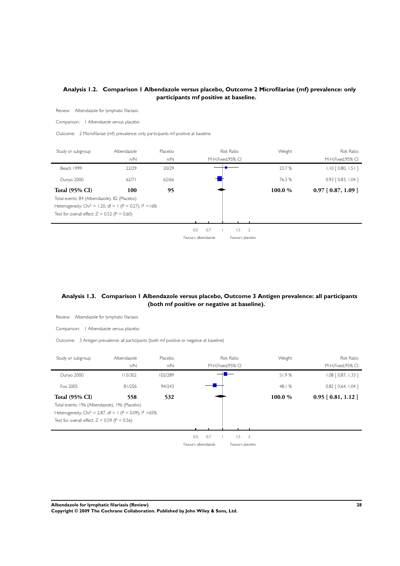## <span id="page-30-0"></span>**Analysis 1.2. Comparison 1 Albendazole versus placebo, Outcome 2 Microfilariae (mf) prevalence: only participants mf positive at baseline.**

Review: Albendazole for lymphatic filariasis

Comparison: 1 Albendazole versus placebo

Outcome: 2 Microfilariae (mf) prevalence: only par ticipants mf positive at baseline

| Albendazole                                    | Placebo |                                                                        |     |                     |                                         | Weight          | <b>Risk Ratio</b>       |
|------------------------------------------------|---------|------------------------------------------------------------------------|-----|---------------------|-----------------------------------------|-----------------|-------------------------|
| n/N                                            | n/N     |                                                                        |     |                     |                                         |                 | M-H, Fixed, 95% CI      |
| 22/29                                          | 20/29   |                                                                        |     |                     |                                         | 23.7 %          | $1.10$ $[0.80, 1.51]$   |
| 62/71                                          | 62/66   |                                                                        |     |                     |                                         | 76.3 %          | 0.93 [ 0.83, 1.04 ]     |
| 100                                            | 95      |                                                                        |     |                     |                                         | 100.0 %         | $0.97$ [ $0.87, 1.09$ ] |
| Total events: 84 (Albendazole), 82 (Placebo)   |         |                                                                        |     |                     |                                         |                 |                         |
|                                                |         |                                                                        |     |                     |                                         |                 |                         |
| Test for overall effect: $Z = 0.52$ (P = 0.60) |         |                                                                        |     |                     |                                         |                 |                         |
|                                                |         |                                                                        |     |                     |                                         |                 |                         |
|                                                |         | 0.5                                                                    | 0.7 | 1.5                 | $\overline{2}$                          |                 |                         |
|                                                |         |                                                                        |     |                     |                                         |                 |                         |
|                                                |         |                                                                        |     |                     |                                         |                 |                         |
|                                                |         |                                                                        |     |                     |                                         |                 |                         |
|                                                |         | Heterogeneity: Chi <sup>2</sup> = 1.20, df = 1 (P = 0.27); $1^2$ = 16% |     | Favours albendazole | <b>Risk Ratio</b><br>M-H, Fixed, 95% CI | Favours placebo |                         |

## **Analysis 1.3. Comparison 1 Albendazole versus placebo, Outcome 3 Antigen prevalence: all participants (both mf positive or negative at baseline).**

Review: Albendazole for lymphatic filariasis

Comparison: 1 Albendazole versus placebo

Outcome: 3 Antigen prevalence: all participants (both mf positive or negative at baseline)

| Study or subgroup                                                     | Albendazole | Placebo |                     | <b>Risk Ratio</b>     | Weight  | Risk Ratio                        |
|-----------------------------------------------------------------------|-------------|---------|---------------------|-----------------------|---------|-----------------------------------|
|                                                                       | n/N         | n/N     |                     | M-H, Fixed, 95% CI    |         | M-H, Fixed, 95% CI                |
| Dunyo 2000                                                            | 115/302     | 102/289 |                     |                       | 51.9%   | $1.08$ $[0.87, 1.33]$             |
| Fox 2005                                                              | 81/256      | 94/243  |                     |                       | 48.1 %  | $0.82$ $\lceil 0.64, 1.04 \rceil$ |
| <b>Total (95% CI)</b>                                                 | 558         | 532     |                     |                       | 100.0 % | $0.95$ [ $0.81, 1.12$ ]           |
| Total events: 196 (Albendazole), 196 (Placebo)                        |             |         |                     |                       |         |                                   |
| Heterogeneity: Chi <sup>2</sup> = 2.87, df = 1 (P = 0.09); $1^2$ =65% |             |         |                     |                       |         |                                   |
| Test for overall effect: $Z = 0.59$ (P = 0.56)                        |             |         |                     |                       |         |                                   |
|                                                                       |             |         |                     |                       |         |                                   |
|                                                                       |             |         | 0.7<br>0.5          | 1.5<br>$\overline{2}$ |         |                                   |
|                                                                       |             |         | Favours albendazole | Favours placebo       |         |                                   |
|                                                                       |             |         |                     |                       |         |                                   |
|                                                                       |             |         |                     |                       |         |                                   |
|                                                                       |             |         |                     |                       |         |                                   |

**Albendazole for lymphatic filariasis (Review) 28**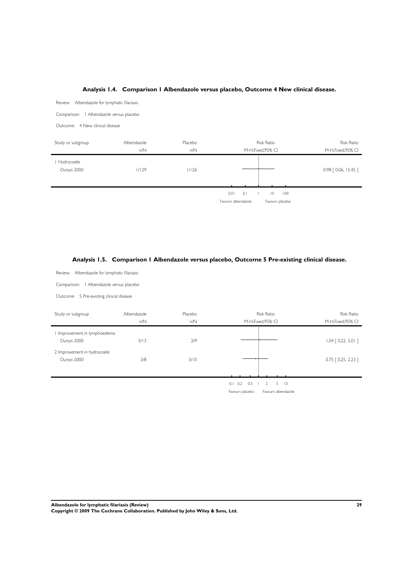## **Analysis 1.4. Comparison 1 Albendazole versus placebo, Outcome 4 New clinical disease.**

<span id="page-31-0"></span>Review: Albendazole for lymphatic filariasis Comparison: 1 Albendazole versus placebo Outcome: 4 New clinical disease Study or subgroup and Albendazole Risk Ratio Risk Ratio Risk Ratio Risk Ratio Risk Ratio Risk Ratio Risk Ratio 1 Hydrocoele

| dy or subgroup<br>Placebo<br>Albendazole<br>n/N<br>n/N |       |       | <b>Risk Ratio</b><br>M-H, Fixed, 95% CI |                                          | <b>Risk Ratio</b><br>M-H, Fixed, 95% CI |  |
|--------------------------------------------------------|-------|-------|-----------------------------------------|------------------------------------------|-----------------------------------------|--|
| lydrocoele<br>Dunyo 2000                               | 1/129 | 1/126 |                                         |                                          | 0.98 [ 0.06, 15.45 ]                    |  |
|                                                        |       |       | 0.01<br>0.1<br>Favours albendazole      | $\overline{0}$<br>100<br>Favours placebo |                                         |  |

## **Analysis 1.5. Comparison 1 Albendazole versus placebo, Outcome 5 Pre-existing clinical disease.**

Review: Albendazole for lymphatic filariasis Comparison: 1 Albendazole versus placebo Outcome: 5 Pre-existing clinical disease Study or subgroup **Albendazole** Placebo Risk Ratio Risk Ratio Risk Ratio Risk Ratio Risk Ratio n/N 11 n/N M-H,Fixed,95% CI M-H,Fixed,95% CI M-H,Fixed,95% CI 1 Improvement in lymphoedema Dunyo 2000 3/13 2/9 2000 3/13 2/9 2000 3/13 2000 3/13 2/9 2 Improvement in hydrocoele Dunyo 2000 3/8 3/8 5/10 5/10 3/8 5/10 3/8 5/10  $0.1 \t0.2 \t0.5 \t1 2 \t5 10$ Favours placebo | Favours albendazole

**Albendazole for lymphatic filariasis (Review) 29**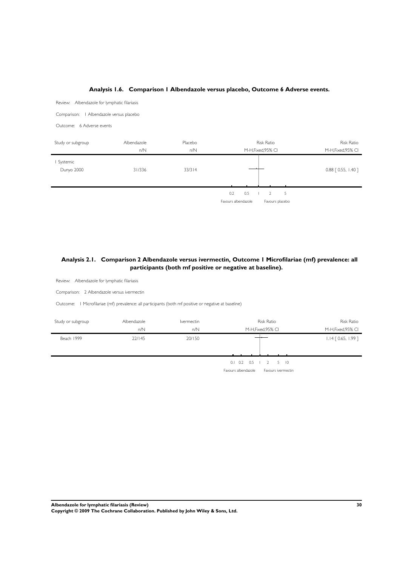## **Analysis 1.6. Comparison 1 Albendazole versus placebo, Outcome 6 Adverse events.**

<span id="page-32-0"></span>

| Review: Albendazole for lymphatic filariasis |                              |                |                                   |                                         |                                  |
|----------------------------------------------|------------------------------|----------------|-----------------------------------|-----------------------------------------|----------------------------------|
| Comparison:                                  | I Albendazole versus placebo |                |                                   |                                         |                                  |
| 6 Adverse events<br>Outcome:                 |                              |                |                                   |                                         |                                  |
| Study or subgroup                            | Albendazole<br>n/N           | Placebo<br>n/N |                                   | <b>Risk Ratio</b><br>M-H, Fixed, 95% CI | Risk Ratio<br>M-H, Fixed, 95% CI |
| Systemic<br>Dunyo 2000                       | 31/336                       | 33/314         |                                   |                                         | $0.88$ $[ 0.55, 1.40 ]$          |
|                                              |                              |                | 0.2<br>0.5<br>Favours albendazole | $\overline{2}$<br>5<br>Favours placebo  |                                  |

## **Analysis 2.1. Comparison 2 Albendazole versus ivermectin, Outcome 1 Microfilariae (mf) prevalence: all participants (both mf positive or negative at baseline).**

Review: Albendazole for lymphatic filariasis Comparison: 2 Albendazole versus ivermectin Outcome: I Microfilariae (mf) prevalence: all participants (both mf positive or negative at baseline) Study or subgroup **Albendazole Ivermectin Ivermectin** Risk Ratio Risk Ratio Risk Ratio Risk Ratio n/N  $n/N$   $n/N$  M-H,Fixed,95% CI  $M$ -H,Fixed,95% CI Beach 1999 22/145 20/150  $\frac{1}{2}$  20/150  $\frac{1}{2}$  1.14 [ 0.65, 1.99 ]  $0.1 \t0.2 \t0.5 \t 2 \t 5 \t 10$ Favours albendazole | Favours ivermectin

**Albendazole for lymphatic filariasis (Review) 30**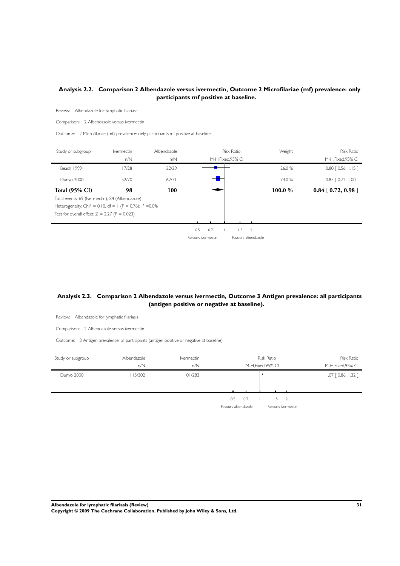## <span id="page-33-0"></span>**Analysis 2.2. Comparison 2 Albendazole versus ivermectin, Outcome 2 Microfilariae (mf) prevalence: only participants mf positive at baseline.**

Review: Albendazole for lymphatic filariasis

Comparison: 2 Albendazole versus ivermectin

Outcome: 2 Microfilariae (mf) prevalence: only par ticipants mf positive at baseline

| Study or subgroup                                                      | <b>lvermectin</b> | Albendazole |                    |     | <b>Risk Ratio</b>  |                     | Weight | <b>Risk Ratio</b>     |
|------------------------------------------------------------------------|-------------------|-------------|--------------------|-----|--------------------|---------------------|--------|-----------------------|
|                                                                        | n/N               | n/N         |                    |     | M-H, Fixed, 95% CI |                     |        | M-H, Fixed, 95% CI    |
| Beach 1999                                                             | 17/28             | 22/29       |                    |     |                    |                     | 26.0 % | $0.80$ $[0.56, 1.15]$ |
| Dunyo 2000                                                             | 52/70             | 62/71       |                    |     |                    |                     | 74.0 % | $0.85$ $[0.72, 1.00]$ |
| <b>Total (95% CI)</b>                                                  | 98                | 100         |                    |     |                    |                     | 100.0% | $0.84$ [ 0.72, 0.98 ] |
| Total events: 69 (Ivermectin), 84 (Albendazole)                        |                   |             |                    |     |                    |                     |        |                       |
| Heterogeneity: Chi <sup>2</sup> = 0.10, df = 1 (P = 0.76); $1^2$ =0.0% |                   |             |                    |     |                    |                     |        |                       |
| Test for overall effect: $Z = 2.27$ (P = 0.023)                        |                   |             |                    |     |                    |                     |        |                       |
|                                                                        |                   |             |                    |     |                    |                     |        |                       |
|                                                                        |                   |             | 0.5                | 0.7 | $1.5 - 2$          |                     |        |                       |
|                                                                        |                   |             | Favours ivermectin |     |                    | Favours albendazole |        |                       |
|                                                                        |                   |             |                    |     |                    |                     |        |                       |

## **Analysis 2.3. Comparison 2 Albendazole versus ivermectin, Outcome 3 Antigen prevalence: all participants (antigen positive or negative at baseline).**

Review: Albendazole for lymphatic filariasis

Comparison: 2 Albendazole versus ivermectin

Outcome: 3 Antigen prevalence: all participants (antigen positive or negative at baseline)

| Study or subgroup                             | Albendazole<br>n/N | <b>lvermectin</b><br>n/N |                                   | <b>Risk Ratio</b><br>M-H,Fixed,95% CI       | <b>Risk Ratio</b><br>M-H, Fixed, 95% CI |
|-----------------------------------------------|--------------------|--------------------------|-----------------------------------|---------------------------------------------|-----------------------------------------|
| Dunyo 2000                                    | 115/302            | 101/283                  |                                   |                                             | 1.07 [ 0.86, 1.32 ]                     |
|                                               |                    |                          |                                   |                                             |                                         |
|                                               |                    |                          | 0.5<br>0.7<br>Favours albendazole | 1.5<br>$\overline{2}$<br>Favours ivermectin |                                         |
| Albendazole for lymphatic filariasis (Review) |                    |                          |                                   |                                             | 31                                      |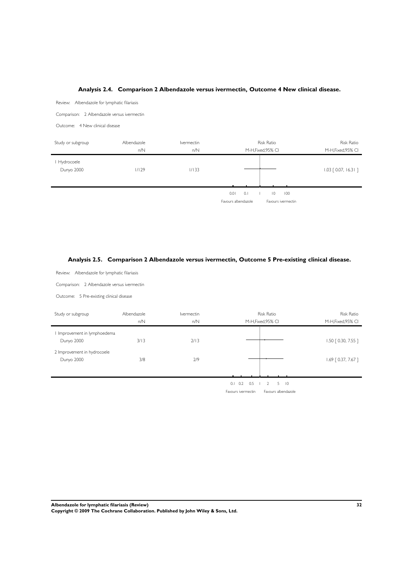## **Analysis 2.4. Comparison 2 Albendazole versus ivermectin, Outcome 4 New clinical disease.**

<span id="page-34-0"></span>Review: Albendazole for lymphatic filariasis

Comparison: 2 Albendazole versus ivermectin

Outcome: 4 New clinical disease

| Study or subgroup | Albendazole<br>n/N | lvermectin<br>n/N | <b>Risk Ratio</b><br>M-H, Fixed, 95% CI |                        | <b>Risk Ratio</b><br>M-H, Fixed, 95% CI |
|-------------------|--------------------|-------------------|-----------------------------------------|------------------------|-----------------------------------------|
|                   |                    |                   |                                         |                        |                                         |
| I Hydrocoele      |                    |                   |                                         |                        |                                         |
| Dunyo 2000        | 1/129              | 1/133             |                                         |                        | $1.03$ [ 0.07, 16.31 ]                  |
|                   |                    |                   |                                         |                        |                                         |
|                   |                    |                   |                                         |                        |                                         |
|                   |                    |                   | 0.01<br>0.1                             | $\overline{10}$<br>100 |                                         |
|                   |                    |                   | Favours albendazole                     | Favours ivermectin     |                                         |
|                   |                    |                   |                                         |                        |                                         |
|                   |                    |                   |                                         |                        |                                         |
|                   |                    |                   |                                         |                        |                                         |

## **Analysis 2.5. Comparison 2 Albendazole versus ivermectin, Outcome 5 Pre-existing clinical disease.**

| Review: Albendazole for lymphatic filariasis  |             |            |                    |                         |                       |
|-----------------------------------------------|-------------|------------|--------------------|-------------------------|-----------------------|
| Comparison: 2 Albendazole versus ivermectin   |             |            |                    |                         |                       |
| Outcome: 5 Pre-existing clinical disease      |             |            |                    |                         |                       |
|                                               |             |            |                    |                         |                       |
| Study or subgroup                             | Albendazole | lvermectin |                    | Risk Ratio              | Risk Ratio            |
|                                               | $n/N$       | $n/N$      | M-H,Fixed,95% CI   |                         | M-H,Fixed,95% CI      |
| I Improvement in lymphoedema<br>Dunyo 2000    | 3/13        | 2/13       |                    |                         | 1.50 [ 0.30, 7.55 ]   |
| 2 Improvement in hydrocoele<br>Dunyo 2000     | 3/8         | 2/9        |                    |                         | $1.69$ [ 0.37, 7.67 ] |
|                                               |             |            |                    |                         |                       |
|                                               |             |            | $0.1$ $0.2$ $0.5$  | 5<br> 0<br>$\mathbf{2}$ |                       |
|                                               |             |            | Favours ivermectin | Favours albendazole     |                       |
|                                               |             |            |                    |                         |                       |
|                                               |             |            |                    |                         |                       |
|                                               |             |            |                    |                         |                       |
|                                               |             |            |                    |                         |                       |
|                                               |             |            |                    |                         |                       |
|                                               |             |            |                    |                         |                       |
|                                               |             |            |                    |                         |                       |
|                                               |             |            |                    |                         |                       |
|                                               |             |            |                    |                         |                       |
|                                               |             |            |                    |                         |                       |
| Albendazole for lymphatic filariasis (Review) |             |            |                    |                         | 32                    |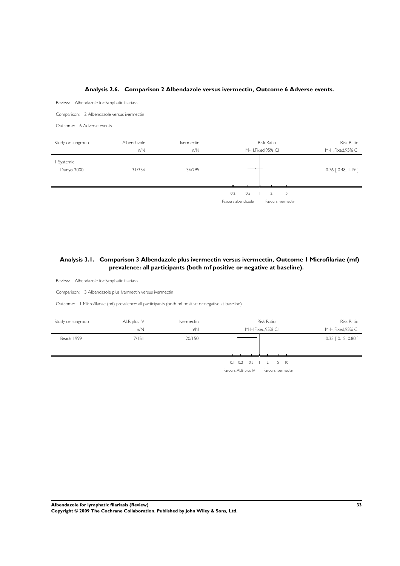### **Analysis 2.6. Comparison 2 Albendazole versus ivermectin, Outcome 6 Adverse events.**

<span id="page-35-0"></span>Review: Albendazole for lymphatic filariasis Comparison: 2 Albendazole versus ivermectin

| Outcome: 6 Adverse events |             |            |                     |                     |                       |
|---------------------------|-------------|------------|---------------------|---------------------|-----------------------|
| Study or subgroup         | Albendazole | lvermectin |                     | <b>Risk Ratio</b>   | <b>Risk Ratio</b>     |
|                           | n/N         | n/N        |                     | M-H, Fixed, 95% CI  | M-H, Fixed, 95% CI    |
| I Systemic                |             |            |                     |                     |                       |
| Dunyo 2000                | 31/336      | 36/295     |                     |                     | $0.76$ $[0.48, 1.19]$ |
|                           |             |            |                     |                     |                       |
|                           |             |            | 0.5<br>0.2          | $\overline{2}$<br>5 |                       |
|                           |             |            | Favours albendazole | Favours ivermectin  |                       |
|                           |             |            |                     |                     |                       |
|                           |             |            |                     |                     |                       |
|                           |             |            |                     |                     |                       |

## **Analysis 3.1. Comparison 3 Albendazole plus ivermectin versus ivermectin, Outcome 1 Microfilariae (mf) prevalence: all participants (both mf positive or negative at baseline).**

Review: Albendazole for lymphatic filariasis Comparison: 3 Albendazole plus ivermectin versus ivermectin Outcome: I Microfilariae (mf) prevalence: all participants (both mf positive or negative at baseline) Study or subgroup Thisk Ratio<br>
Risk Ratio Thisk Ratio Risk Ratio Risk Ratio Risk Ratio Risk Ratio Risk Ratio Risk Ratio n/N n/N M-H,Fixed,95% CI M-H,Fixed,95% CI Beach 1999 7/151 20/150 0.35 [ 0.15, 0.80 ]  $0.1 \t0.2 \t0.5 \t 2 \t 5 \t 10$ Favours ALB plus IV Favours ivermectin

**Albendazole for lymphatic filariasis (Review) 33**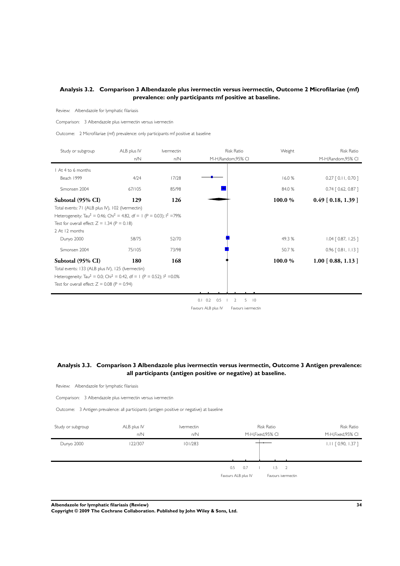## <span id="page-36-0"></span>**Analysis 3.2. Comparison 3 Albendazole plus ivermectin versus ivermectin, Outcome 2 Microfilariae (mf) prevalence: only participants mf positive at baseline.**

Review: Albendazole for lymphatic filariasis

Comparison: 3 Albendazole plus ivermectin versus ivermectin

Outcome: 2 Microfilariae (mf) prevalence: only par ticipants mf positive at baseline

| Study or subgroup                                                                                         | ALB plus IV | lvermectin | Risk Ratio                                         | Weight  | Risk Ratio            |
|-----------------------------------------------------------------------------------------------------------|-------------|------------|----------------------------------------------------|---------|-----------------------|
|                                                                                                           | n/N         | n/N        | M-H, Random, 95% CI                                |         | M-H, Random, 95% CI   |
| At 4 to 6 months                                                                                          |             |            |                                                    |         |                       |
| Beach 1999                                                                                                | 4/24        | 17/28      |                                                    | 16.0%   | $0.27$ [ 0.11, 0.70 ] |
| Simonsen 2004                                                                                             | 67/105      | 85/98      |                                                    | 84.0 %  | $0.74$ $[0.62, 0.87]$ |
| Subtotal (95% CI)                                                                                         | 129         | 126        |                                                    | 100.0 % | $0.49$ [ 0.18, 1.39 ] |
| Total events: 71 (ALB plus IV), 102 (Ivermectin)                                                          |             |            |                                                    |         |                       |
| Heterogeneity: Tau <sup>2</sup> = 0.46; Chi <sup>2</sup> = 4.82, df = 1 (P = 0.03); $\frac{1^2}{7}$ = 79% |             |            |                                                    |         |                       |
| Test for overall effect: $Z = 1.34$ (P = 0.18)                                                            |             |            |                                                    |         |                       |
| 2 At 12 months                                                                                            |             |            |                                                    |         |                       |
| Dunyo 2000                                                                                                | 58/75       | 52/70      |                                                    | 49.3 %  | $1.04$ $[0.87, 1.25]$ |
| Simonsen 2004                                                                                             | 75/105      | 73/98      |                                                    | 50.7 %  | $0.96$ $[0.81, 1.13]$ |
| Subtotal (95% CI)                                                                                         | 180         | 168        |                                                    | 100.0%  | $1.00$ [ 0.88, 1.13 ] |
| Total events: 133 (ALB plus IV), 125 (Ivermectin)                                                         |             |            |                                                    |         |                       |
| Heterogeneity: Tau <sup>2</sup> = 0.0; Chi <sup>2</sup> = 0.42, df = 1 (P = 0.52); l <sup>2</sup> = 0.0%  |             |            |                                                    |         |                       |
| Test for overall effect: $Z = 0.08$ (P = 0.94)                                                            |             |            |                                                    |         |                       |
|                                                                                                           |             |            |                                                    |         |                       |
|                                                                                                           |             |            | $0.1 \quad 0.2$<br>0.5<br>$\overline{0}$<br>2<br>5 |         |                       |

Favours ALB plus IV Favours ivermectin

## **Analysis 3.3. Comparison 3 Albendazole plus ivermectin versus ivermectin, Outcome 3 Antigen prevalence: all participants (antigen positive or negative) at baseline.**

| Albendazole for lymphatic filariasis (Review) |                                                                                   |                          |                                   |                                             | 34                                      |
|-----------------------------------------------|-----------------------------------------------------------------------------------|--------------------------|-----------------------------------|---------------------------------------------|-----------------------------------------|
|                                               |                                                                                   |                          | 0.5<br>0.7<br>Favours ALB plus IV | 1.5<br>$\overline{2}$<br>Favours ivermectin |                                         |
| Dunyo 2000                                    | 122/307                                                                           | 101/283                  |                                   |                                             | $1.11$ $[0.90, 1.37]$                   |
| Study or subgroup                             | ALB plus IV<br>n/N                                                                | <b>Ivermectin</b><br>n/N |                                   | <b>Risk Ratio</b><br>M-H, Fixed, 95% CI     | <b>Risk Ratio</b><br>M-H, Fixed, 95% CI |
| Outcome:                                      | 3 Antigen prevalence: all participants (antigen positive or negative) at baseline |                          |                                   |                                             |                                         |
| Comparison:                                   | 3 Albendazole plus ivermectin versus ivermectin                                   |                          |                                   |                                             |                                         |
| Review: Albendazole for lymphatic filariasis  |                                                                                   |                          |                                   |                                             |                                         |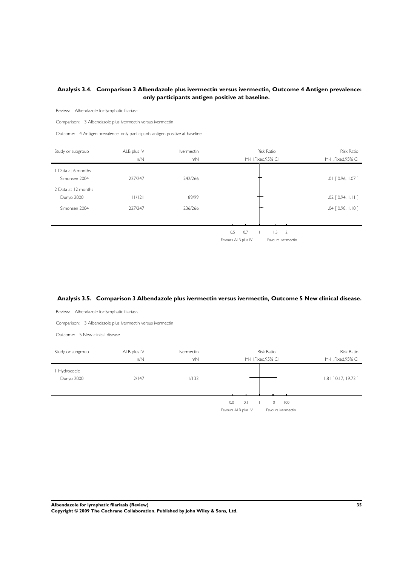## <span id="page-37-0"></span>**Analysis 3.4. Comparison 3 Albendazole plus ivermectin versus ivermectin, Outcome 4 Antigen prevalence: only participants antigen positive at baseline.**

Review: Albendazole for lymphatic filariasis

Comparison: 3 Albendazole plus ivermectin versus ivermectin

Outcome: 4 Antigen prevalence: only participants antigen positive at baseline

| Study or subgroup                 | ALB plus IV | <b>Ivermectin</b> |                     | <b>Risk Ratio</b>     |                       |
|-----------------------------------|-------------|-------------------|---------------------|-----------------------|-----------------------|
|                                   | n/N         | n/N               |                     | M-H, Fixed, 95% CI    | M-H, Fixed, 95% CI    |
| Data at 6 months<br>Simonsen 2004 | 227/247     | 242/266           |                     |                       | $1.01$ $[0.96, 1.07]$ |
| 2 Data at 12 months               |             |                   |                     |                       |                       |
| Dunyo 2000                        | 111/121     | 89/99             |                     |                       | $1.02$ $[0.94, 1.11]$ |
| Simonsen 2004                     | 227/247     | 236/266           |                     |                       | $1.04$ $[0.98, 1.10]$ |
|                                   |             |                   |                     |                       |                       |
|                                   |             |                   | 0.5<br>0.7          | 1.5<br>$\overline{2}$ |                       |
|                                   |             |                   | Favours ALB plus IV | Favours ivermectin    |                       |

## **Analysis 3.5. Comparison 3 Albendazole plus ivermectin versus ivermectin, Outcome 5 New clinical disease.**

| Albendazole for lymphatic filariasis (Review)               |                    |                   |                                    |                                             | 35                               |
|-------------------------------------------------------------|--------------------|-------------------|------------------------------------|---------------------------------------------|----------------------------------|
|                                                             |                    |                   |                                    |                                             |                                  |
|                                                             |                    |                   | 0.1<br>0.01<br>Favours ALB plus IV | 100<br>$\overline{0}$<br>Favours ivermectin |                                  |
| Hydrocoele<br>Dunyo 2000                                    | 2/147              | 1/133             |                                    |                                             | $1.81$ [ 0.17, 19.73 ]           |
| Study or subgroup                                           | ALB plus IV<br>n/N | Ivermectin<br>n/N |                                    | <b>Risk Ratio</b><br>M-H,Fixed,95% CI       | Risk Ratio<br>M-H, Fixed, 95% CI |
| Outcome: 5 New clinical disease                             |                    |                   |                                    |                                             |                                  |
| Comparison: 3 Albendazole plus ivermectin versus ivermectin |                    |                   |                                    |                                             |                                  |
| Review: Albendazole for lymphatic filariasis                |                    |                   |                                    |                                             |                                  |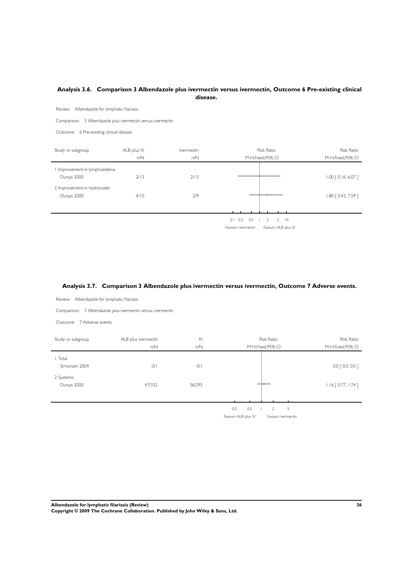## <span id="page-38-0"></span>**Analysis 3.6. Comparison 3 Albendazole plus ivermectin versus ivermectin, Outcome 6 Pre-existing clinical disease.**

Review: Albendazole for lymphatic filariasis Comparison: 3 Albendazole plus ivermectin versus ivermectin Outcome: 6 Pre-existing clinical disease Study or subgroup **ALB plus IV** Ivermectin **ALB plus IV** Ivermectin Risk Ratio Risk Ratio Risk Ratio n/N n/N M-H,Fixed,95% CI M-H,Fixed,95% CI 1 Improvement in lymphoedema Dunyo 2000 2/13 2/13 1.00 [ 0.16, 6.07 ] 2 Improvement in hydrocoele Dunyo 2000 4/10 2/9 2000 4/10 2000 4/10 2000 2000 4/10 0.1 0.2 0.5 1 2 5 10 Favours ivermectin Favours ALB plus IV

## **Analysis 3.7. Comparison 3 Albendazole plus ivermectin versus ivermectin, Outcome 7 Adverse events.**

| Albendazole for lymphatic filariasis (Review) |                                                             |                                 |                                   |                                           | 36                                      |
|-----------------------------------------------|-------------------------------------------------------------|---------------------------------|-----------------------------------|-------------------------------------------|-----------------------------------------|
|                                               |                                                             |                                 |                                   |                                           |                                         |
|                                               |                                                             |                                 | 0.2<br>0.5<br>Favours ALB plus IV | 5<br>$\overline{2}$<br>Favours ivermectin |                                         |
| 2 Systemic<br>Dunyo 2000                      | 47/332                                                      | 36/295                          |                                   |                                           | $1.16$ [ 0.77, 1.74 ]                   |
| I Total<br>Simonsen 2004                      | 0/1                                                         | 0/1                             |                                   |                                           | $0.0$ [ 0.0, 0.0 ]                      |
| Study or subgroup                             | ALB plus ivermectin<br>$n/N$                                | ${\mathsf I}{\mathsf V}$<br>n/N | M-H,Fixed,95% CI                  | <b>Risk Ratio</b>                         | <b>Risk Ratio</b><br>M-H, Fixed, 95% CI |
| Outcome: 7 Adverse events                     |                                                             |                                 |                                   |                                           |                                         |
|                                               | Comparison: 3 Albendazole plus ivermectin versus ivermectin |                                 |                                   |                                           |                                         |
| Review: Albendazole for lymphatic filariasis  |                                                             |                                 |                                   |                                           |                                         |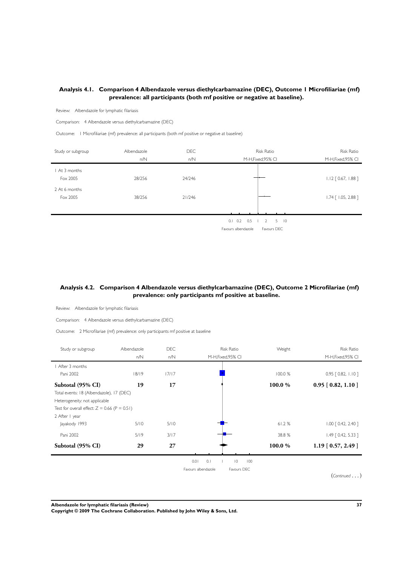## <span id="page-39-0"></span>**Analysis 4.1. Comparison 4 Albendazole versus diethylcarbamazine (DEC), Outcome 1 Microfiliariae (mf) prevalence: all participants (both mf positive or negative at baseline).**

Review: Albendazole for lymphatic filariasis

Comparison: 4 Albendazole versus diethylcarbamazine (DEC)

Outcome: I Microfiliariae (mf) prevalence: all participants (both mf positive or negative at baseline)

| Study or subgroup         | Albendazole | <b>DEC</b> | <b>Risk Ratio</b>                                  | <b>Risk Ratio</b>     |
|---------------------------|-------------|------------|----------------------------------------------------|-----------------------|
|                           | n/N         | n/N        | M-H, Fixed, 95% CI                                 | M-H, Fixed, 95% CI    |
| At 3 months<br>Fox 2005   | 28/256      | 24/246     |                                                    | $1.12$ $[0.67, 1.88]$ |
| 2 At 6 months<br>Fox 2005 | 38/256      | 21/246     |                                                    | $1.74$ [ 1.05, 2.88 ] |
|                           |             |            |                                                    |                       |
|                           |             |            | $5 \quad 10$<br>$0.2$ 0.5<br>0.1<br>$\overline{2}$ |                       |
|                           |             |            | Favours albendazole<br>Favours DEC                 |                       |
|                           |             |            |                                                    |                       |
|                           |             |            |                                                    |                       |

## **Analysis 4.2. Comparison 4 Albendazole versus diethylcarbamazine (DEC), Outcome 2 Microfilariae (mf) prevalence: only participants mf positive at baseline.**

| Review: Albendazole for lymphatic filariasis                                                                                                  |                    |                   |                                                                         |         |                                         |
|-----------------------------------------------------------------------------------------------------------------------------------------------|--------------------|-------------------|-------------------------------------------------------------------------|---------|-----------------------------------------|
| Comparison: 4 Albendazole versus diethylcarbamazine (DEC)                                                                                     |                    |                   |                                                                         |         |                                         |
| Outcome: 2 Microfilariae (mf) prevalence: only participants mf positive at baseline                                                           |                    |                   |                                                                         |         |                                         |
| Study or subgroup                                                                                                                             | Albendazole<br>n/N | <b>DEC</b><br>n/N | <b>Risk Ratio</b><br>M-H, Fixed, 95% CI                                 | Weight  | <b>Risk Ratio</b><br>M-H, Fixed, 95% CI |
| After 3 months<br>Pani 2002                                                                                                                   | 18/19              | 17/17             |                                                                         | 100.0 % | $0.95$ $[0.82, 1.10]$                   |
| Subtotal (95% CI)                                                                                                                             | 19                 | 17                |                                                                         | 100.0%  | $0.95$ [ 0.82, 1.10 ]                   |
| Total events: 18 (Albendazole), 17 (DEC)<br>Heterogeneity: not applicable<br>Test for overall effect: $Z = 0.66$ (P = 0.51)<br>2 After I year |                    |                   |                                                                         |         |                                         |
| Jayakody 1993                                                                                                                                 | 5/10               | 5/10              |                                                                         | 61.2%   | $1.00$ $[0.42, 2.40]$                   |
| Pani 2002                                                                                                                                     | 5/19               | 3/17              |                                                                         | 38.8%   | $1.49$ $[0.42, 5.33]$                   |
| Subtotal (95% CI)                                                                                                                             | 29                 | 27                |                                                                         | 100.0%  | $1.19$ [ 0.57, 2.49 ]                   |
|                                                                                                                                               |                    |                   | 0.01<br>0.1<br>$ 0\rangle$<br>100<br>Favours albendazole<br>Favours DEC |         | $\sqrt{2}$ $\sqrt{2}$                   |

(*Continued* ... )

**Albendazole for lymphatic filariasis (Review) 37**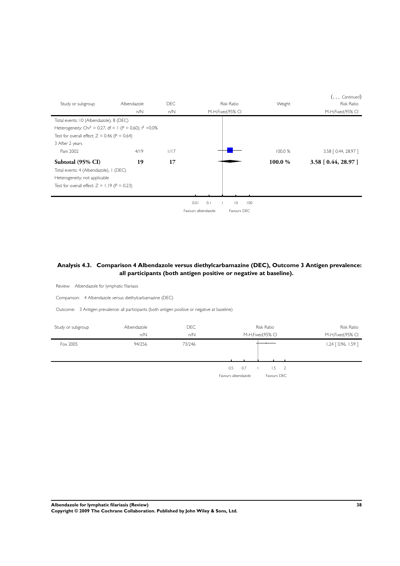<span id="page-40-0"></span>

|                                                                        |             |            |                     |     |                    |     |        | $( \ldots$ Continued)  |
|------------------------------------------------------------------------|-------------|------------|---------------------|-----|--------------------|-----|--------|------------------------|
| Study or subgroup                                                      | Albendazole | <b>DEC</b> |                     |     | <b>Risk Ratio</b>  |     | Weight | <b>Risk Ratio</b>      |
|                                                                        | n/N         | n/N        |                     |     | M-H, Fixed, 95% CI |     |        | M-H, Fixed, 95% CI     |
| Total events: 10 (Albendazole), 8 (DEC)                                |             |            |                     |     |                    |     |        |                        |
| Heterogeneity: Chi <sup>2</sup> = 0.27, df = 1 (P = 0.60); $1^2$ =0.0% |             |            |                     |     |                    |     |        |                        |
| Test for overall effect: $Z = 0.46$ (P = 0.64)                         |             |            |                     |     |                    |     |        |                        |
| 3 After 2 years                                                        |             |            |                     |     |                    |     |        |                        |
| Pani 2002                                                              | 4/19        | 1/17       |                     |     |                    |     | 100.0% | 3.58   0.44, 28.97 ]   |
| Subtotal (95% CI)                                                      | 19          | 17         |                     |     |                    |     | 100.0% | $3.58$ [ 0.44, 28.97 ] |
| Total events: 4 (Albendazole), 1 (DEC)                                 |             |            |                     |     |                    |     |        |                        |
| Heterogeneity: not applicable                                          |             |            |                     |     |                    |     |        |                        |
| Test for overall effect: $Z = 1.19$ (P = 0.23)                         |             |            |                     |     |                    |     |        |                        |
|                                                                        |             |            |                     |     |                    |     |        |                        |
|                                                                        |             |            | 0.01                | 0.1 | $\overline{0}$     | 100 |        |                        |
|                                                                        |             |            | Favours albendazole |     | Favours DEC        |     |        |                        |

## **Analysis 4.3. Comparison 4 Albendazole versus diethylcarbamazine (DEC), Outcome 3 Antigen prevalence: all participants (both antigen positive or negative at baseline).**

Review: Albendazole for lymphatic filariasis

l,

Comparison: 4 Albendazole versus diethylcarbamazine (DEC)

Outcome: 3 Antigen prevalence: all participants (both antigen positive or negative at baseline)

| Study or subgroup | Albendazole<br>$n/N$ | $\mathsf{DEC}$<br>$n/N$ | Risk Ratio<br>M-H,Fixed,95% CI |               | Risk Ratio<br>M-H, Fixed, 95% CI |
|-------------------|----------------------|-------------------------|--------------------------------|---------------|----------------------------------|
| Fox 2005          | 94/256               | 73/246                  |                                |               | $1.24$ [ 0.96, 1.59 ]            |
|                   |                      |                         |                                |               |                                  |
|                   |                      |                         | $0.5\,$<br>0.7                 | $1.5\qquad 2$ |                                  |
|                   |                      |                         | Favours albendazole            | Favours DEC   |                                  |
|                   |                      |                         |                                |               |                                  |
|                   |                      |                         |                                |               |                                  |
|                   |                      |                         |                                |               |                                  |
|                   |                      |                         |                                |               |                                  |
|                   |                      |                         |                                |               |                                  |
|                   |                      |                         |                                |               |                                  |
|                   |                      |                         |                                |               |                                  |
|                   |                      |                         |                                |               |                                  |
|                   |                      |                         |                                |               |                                  |
|                   |                      |                         |                                |               |                                  |

**Albendazole for lymphatic filariasis (Review) 38**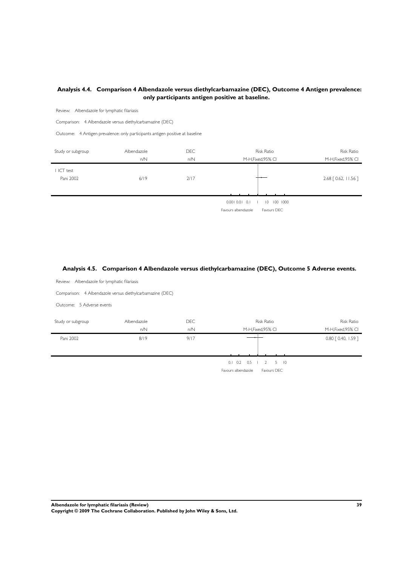## <span id="page-41-0"></span>**Analysis 4.4. Comparison 4 Albendazole versus diethylcarbamazine (DEC), Outcome 4 Antigen prevalence: only participants antigen positive at baseline.**

Review: Albendazole for lymphatic filariasis

Comparison: 4 Albendazole versus diethylcarbamazine (DEC)

Outcome: 4 Antigen prevalence: only participants antigen positive at baseline

| Study or subgroup     | Albendazole<br>n/N | <b>DEC</b><br>n/N | Risk Ratio<br>M-H, Fixed, 95% CI                                         | Risk Ratio<br>M-H, Fixed, 95% CI |
|-----------------------|--------------------|-------------------|--------------------------------------------------------------------------|----------------------------------|
| ICT test<br>Pani 2002 | 6/19               | 2/17              |                                                                          | 2.68 [ 0.62, 11.56 ]             |
|                       |                    |                   | 0.0010.010.1<br>100 1000<br>$10 -$<br>Favours albendazole<br>Favours DEC |                                  |

## **Analysis 4.5. Comparison 4 Albendazole versus diethylcarbamazine (DEC), Outcome 5 Adverse events.**

Review: Albendazole for lymphatic filariasis

Comparison: 4 Albendazole versus diethylcarbamazine (DEC)

Outcome: 5 Adverse events

| Study or subgroup | Albendazole | DEC. | Risk Ratio                         | Risk Ratio                        |
|-------------------|-------------|------|------------------------------------|-----------------------------------|
|                   | n/N         | n/N  | M-H, Fixed, 95% CI                 | M-H, Fixed, 95% CI                |
| Pani 2002         | 8/19        | 9/17 |                                    | $0.80$ $\lceil 0.40, 1.59 \rceil$ |
|                   |             |      |                                    |                                   |
|                   |             |      | 0.5<br>2 5 10<br>$0.1 \quad 0.2$   |                                   |
|                   |             |      | Favours albendazole<br>Favours DEC |                                   |

**Albendazole for lymphatic filariasis (Review) 39**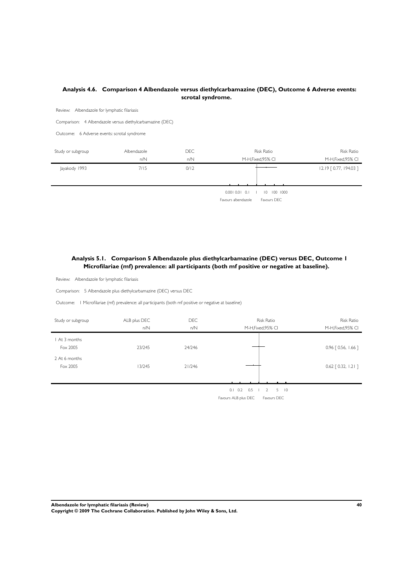## <span id="page-42-0"></span>**Analysis 4.6. Comparison 4 Albendazole versus diethylcarbamazine (DEC), Outcome 6 Adverse events: scrotal syndrome.**

Review: Albendazole for lymphatic filariasis Comparison: 4 Albendazole versus diethylcarbamazine (DEC) Outcome: 6 Adverse events: scrotal syndrome Study or subgroup Albendazole **DEC** Risk Ratio Risk Ratio Risk Ratio Risk Ratio Risk Ratio n/N n/N M-H,Fixed,95% CI M-H,Fixed,95% CI Jayakody 1993 7/15 0/12 12.19 [ 0.77, 194.03 ] 0.001 0.01 10 100 1000 Favours albendazole Favours DEC

## **Analysis 5.1. Comparison 5 Albendazole plus diethylcarbamazine (DEC) versus DEC, Outcome 1 Microfilariae (mf) prevalence: all participants (both mf positive or negative at baseline).**

Review: Albendazole for lymphatic filariasis Comparison: 5 Albendazole plus diethylcarbamazine (DEC) versus DEC Outcome: 1 Microfilariae (mf) prevalence: all par ticipants (both mf positive or negative at baseline) Study or subgroup **Study of Study of Study of Study or subgroup** Risk Ratio Risk Ratio Risk Ratio n/N 11 n/N M-H,Fixed,95% CI M-H,Fixed,95% CI 1 At 3 months Fox 2005 23/245 23/245 24/246 24/246 23/245 23/245 24/246 256, 1.66 ] 2 At 6 months Fox 2005 13/245 21/246 0.62 [ 0.32, 1.21 ]  $0.1 \t0.2 \t0.5 \t1 \t2 \t5 \t10$ Favours ALB plus DEC Favours DEC **Albendazole for lymphatic filariasis (Review) 40 Copyright © 2009 The Cochrane Collaboration. Published by John Wiley & Sons, Ltd.**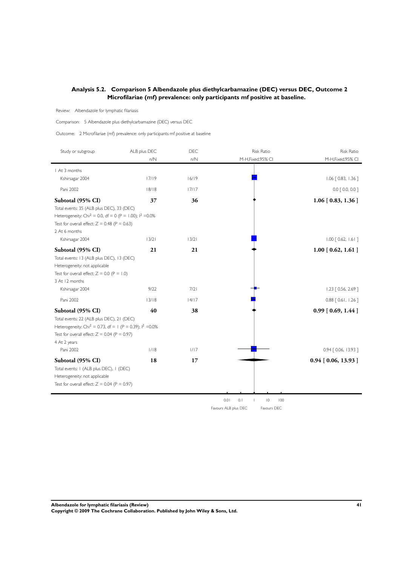## <span id="page-43-0"></span>**Analysis 5.2. Comparison 5 Albendazole plus diethylcarbamazine (DEC) versus DEC, Outcome 2 Microfilariae (mf) prevalence: only participants mf positive at baseline.**

Review: Albendazole for lymphatic filariasis

Comparison: 5 Albendazole plus diethylcarbamazine (DEC) versus DEC

Outcome: 2 Microfilariae (mf) prevalence: only par ticipants mf positive at baseline

| Study or subgroup                                                                | ALB plus DEC | <b>DEC</b> |                      | <b>Risk Ratio</b>     | Risk Ratio                     |
|----------------------------------------------------------------------------------|--------------|------------|----------------------|-----------------------|--------------------------------|
|                                                                                  | n/N          | n/N        | M-H,Fixed,95% CI     |                       | M-H,Fixed,95% Cl               |
| I At 3 months                                                                    |              |            |                      |                       |                                |
| Kshirsagar 2004                                                                  | 17/19        | 16/19      |                      |                       | $1.06$ $[0.83, 1.36]$          |
| Pani 2002                                                                        | 18/18        | 17/17      |                      |                       | $0.0$ $\lceil 0.0, 0.0 \rceil$ |
| Subtotal (95% CI)                                                                | 37           | 36         |                      |                       | $1.06$ [ 0.83, 1.36 ]          |
| Total events: 35 (ALB plus DEC), 33 (DEC)                                        |              |            |                      |                       |                                |
| Heterogeneity: Chi <sup>2</sup> = 0.0, df = 0 (P = 1.00); $1^2$ =0.0%            |              |            |                      |                       |                                |
| Test for overall effect: $Z = 0.48$ (P = 0.63)                                   |              |            |                      |                       |                                |
| 2 At 6 months                                                                    |              |            |                      |                       |                                |
| Kshirsagar 2004                                                                  | $13/21$      | 13/21      |                      |                       | $1.00$ $[0.62, 1.61]$          |
| Subtotal (95% CI)                                                                | 21           | 21         |                      |                       | $1.00$ [ 0.62, 1.61 ]          |
| Total events: 13 (ALB plus DEC), 13 (DEC)                                        |              |            |                      |                       |                                |
| Heterogeneity: not applicable                                                    |              |            |                      |                       |                                |
| Test for overall effect: $Z = 0.0$ (P = 1.0)                                     |              |            |                      |                       |                                |
| 3 At 12 months                                                                   |              |            |                      |                       |                                |
| Kshirsagar 2004                                                                  | 9/22         | 7/2        |                      |                       | 1.23 [ 0.56, 2.69 ]            |
| Pani 2002                                                                        | 13/18        | 14/17      |                      |                       | $0.88$ $[0.61, 1.26]$          |
| Subtotal (95% CI)                                                                | 40           | 38         |                      |                       | $0.99$ [ $0.69$ , $1.44$ ]     |
| Total events: 22 (ALB plus DEC), 21 (DEC)                                        |              |            |                      |                       |                                |
| Heterogeneity: Chi <sup>2</sup> = 0.73, df = 1 (P = 0.39); l <sup>2</sup> = 0.0% |              |            |                      |                       |                                |
| Test for overall effect: $Z = 0.04$ (P = 0.97)                                   |              |            |                      |                       |                                |
| 4 At 2 years                                                                     |              |            |                      |                       |                                |
| Pani 2002                                                                        | 1/18         | 1/17       |                      |                       | 0.94 [ 0.06, 13.93 ]           |
| Subtotal (95% CI)                                                                | 18           | 17         |                      |                       | $0.94$ [ 0.06, 13.93 ]         |
| Total events: I (ALB plus DEC), I (DEC)                                          |              |            |                      |                       |                                |
| Heterogeneity: not applicable                                                    |              |            |                      |                       |                                |
| Test for overall effect: $Z = 0.04$ (P = 0.97)                                   |              |            |                      |                       |                                |
|                                                                                  |              |            |                      |                       |                                |
|                                                                                  |              |            | 0.01<br>0.1          | $\overline{0}$<br>100 |                                |
|                                                                                  |              |            | Favours ALB plus DEC | Favours DEC           |                                |
|                                                                                  |              |            |                      |                       |                                |
|                                                                                  |              |            |                      |                       |                                |

**Albendazole for lymphatic filariasis (Review) 41**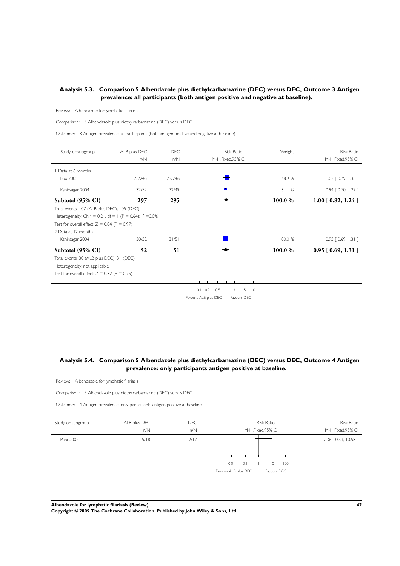## <span id="page-44-0"></span>**Analysis 5.3. Comparison 5 Albendazole plus diethylcarbamazine (DEC) versus DEC, Outcome 3 Antigen prevalence: all participants (both antigen positive and negative at baseline).**

Review: Albendazole for lymphatic filariasis

l.

Comparison: 5 Albendazole plus diethylcarbamazine (DEC) versus DEC

Outcome: 3 Antigen prevalence: all participants (both antigen positive and negative at baseline)

| Study or subgroup                                                       | ALB plus DEC | DEC    | <b>Risk Ratio</b>                                  | Weight  | <b>Risk Ratio</b>                 |
|-------------------------------------------------------------------------|--------------|--------|----------------------------------------------------|---------|-----------------------------------|
|                                                                         | n/N          | n/N    | M-H, Fixed, 95% CI                                 |         | M-H, Fixed, 95% CI                |
| Data at 6 months                                                        |              |        |                                                    |         |                                   |
| Fox 2005                                                                | 75/245       | 73/246 |                                                    | 68.9%   | $1.03$ $[0.79, 1.35]$             |
| Kshirsagar 2004                                                         | 32/52        | 32/49  |                                                    | 31.1%   | $0.94$ $[0.70, 1.27]$             |
| Subtotal (95% CI)                                                       | 297          | 295    |                                                    | 100.0 % | $1.00$ [ 0.82, 1.24 ]             |
| Total events: 107 (ALB plus DEC), 105 (DEC)                             |              |        |                                                    |         |                                   |
| Heterogeneity: Chi <sup>2</sup> = 0.21, df = 1 (P = 0.64); $1^2$ = 0.0% |              |        |                                                    |         |                                   |
| Test for overall effect: $Z = 0.04$ (P = 0.97)                          |              |        |                                                    |         |                                   |
| 2 Data at 12 months                                                     |              |        |                                                    |         |                                   |
| Kshirsagar 2004                                                         | 30/52        | 31/51  |                                                    | 100.0 % | $0.95$ $\lceil 0.69, 1.31 \rceil$ |
| Subtotal (95% CI)                                                       | 52           | 51     |                                                    | 100.0%  | $0.95$ [ 0.69, 1.31 ]             |
| Total events: 30 (ALB plus DEC), 31 (DEC)                               |              |        |                                                    |         |                                   |
| Heterogeneity: not applicable                                           |              |        |                                                    |         |                                   |
| Test for overall effect: $Z = 0.32$ (P = 0.75)                          |              |        |                                                    |         |                                   |
|                                                                         |              |        |                                                    |         |                                   |
|                                                                         |              |        | $0.1 \quad 0.2$<br>0.5<br>$\overline{0}$<br>2<br>5 |         |                                   |

Favours ALB plus DEC Favours DEC

## **Analysis 5.4. Comparison 5 Albendazole plus diethylcarbamazine (DEC) versus DEC, Outcome 4 Antigen prevalence: only participants antigen positive at baseline.**

Review: Albendazole for lymphatic filariasis

Comparison: 5 Albendazole plus diethylcarbamazine (DEC) versus DEC

Outcome: 4 Antigen prevalence: only participants antigen positive at baseline



**Albendazole for lymphatic filariasis (Review) 42**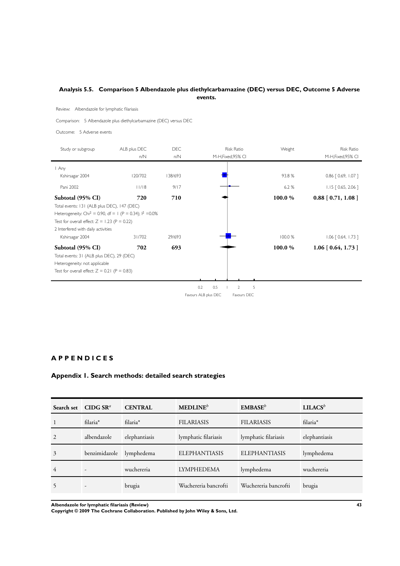## <span id="page-45-0"></span>**Analysis 5.5. Comparison 5 Albendazole plus diethylcarbamazine (DEC) versus DEC, Outcome 5 Adverse events.**

Review: Albendazole for lymphatic filariasis

Comparison: 5 Albendazole plus diethylcarbamazine (DEC) versus DEC

Outcome: 5 Adverse events

| Study or subgroup                                                      | ALB plus DEC | <b>DEC</b> |     | <b>Risk Ratio</b>  | Weight  | <b>Risk Ratio</b>       |
|------------------------------------------------------------------------|--------------|------------|-----|--------------------|---------|-------------------------|
|                                                                        | n/N          | n/N        |     | M-H, Fixed, 95% CI |         | M-H, Fixed, 95% CI      |
| Any                                                                    |              |            |     |                    |         |                         |
| Kshirsagar 2004                                                        | 120/702      | 138/693    |     |                    | 93.8%   | $0.86$ $[0.69, 1.07]$   |
| Pani 2002                                                              | 11/18        | 9/17       |     |                    | 6.2%    | $1.15$ $[0.65, 2.06]$   |
| Subtotal (95% CI)                                                      | 720          | 710        |     |                    | 100.0 % | $0.88$ [ $0.71, 1.08$ ] |
| Total events: 131 (ALB plus DEC), 147 (DEC)                            |              |            |     |                    |         |                         |
| Heterogeneity: Chi <sup>2</sup> = 0.90, df = 1 (P = 0.34); $1^2$ =0.0% |              |            |     |                    |         |                         |
| Test for overall effect: $Z = 1.23$ (P = 0.22)                         |              |            |     |                    |         |                         |
| 2 Interfered with daily activities                                     |              |            |     |                    |         |                         |
| Kshirsagar 2004                                                        | 31/702       | 29/693     |     |                    | 100.0 % | $1.06$ $[0.64, 1.73]$   |
| Subtotal (95% CI)                                                      | 702          | 693        |     |                    | 100.0%  | $1.06$ [ 0.64, 1.73 ]   |
| Total events: 31 (ALB plus DEC), 29 (DEC)                              |              |            |     |                    |         |                         |
| Heterogeneity: not applicable                                          |              |            |     |                    |         |                         |
| Test for overall effect: $Z = 0.21$ (P = 0.83)                         |              |            |     |                    |         |                         |
|                                                                        |              |            |     |                    |         |                         |
|                                                                        |              |            | 0.2 | 0.5<br>2           | 5       |                         |

Favours ALB plus DEC Favours DEC

## **A P P E N D I C E S**

## **Appendix 1. Search methods: detailed search strategies**

| Search set     | CIDG $SR^a$              | <b>CENTRAL</b>       | $\mathbf{MEDLINE}^b$ | $EMBASE^b$           | <b>LILACS</b> <sup><math>b</math></sup> |
|----------------|--------------------------|----------------------|----------------------|----------------------|-----------------------------------------|
| $\mathbf{1}$   | filaria <sup>*</sup>     | filaria <sup>*</sup> | <b>FILARIASIS</b>    | <b>FILARIASIS</b>    | filaria <sup>*</sup>                    |
| 2              | albendazole              | elephantiasis        | lymphatic filariasis | lymphatic filariasis | elephantiasis                           |
| 3              | benzimidazole            | lymphedema           | <b>ELEPHANTIASIS</b> | <b>ELEPHANTIASIS</b> | lymphedema                              |
| $\overline{4}$ | $\overline{\phantom{a}}$ | wuchereria           | <b>LYMPHEDEMA</b>    | lymphedema           | wuchereria                              |
| 5              |                          | brugia               | Wuchereria bancrofti | Wuchereria bancrofti | brugia                                  |

**Albendazole for lymphatic filariasis (Review) 43**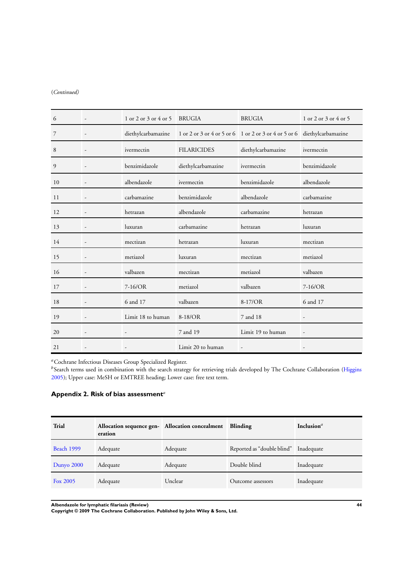<span id="page-46-0"></span>

| 6  | $\overline{\phantom{a}}$ | 1 or 2 or 3 or 4 or 5    | <b>BRUGIA</b>      | <b>BRUGIA</b>                                                            | 1 or 2 or 3 or 4 or 5    |
|----|--------------------------|--------------------------|--------------------|--------------------------------------------------------------------------|--------------------------|
| 7  |                          | diethylcarbamazine       |                    | 1 or 2 or 3 or 4 or 5 or 6 1 or 2 or 3 or 4 or 5 or 6 diethylcarbamazine |                          |
| 8  |                          | ivermectin               | <b>FILARICIDES</b> | diethylcarbamazine                                                       | ivermectin               |
| 9  |                          | benzimidazole            | diethylcarbamazine | ivermectin                                                               | benzimidazole            |
| 10 | L,                       | albendazole              | ivermectin         | benzimidazole                                                            | albendazole              |
| 11 |                          | carbamazine              | benzimidazole      | albendazole                                                              | carbamazine              |
| 12 |                          | hetrazan                 | albendazole        | carbamazine                                                              | hetrazan                 |
| 13 | $\overline{a}$           | luxuran                  | carbamazine        | hetrazan                                                                 | luxuran                  |
| 14 |                          | mectizan                 | hetrazan           | luxuran                                                                  | mectizan                 |
| 15 |                          | metiazol                 | luxuran            | mectizan                                                                 | metiazol                 |
| 16 |                          | valbazen                 | mectizan           | metiazol                                                                 | valbazen                 |
| 17 | $\overline{a}$           | $7-16$ /OR               | metiazol           | valbazen                                                                 | $7-16$ /OR               |
| 18 |                          | 6 and 17                 | valbazen           | $8-17/OR$                                                                | 6 and 17                 |
| 19 |                          | Limit 18 to human        | $8-18$ /OR         | 7 and 18                                                                 | $\overline{\phantom{a}}$ |
| 20 | -                        | $\overline{\phantom{a}}$ | 7 and 19           | Limit 19 to human                                                        | $\overline{\phantom{a}}$ |
| 21 |                          |                          | Limit 20 to human  |                                                                          |                          |

<sup>a</sup>Cochrane Infectious Diseases Group Specialized Register.

<sup>b</sup>Search terms used in combination with the search strategy for retrieving trials developed by The Cochrane Collaboration ([Higgins](#page-15-0) [2005](#page-15-0)); Upper case: MeSH or EMTREE heading; Lower case: free text term.

## **Appendix 2. Risk of bias assessment**<sup>a</sup>

| <b>Trial</b>      | Allocation sequence gen-<br>Allocation concealment<br>eration |          | Blinding                   | Inclusion <sup><math>a</math></sup> |
|-------------------|---------------------------------------------------------------|----------|----------------------------|-------------------------------------|
| <b>Beach 1999</b> | Adequate                                                      | Adequate | Reported as "double blind" | Inadequate                          |
| Dunyo 2000        | Adequate                                                      | Adequate | Double blind               | Inadequate                          |
| Fox 2005          | Adequate                                                      | Unclear  | Outcome assessors          | Inadequate                          |

**Albendazole for lymphatic filariasis (Review) 44**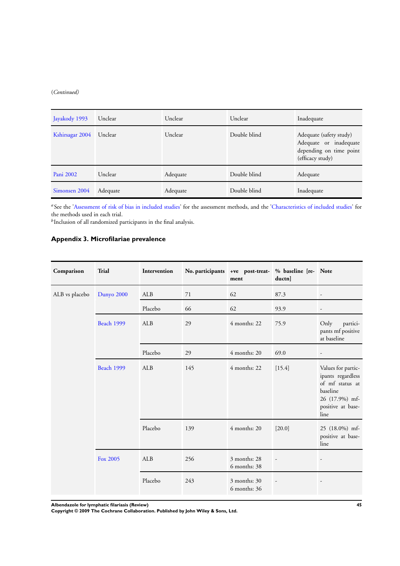<span id="page-47-0"></span>

| Jayakody 1993   | Unclear  | Unclear  | Unclear      | Inadequate                                                                                       |
|-----------------|----------|----------|--------------|--------------------------------------------------------------------------------------------------|
| Kshirsagar 2004 | Unclear  | Unclear  | Double blind | Adequate (safety study)<br>Adequate or inadequate<br>depending on time point<br>(efficacy study) |
| Pani 2002       | Unclear  | Adequate | Double blind | Adequate                                                                                         |
| Simonsen 2004   | Adequate | Adequate | Double blind | Inadequate                                                                                       |

aSee the '[Assessment of risk of bias in included studies'](#page-4-0) for the assessment methods, and the '[Characteristics of included studies'](#page-19-0) for the methods used in each trial.

<sup>b</sup>Inclusion of all randomized participants in the final analysis.

## **Appendix 3. Microfilariae prevalence**

| Comparison     | <b>Trial</b>      | Intervention |     | No. participants +ve post-treat-<br>ment | % baseline [re- Note<br>ductn] |                                                                                                                       |
|----------------|-------------------|--------------|-----|------------------------------------------|--------------------------------|-----------------------------------------------------------------------------------------------------------------------|
| ALB vs placebo | Dunyo 2000        | ALB          | 71  | 62                                       | 87.3                           | $\overline{\phantom{a}}$                                                                                              |
|                |                   | Placebo      | 66  | 62                                       | 93.9                           | $\overline{\phantom{a}}$                                                                                              |
|                | <b>Beach 1999</b> | ALB          | 29  | 4 months: 22                             | 75.9                           | Only<br>partici-<br>pants mf positive<br>at baseline                                                                  |
|                |                   | Placebo      | 29  | 4 months: 20                             | 69.0                           | $\overline{\phantom{a}}$                                                                                              |
|                | <b>Beach 1999</b> | ALB          | 145 | 4 months: 22                             | [15.4]                         | Values for partic-<br>ipants regardless<br>of mf status at<br>baseline<br>26 (17.9%) mf-<br>positive at base-<br>line |
|                |                   | Placebo      | 139 | 4 months: 20                             | [20.0]                         | 25 (18.0%) mf-<br>positive at base-<br>line                                                                           |
|                | Fox 2005          | ALB          | 256 | 3 months: 28<br>6 months: 38             |                                | $\overline{\phantom{a}}$                                                                                              |
|                |                   | Placebo      | 243 | 3 months: 30<br>6 months: 36             |                                |                                                                                                                       |

**Albendazole for lymphatic filariasis (Review) 45**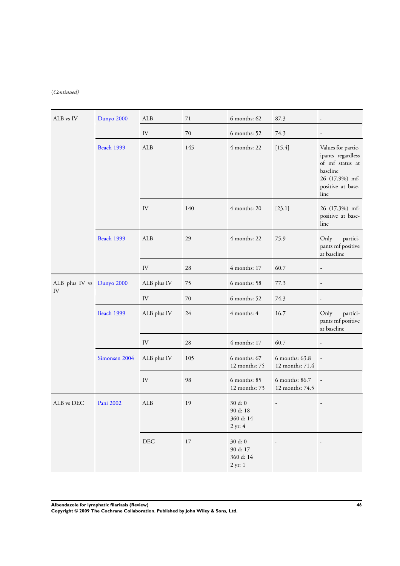| ALB vs IV                       | Dunyo 2000        | ALB         | 71     | 6 months: 62                                | 87.3                              | $\overline{\phantom{m}}$                                                                                              |
|---------------------------------|-------------------|-------------|--------|---------------------------------------------|-----------------------------------|-----------------------------------------------------------------------------------------------------------------------|
|                                 |                   | IV          | 70     | 6 months: 52                                | 74.3                              | $\overline{\phantom{a}}$                                                                                              |
|                                 | <b>Beach 1999</b> | ALB         | 145    | 4 months: 22                                | [15.4]                            | Values for partic-<br>ipants regardless<br>of mf status at<br>baseline<br>26 (17.9%) mf-<br>positive at base-<br>line |
|                                 |                   | IV          | 140    | 4 months: 20                                | [23.1]                            | 26 (17.3%) mf-<br>positive at base-<br>line                                                                           |
|                                 | <b>Beach 1999</b> | ALB         | 29     | 4 months: 22                                | 75.9                              | Only<br>partici-<br>pants mf positive<br>at baseline                                                                  |
|                                 |                   | IV          | 28     | 4 months: 17                                | 60.7                              | $\overline{\phantom{a}}$                                                                                              |
| ALB plus IV vs Dunyo 2000<br>IV |                   | ALB plus IV | 75     | 6 months: 58                                | 77.3                              | $\overline{a}$                                                                                                        |
|                                 |                   | IV          | 70     | 6 months: 52                                | 74.3                              | $\overline{\phantom{a}}$                                                                                              |
|                                 | Beach 1999        | ALB plus IV | 24     | 4 months: 4                                 | 16.7                              | partici-<br>Only<br>pants mf positive<br>at baseline                                                                  |
|                                 |                   | IV          | 28     | 4 months: 17                                | 60.7                              |                                                                                                                       |
|                                 | Simonsen 2004     | ALB plus IV | 105    | 6 months: 67<br>12 months: 75               | 6 months: 63.8<br>12 months: 71.4 |                                                                                                                       |
|                                 |                   | ${\rm IV}$  | 98     | 6 months: 85<br>12 months: 73               | 6 months: 86.7<br>12 months: 74.5 |                                                                                                                       |
| ALB vs DEC                      | Pani 2002         | ALB         | 19     | 30 d: 0<br>90 d: 18<br>360 d: 14<br>2 yr: 4 |                                   |                                                                                                                       |
|                                 |                   | $\rm DEC$   | $17\,$ | 30 d: 0<br>90 d: 17<br>360 d: 14<br>2 yr: 1 |                                   | -                                                                                                                     |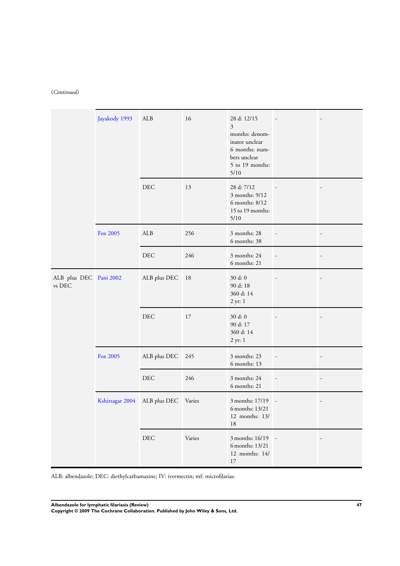|                                  | Jayakody 1993   | ALB          | 16     | 28 d: 12/15<br>3<br>months: denom-<br>inator unclear<br>6 months: num-<br>bers unclear<br>5 to 19 months:<br>$5/10$ |                | $\overline{\phantom{a}}$ |
|----------------------------------|-----------------|--------------|--------|---------------------------------------------------------------------------------------------------------------------|----------------|--------------------------|
|                                  |                 | DEC          | 13     | 28 d: 7/12<br>3 months: 9/12<br>6 months: 8/12<br>15 to 19 months:<br>$5/10$                                        |                |                          |
|                                  | Fox 2005        | ALB          | 256    | 3 months: 28<br>6 months: 38                                                                                        |                |                          |
|                                  |                 | DEC          | 246    | 3 months: 24<br>6 months: 21                                                                                        |                | $\overline{\phantom{a}}$ |
| ALB plus DEC Pani 2002<br>vs DEC |                 | ALB plus DEC | 18     | 30 d: 0<br>90 d: 18<br>360 d: 14<br>2 yr: 1                                                                         |                |                          |
|                                  |                 | $\rm DEC$    | 17     | 30 d: 0<br>90 d: 17<br>360 d: 14<br>2 yr: 1                                                                         |                |                          |
|                                  | Fox 2005        | ALB plus DEC | 245    | 3 months: 23<br>6 months: 13                                                                                        |                |                          |
|                                  |                 | DEC          | 246    | 3 months: 24<br>6 months: 21                                                                                        |                |                          |
|                                  | Kshirsagar 2004 | ALB plus DEC | Varies | 3 months: 17/19<br>6 months: 13/21<br>12 months: 13/<br>18                                                          | $\overline{a}$ | $\overline{\phantom{a}}$ |
|                                  |                 | DEC          | Varies | 3 months: 16/19<br>6 months: 13/21<br>12 months: 14/<br>$17\,$                                                      | $\overline{a}$ | $\overline{\phantom{a}}$ |

ALB: albendazole; DEC: diethylcarbamazine; IV: ivermectin; mf: microfilariae.

**Albendazole for lymphatic filariasis (Review) 47**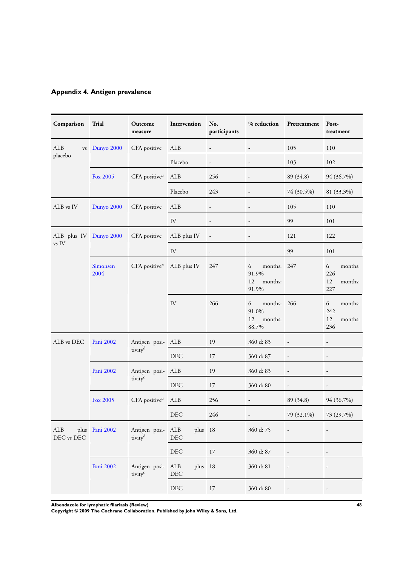| Comparison                    | <b>Trial</b>     | Outcome<br>measure                              | Intervention          | No.<br>participants      | % reduction                                         | Pretreatment             | Post-<br>treatment                          |
|-------------------------------|------------------|-------------------------------------------------|-----------------------|--------------------------|-----------------------------------------------------|--------------------------|---------------------------------------------|
| ALB<br>$\mathbf{V}\mathbf{S}$ | Dunyo 2000       | CFA positive                                    | ALB                   | $\overline{\phantom{a}}$ | -                                                   | 105                      | 110                                         |
| placebo                       |                  |                                                 | Placebo               | $\overline{\phantom{a}}$ | $\frac{1}{2}$                                       | 103                      | 102                                         |
|                               | Fox 2005         | CFA positive <sup>a</sup>                       | <b>ALB</b>            | 256                      | $\frac{1}{2}$                                       | 89 (34.8)                | 94 (36.7%)                                  |
|                               |                  | Placebo                                         | 243                   | $\frac{1}{2}$            | 74 (30.5%)                                          | 81 (33.3%)               |                                             |
| ALB vs IV                     | Dunyo 2000       | CFA positive                                    | <b>ALB</b>            | $\overline{\phantom{a}}$ | L,                                                  | 105                      | 110                                         |
|                               |                  |                                                 | ${\rm IV}$            | $\overline{\phantom{a}}$ | $\frac{1}{2}$                                       | 99                       | 101                                         |
| ALB plus IV Dunyo 2000        |                  | CFA positive                                    | ALB plus IV           | $\overline{\phantom{a}}$ | $\frac{1}{2}$                                       | 121                      | 122                                         |
| vs IV                         |                  |                                                 | IV                    | $\overline{\phantom{a}}$ | $\frac{1}{2}$                                       | 99                       | 101                                         |
|                               | Simonsen<br>2004 | CFA positive*                                   | ALB plus IV           | 247                      | 6<br>months: 247<br>91.9%<br>12<br>months:<br>91.9% |                          | 6<br>months:<br>226<br>12<br>months:<br>227 |
|                               |                  |                                                 | IV                    | 266                      | 6<br>months: 266<br>91.0%<br>12<br>months:<br>88.7% |                          | 6<br>months:<br>242<br>12<br>months:<br>236 |
| ALB vs DEC                    | Pani 2002        | Antigen posi- ALB<br>tivity <sup><i>b</i></sup> |                       | 19                       | 360 d: 83                                           | $\overline{\phantom{a}}$ | $\overline{\phantom{a}}$                    |
|                               |                  |                                                 | DEC                   | 17                       | 360 d: 87                                           | $\overline{\phantom{a}}$ | $\overline{\phantom{a}}$                    |
|                               | Pani 2002        | Antigen posi- ALB                               |                       | 19                       | 360 d: 83                                           | $\overline{\phantom{a}}$ | $\overline{\phantom{m}}$                    |
|                               |                  | tivity <sup>c</sup>                             | DEC                   | 17                       | 360 d: 80                                           |                          |                                             |
|                               | Fox 2005         | CFA positive <sup>a</sup>                       | ALB                   | 256                      | $\overline{a}$                                      | 89 (34.8)                | 94 (36.7%)                                  |
|                               |                  |                                                 | DEC                   | 246                      |                                                     | 79 (32.1%)               | 73 (29.7%)                                  |
| $\mbox{ALB}$<br>DEC vs DEC    | plus Pani 2002   | Antigen posi-<br>tivity <sup>b</sup>            | ALB<br>plus 18<br>DEC |                          | 360 d: 75                                           |                          |                                             |
|                               |                  |                                                 | DEC                   | 17                       | 360 d: 87                                           | $\overline{\phantom{a}}$ | $\overline{\phantom{m}}$                    |
|                               | Pani 2002        | Antigen posi-<br>tivity <sup>c</sup>            | ALB<br>plus 18<br>DEC |                          | 360 d: 81                                           |                          | $\overline{a}$                              |
|                               |                  |                                                 | DEC                   | 17                       | $360$ d: $80\,$                                     |                          |                                             |

## <span id="page-50-0"></span>**Appendix 4. Antigen prevalence**

**Albendazole for lymphatic filariasis (Review) 48**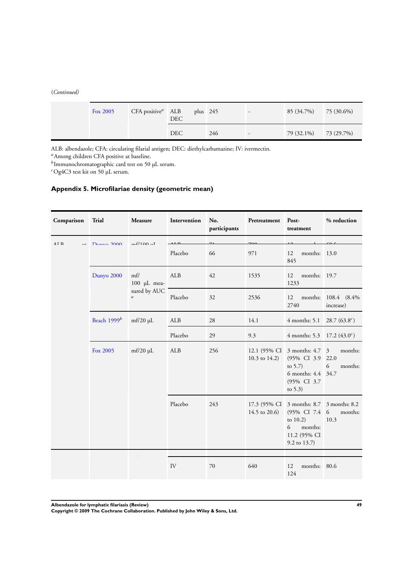<span id="page-51-0"></span>

| Fox $2005$ | $CFA$ positive <sup><i>a</i></sup> ALB plus 245<br><b>DEC</b> |     | $\sim$ | 85 (34.7%) 75 (30.6%) |  |
|------------|---------------------------------------------------------------|-----|--------|-----------------------|--|
|            | <b>DEC</b>                                                    | 246 | $-$    | 79 (32.1%) 73 (29.7%) |  |

ALB: albendazole; CFA: circulating filarial antigen; DEC: diethylcarbamazine; IV: ivermectin.

<sup>a</sup>Among children CFA positive at baseline.

 $^{b}$ Immunochromatographic card test on 50 µL serum.

 $\rm ^{c}Og4C3$  test kit on 50 µL serum.

## **Appendix 5. Microfilariae density (geometric mean)**

| Comparison      | <b>Trial</b>                     | Measure                      | Intervention | No.<br>participants | Pretreatment Post- | treatment                                                                                                                         | % reduction             |
|-----------------|----------------------------------|------------------------------|--------------|---------------------|--------------------|-----------------------------------------------------------------------------------------------------------------------------------|-------------------------|
| AT <sub>D</sub> | $D_{\text{max}}$ 2000            | $m\ell/100 \ldots$           |              |                     |                    |                                                                                                                                   |                         |
|                 |                                  |                              | Placebo      | 66                  | 971                | 12<br>months: 13.0<br>845                                                                                                         |                         |
|                 | Dunyo 2000                       | $m\ddot{t}$<br>$100$ µL mea- | ALB          | 42                  | 1535               | 12<br>months: 19.7<br>1233                                                                                                        |                         |
| Beach 1999b     | sured by AUC<br>$\boldsymbol{a}$ | Placebo                      | 32           | 2536                | 12<br>2740         | months: 108.4 (8.4%<br>increase)                                                                                                  |                         |
|                 |                                  | $mf/20 \mu L$                | ALB          | 28                  | 14.1               | $4$ months: $5.1$                                                                                                                 | 28.7 $(63.8^c)$         |
|                 |                                  |                              | Placebo      | 29                  | 9.3                | 4 months: 5.3 17.2 $(43.0^c)$                                                                                                     |                         |
|                 | Fox 2005                         | $mf/20$ µL                   | ALB          | 256                 | 10.3 to 14.2)      | 12.1 (95% CI 3 months: 4.7 3<br>(95% CI 3.9 22.0<br>to $5.7$ )<br>6 months: 4.4 34.7<br>(95% CI 3.7)<br>to $5.3$ )                | months:<br>6<br>months: |
|                 |                                  |                              | Placebo      | 243                 | 14.5 to 20.6)      | 17.3 (95% CI 3 months: 8.7 3 months: 8.2<br>(95% CI 7.4 6<br>to $10.2$ )<br>months:<br>$6\degree$<br>11.2 (95% CI<br>9.2 to 13.7) | months:<br>10.3         |
|                 |                                  |                              |              |                     |                    |                                                                                                                                   |                         |
|                 |                                  |                              | IV           | 70                  | 640                | months: 80.6<br>12<br>124                                                                                                         |                         |

**Albendazole for lymphatic filariasis (Review) 49**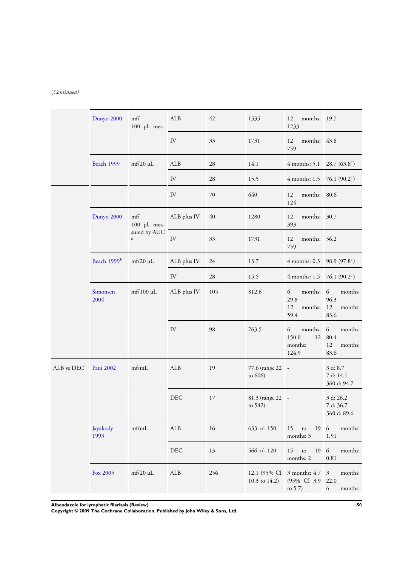|            | Dunyo 2000       | $m f$ /<br>100 µL mea-                        | ALB         | 42  | 1535                          | 12<br>months: 19.7<br>1233                            |                                               |
|------------|------------------|-----------------------------------------------|-------------|-----|-------------------------------|-------------------------------------------------------|-----------------------------------------------|
|            |                  |                                               | IV          | 33  | 1731                          | months: 43.8<br>12<br>759                             |                                               |
|            | Beach 1999       | $mf/20 \mu L$                                 | ALB         | 28  | 14.1                          | 4 months: 5.1                                         | 28.7 $(63.8^c)$                               |
|            |                  |                                               | IV          | 28  | 15.5                          | 4 months: 1.5 76.1 $(90.2^c)$                         |                                               |
|            |                  |                                               | IV          | 70  | 640                           | months: 80.6<br>12<br>124                             |                                               |
|            | Dunyo 2000       | m f<br>100 µL mea-                            | ALB plus IV | 40  | 1280                          | months: 30.7<br>12<br>393                             |                                               |
|            |                  | sured by AUC<br>$\boldsymbol{a}$              | IV          | 33  | 1731                          | $12\,$<br>months: 56.2<br>759                         |                                               |
|            | Beach $1999^b$   | $mf/20$ µL                                    | ALB plus IV | 24  | 13.7                          | 4 months: 0.3                                         | 98.9 $(97.8c)$                                |
|            |                  |                                               | ${\rm IV}$  | 28  | 15.5                          | 4 months: 1.5 76.1 $(90.2^c)$                         |                                               |
|            | Simonsen<br>2004 | $mf/100 \mu L$                                | ALB plus IV | 105 | 812.6                         | 6<br>months: 6<br>29.8<br>12<br>months:<br>59.4       | months:<br>96.3<br>12<br>months:<br>83.6      |
|            |                  |                                               | IV          | 98  | 763.5                         | months:<br>6<br>150.0<br>12<br>months:<br>124.9       | 6<br>months:<br>80.4<br>12<br>months:<br>83.6 |
| ALB vs DEC | Pani 2002        | mf/mL                                         | <b>ALB</b>  | 19  | 77.6 (range 22 -<br>to $606$  |                                                       | 3 d: 8.7<br>7 d: 14.1<br>360 d: 94.7          |
|            |                  |                                               | DEC         | 17  | 81.3 (range 22 -<br>to 542)   |                                                       | 3 d: 26.2<br>7 d: 36.7<br>360 d: 89.6         |
|            | Jayakody<br>1993 | $\mathrm{m} \mathrm{f}/\mathrm{m} \mathrm{L}$ | ALB         | 16  | $633 + 1 - 150$               | 15<br>to<br>19 6<br>months: 3                         | months:<br>1.91                               |
|            |                  |                                               | DEC         | 13  | $566$ +/- 120                 | 19 6<br>15<br>$\mathop{\rm to}\nolimits$<br>months: 2 | months:<br>$0.81\,$                           |
|            | Fox 2005         | $mf/20 \mu L$                                 | ALB         | 256 | 12.1 (95% CI<br>10.3 to 14.2) | 3 months: 4.7 3<br>(95% CI 3.9 22.0<br>to 5.7)        | months:<br>6<br>months:                       |

**Albendazole for lymphatic filariasis (Review) 50**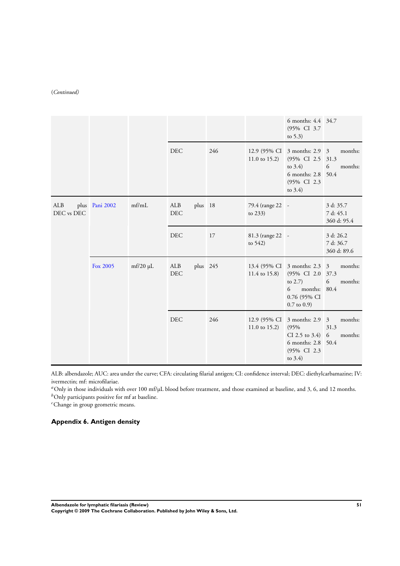<span id="page-53-0"></span>

|                   |                           |                               |                       |               |                                                                                                         | 6 months: 4.4 34.7<br>(95% CI 3.7<br>to $5.3$ )                                                         |                                                           |
|-------------------|---------------------------|-------------------------------|-----------------------|---------------|---------------------------------------------------------------------------------------------------------|---------------------------------------------------------------------------------------------------------|-----------------------------------------------------------|
|                   |                           |                               | <b>DEC</b>            | 246           | 11.0 to $15.2$ )                                                                                        | 12.9 (95% CI 3 months: 2.9 3<br>(95% CI 2.5<br>to $3.4$ )<br>6 months: 2.8<br>(95% CI 2.3<br>to $3.4$ ) | months:<br>31.3<br>6<br>months:<br>50.4                   |
| ALB<br>DEC vs DEC | plus Pani 2002            | mf/mL                         | ALB<br>plus 18<br>DEC |               | 79.4 (range 22 -<br>to 233)                                                                             |                                                                                                         | 3 d: 35.7<br>7 d: 45.1<br>360 d: 95.4                     |
|                   |                           |                               | <b>DEC</b>            | 17            | 81.3 (range 22 -<br>to $542$ )                                                                          |                                                                                                         | 3 d: 26.2<br>7 d: 36.7<br>360 d: 89.6                     |
|                   | Fox 2005<br>$mf/20 \mu L$ | ALB<br>plus 245<br><b>DEC</b> |                       | 11.4 to 15.8) | 13.4 (95% CI 3 months: 2.3<br>(95% CI 2.0<br>to 2.7)<br>months:<br>6<br>0.76 (95% CI<br>$0.7$ to $0.9)$ | months:<br>3<br>37.3<br>6<br>months:<br>80.4                                                            |                                                           |
|                   |                           |                               | <b>DEC</b>            | 246           | 12.9 (95% CI<br>11.0 to $15.2$ )                                                                        | 3 months: 2.9<br>(95%<br>CI 2.5 to $3.4$ )<br>6 months: 2.8<br>(95% CI 2.3<br>to $3.4$ )                | $\overline{3}$<br>months:<br>31.3<br>6<br>months:<br>50.4 |

ALB: albendazole; AUC: area under the curve; CFA: circulating filarial antigen; CI: confidence interval; DEC: diethylcarbamazine; IV: ivermectin; mf: microfilariae.

 $^a$ Only in those individuals with over 100 mf/ $\mu$ L blood before treatment, and those examined at baseline, and 3, 6, and 12 months.  $<sup>b</sup>$ Only participants positive for mf at baseline.</sup>

<sup>c</sup>Change in group geometric means.

## **Appendix 6. Antigen density**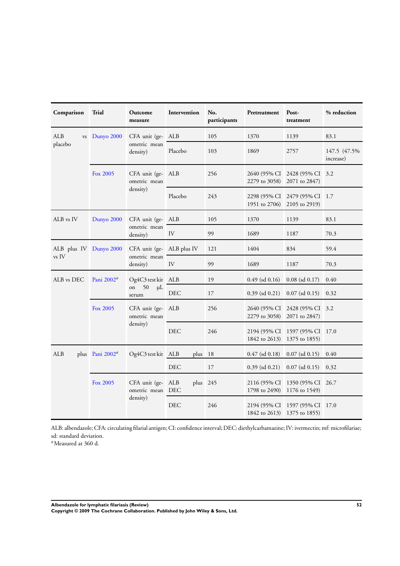| Comparison                      | <b>Trial</b>                              | Outcome<br>measure                                    | Intervention | No.<br>participants | Pretreatment                                    | Post-<br>treatment                                       | % reduction                |
|---------------------------------|-------------------------------------------|-------------------------------------------------------|--------------|---------------------|-------------------------------------------------|----------------------------------------------------------|----------------------------|
| ALB<br><b>VS</b>                | Dunyo 2000                                | CFA unit (ge-                                         | ALB          | 105                 | 1370                                            | 1139                                                     | 83.1                       |
| placebo                         |                                           | ometric mean<br>density)                              | Placebo      | 103                 | 1869                                            | 2757                                                     | 147.5 (47.5%)<br>increase) |
|                                 | Fox 2005                                  | CFA unit (ge-<br>ometric mean                         | ALB          | 256                 | 2279 to 3058)                                   | 2640 (95% CI 2428 (95% CI 3.2)<br>2071 to 2847)          |                            |
|                                 | density)                                  | Placebo                                               | 243          | 1951 to 2706)       | 2298 (95% CI 2479 (95% CI 1.7)<br>2105 to 2919) |                                                          |                            |
| ALB vs IV<br>Dunyo 2000         | CFA unit (ge-<br>ometric mean<br>density) | ALB                                                   | 105          | 1370                | 1139                                            | 83.1                                                     |                            |
|                                 |                                           | ${\rm IV}$                                            | 99           | 1689                | 1187                                            | 70.3                                                     |                            |
| ALB plus IV Dunyo 2000<br>vs IV |                                           | CFA unit (ge- ALB plus IV<br>ometric mean<br>density) |              | 121                 | 1404                                            | 834                                                      | 59.4                       |
|                                 |                                           |                                                       | IV           | 99                  | 1689                                            | 1187                                                     | 70.3                       |
| ALB vs DEC                      | Pani 2002 <sup>a</sup>                    | Og4C3 test kit ALB<br>50<br>$\mu$ L<br>on<br>serum    |              | 19                  | $0.49$ (sd $0.16$ )                             | $0.08$ (sd $0.17$ )                                      | 0.40                       |
|                                 |                                           |                                                       | DEC          | 17                  | $0.39$ (sd $0.21$ )                             | $0.07$ (sd $0.15$ )                                      | 0.32                       |
|                                 | Fox 2005                                  | CFA unit (ge-<br>ometric mean<br>density)             | ALB          | 256                 | 2279 to 3058)                                   | 2640 (95% CI 2428 (95% CI<br>2071 to 2847)               | 3.2                        |
|                                 |                                           |                                                       | DEC          | 246                 | 1842 to 2613)                                   | 2194 (95% CI 1597 (95% CI 17.0<br>1375 to 1855)          |                            |
| ALB                             | plus Pani 2002 <sup>a</sup>               | Og4C3 test kit ALB                                    | plus 18      |                     | $0.47$ (sd $0.18$ )                             | $0.07$ (sd $0.15$ )                                      | 0.40                       |
|                                 |                                           |                                                       | <b>DEC</b>   | 17                  | $0.39$ (sd $0.21$ )                             | $0.07$ (sd $0.15$ )                                      | 0.32                       |
|                                 | Fox 2005                                  | CFA unit (ge- ALB<br>ometric mean DEC                 | plus 245     |                     | 1798 to 2490)                                   | 2116 (95% CI 1350 (95% CI 26.7<br>1176 to 1549)          |                            |
|                                 |                                           | density)                                              | DEC          | 246                 |                                                 | 2194 (95% CI 1597 (95% CI<br>1842 to 2613) 1375 to 1855) | 17.0                       |

ALB: albendazole; CFA: circulating filarial antigen; CI: confidence interval; DEC: diethylcarbamazine; IV: ivermectin; mf: microfilariae; sd: standard deviation.

 $\emph{a}$  Measured at 360 d.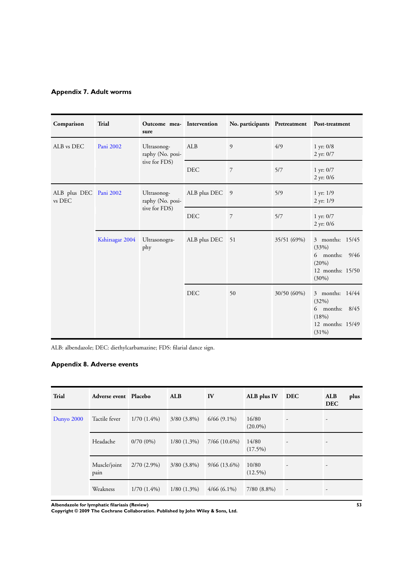<span id="page-55-0"></span>

| Appendix 7. Adult worms |  |  |  |  |
|-------------------------|--|--|--|--|
|-------------------------|--|--|--|--|

| Comparison                       | <b>Trial</b>    | Outcome mea- Intervention<br>sure                |              | No. participants Pretreatment Post-treatment |             |                                                                                        |
|----------------------------------|-----------------|--------------------------------------------------|--------------|----------------------------------------------|-------------|----------------------------------------------------------------------------------------|
| ALB vs DEC                       | Pani 2002       | Ultrasonog-<br>raphy (No. posi-<br>tive for FDS) | ALB          | 9                                            | 4/9         | $1 \text{ yr}$ : 0/8<br>2 yr: 0/7                                                      |
|                                  |                 |                                                  | <b>DEC</b>   | 7                                            | 5/7         | $1 \text{ yr}$ : 0/7<br>2 yr: 0/6                                                      |
| ALB plus DEC Pani 2002<br>vs DEC |                 | Ultrasonog-<br>raphy (No. posi-<br>tive for FDS) | ALB plus DEC | 9                                            | 5/9         | $1 \text{ yr: } 1/9$<br>2 yr: 1/9                                                      |
|                                  |                 |                                                  | <b>DEC</b>   | 7                                            | 5/7         | 1 yr: 0/7<br>2 yr: 0/6                                                                 |
|                                  | Kshirsagar 2004 | Ultrasonogra-<br>phy                             | ALB plus DEC | 51                                           | 35/51 (69%) | 3 months: 15/45<br>(33%)<br>6 months:<br>9/46<br>(20%)<br>12 months: 15/50<br>$(30\%)$ |
|                                  |                 |                                                  | <b>DEC</b>   | 50                                           | 30/50 (60%) | 3 months: 14/44<br>(32%)<br>6 months:<br>8/45<br>(18%)<br>12 months: 15/49<br>(31%)    |

ALB: albendazole; DEC: diethylcarbamazine; FDS: filarial dance sign.

## **Appendix 8. Adverse events**

| <b>Trial</b> | Adverse event Placebo |               | <b>ALB</b>       | IV             | ALB plus IV         | <b>DEC</b>               | <b>ALB</b><br>plus<br><b>DEC</b> |
|--------------|-----------------------|---------------|------------------|----------------|---------------------|--------------------------|----------------------------------|
| Dunyo 2000   | Tactile fever         | $1/70(1.4\%)$ | $3/80$ $(3.8\%)$ | $6/66(9.1\%)$  | 16/80<br>$(20.0\%)$ |                          |                                  |
|              | Headache              | $0/70(0\%)$   | $1/80(1.3\%)$    | 7/66 (10.6%)   | 14/80<br>$(17.5\%)$ |                          |                                  |
|              | Muscle/joint<br>pain  | $2/70(2.9\%)$ | $3/80$ $(3.8\%)$ | $9/66$ (13.6%) | 10/80<br>$(12.5\%)$ | $\overline{\phantom{a}}$ |                                  |
|              | Weakness              | $1/70(1.4\%)$ | $1/80(1.3\%)$    | $4/66(6.1\%)$  | 7/80 (8.8%)         | $\overline{\phantom{a}}$ |                                  |

**Albendazole for lymphatic filariasis (Review) 53**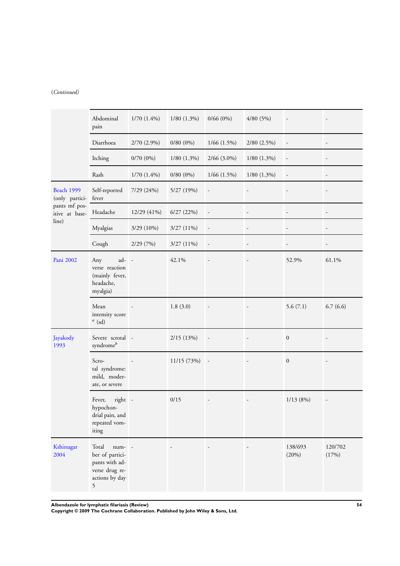|                                 | Abdominal<br>pain                                                                             | $1/70(1.4\%)$ | $1/80$ $(1.3\%)$ | 0/66(0%)                 | 4/80(5%)                 |                          |                          |
|---------------------------------|-----------------------------------------------------------------------------------------------|---------------|------------------|--------------------------|--------------------------|--------------------------|--------------------------|
|                                 | Diarrhoea                                                                                     | 2/70 (2.9%)   | $0/80(0\%)$      | $1/66$ $(1.5\%)$         | $2/80$ $(2.5\%)$         | $\overline{\phantom{a}}$ | $\overline{\phantom{a}}$ |
|                                 | Itching                                                                                       | $0/70(0\%)$   | $1/80$ $(1.3\%)$ | 2/66 (3.0%)              | $1/80$ $(1.3\%)$         | $\overline{\phantom{a}}$ | $\overline{\phantom{m}}$ |
|                                 | Rash                                                                                          | $1/70(1.4\%)$ | $0/80(0\%)$      | $1/66$ $(1.5\%)$         | $1/80$ $(1.3\%)$         | $\overline{\phantom{a}}$ | $\overline{\phantom{a}}$ |
| Beach 1999<br>(only partici-    | Self-reported<br>fever                                                                        | 7/29 (24%)    | 5/27 (19%)       | $\overline{\phantom{m}}$ | $\overline{\phantom{m}}$ |                          | ÷,                       |
| pants mf pos-<br>itive at base- | Headache                                                                                      | 12/29 (41%)   | 6/27(22%)        | $\overline{\phantom{a}}$ | $\overline{\phantom{a}}$ | $\overline{a}$           | $\overline{a}$           |
| line)                           | Myalgias                                                                                      | 3/29 (10%)    | 3/27 (11%)       | $\overline{\phantom{a}}$ | $\overline{\phantom{a}}$ |                          | $\overline{a}$           |
|                                 | Cough                                                                                         | 2/29(7%)      | 3/27 (11%)       | $\overline{\phantom{a}}$ | $\overline{\phantom{a}}$ |                          | $\overline{\phantom{a}}$ |
| Pani 2002                       | ad- -<br>Any<br>verse reaction<br>(mainly fever,<br>headache,<br>myalgia)                     |               | 42.1%            |                          |                          | 52.9%                    | 61.1%                    |
|                                 | Mean<br>intensity score<br>$a$ (sd)                                                           |               | 1.8(3.0)         |                          |                          | 5.6(7.1)                 | 6.7(6.6)                 |
| Jayakody<br>1993                | Severe scrotal -<br>syndrome <sup>b</sup>                                                     |               | 2/15 (13%)       |                          |                          | $\mathbf{0}$             |                          |
|                                 | Scro-<br>tal syndrome:<br>mild, moder-<br>ate, or severe                                      |               | 11/15 (73%)      | $\overline{\phantom{a}}$ |                          | $\boldsymbol{0}$         |                          |
|                                 | right -<br>Fever,<br>hypochon-<br>drial pain, and<br>repeated vom-<br>iting                   |               | 0/15             | $\overline{\phantom{m}}$ | $\overline{\phantom{m}}$ | 1/13(8%)                 |                          |
| Kshirsagar<br>2004              | Total<br>num- -<br>ber of partici-<br>pants with ad-<br>verse drug re-<br>actions by day<br>5 |               |                  |                          | $\overline{a}$           | 138/693<br>(20%)         | 120/702<br>(17%)         |

**Albendazole for lymphatic filariasis (Review) 54**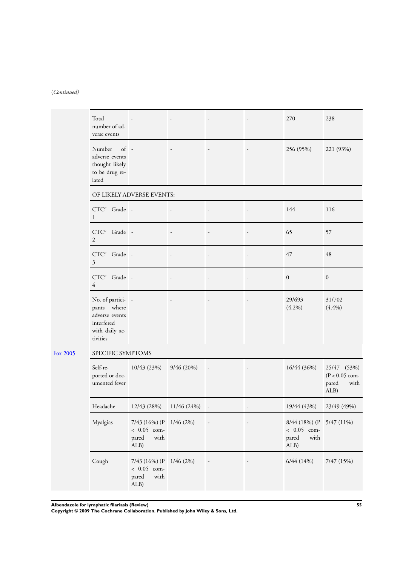|          | Total<br>number of ad-<br>verse events                                                       |                                                                   |                          |                          |                          | 270                                                                | 238                                                      |  |  |
|----------|----------------------------------------------------------------------------------------------|-------------------------------------------------------------------|--------------------------|--------------------------|--------------------------|--------------------------------------------------------------------|----------------------------------------------------------|--|--|
|          | $of -$<br>Number<br>adverse events<br>thought likely<br>to be drug re-<br>lated              |                                                                   |                          |                          |                          | 256 (95%)                                                          | 221 (93%)                                                |  |  |
|          | OF LIKELY ADVERSE EVENTS:                                                                    |                                                                   |                          |                          |                          |                                                                    |                                                          |  |  |
|          | $CTCc$ Grade -<br>1                                                                          |                                                                   | $\overline{\phantom{a}}$ |                          | $\overline{\phantom{a}}$ | 144                                                                | 116                                                      |  |  |
|          | $CTCc$ Grade -<br>2                                                                          |                                                                   |                          |                          |                          | 65                                                                 | 57                                                       |  |  |
|          | $CTCc$ Grade -<br>$\mathfrak{Z}$                                                             |                                                                   |                          |                          |                          | 47                                                                 | $\sqrt{48}$                                              |  |  |
|          | $CTCc$ Grade -<br>4                                                                          |                                                                   |                          |                          |                          | $\boldsymbol{0}$                                                   | $\mathbf{0}$                                             |  |  |
|          | No. of partici-<br>pants where<br>adverse events<br>interfered<br>with daily ac-<br>tivities |                                                                   |                          |                          |                          | 29/693<br>$(4.2\%)$                                                | 31/702<br>(4.4%)                                         |  |  |
| Fox 2005 | SPECIFIC SYMPTOMS                                                                            |                                                                   |                          |                          |                          |                                                                    |                                                          |  |  |
|          | Self-re-<br>ported or doc-<br>umented fever                                                  | 10/43 (23%)                                                       | 9/46 (20%)               | $\overline{\phantom{a}}$ |                          | 16/44 (36%)                                                        | 25/47 (53%)<br>$(P < 0.05$ com-<br>with<br>pared<br>ALB) |  |  |
|          | Headache                                                                                     | 12/43 (28%)                                                       | 11/46 (24%)              | $\overline{\phantom{a}}$ | $\overline{a}$           | 19/44 (43%)                                                        | 23/49 (49%)                                              |  |  |
|          | Myalgias                                                                                     | 7/43 (16%) (P 1/46 (2%)<br>$< 0.05$ com-<br>with<br>pared<br>ALB) |                          |                          |                          | 8/44 (18%) (P 5/47 (11%)<br>$< 0.05$ com-<br>with<br>pared<br>ALB) |                                                          |  |  |
|          | Cough                                                                                        | 7/43 (16%) (P 1/46 (2%)<br>$< 0.05$ com-<br>pared<br>with<br>ALB) |                          |                          |                          | 6/44(14%)                                                          | 7/47 (15%)                                               |  |  |

**Albendazole for lymphatic filariasis (Review) 55**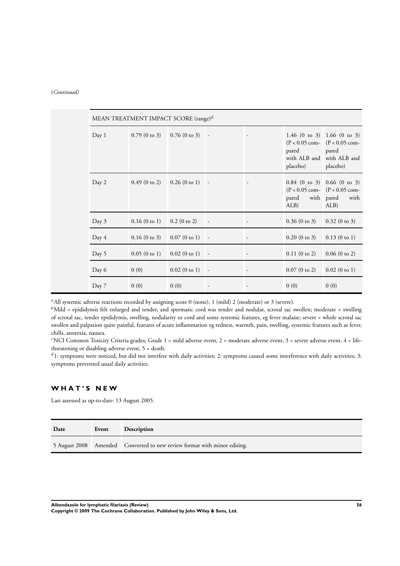| MEAN TREATMENT IMPACT SCORE $(range)^d$ |                         |                         |                          |                          |                         |                                                                                                                    |
|-----------------------------------------|-------------------------|-------------------------|--------------------------|--------------------------|-------------------------|--------------------------------------------------------------------------------------------------------------------|
| Day 1                                   | $0.79$ (0 to 3)         | $0.76$ (0 to 3)         | $\overline{\phantom{a}}$ |                          | pared<br>placebo)       | 1.46 (0 to 3) 1.66 (0 to 3)<br>$(P < 0.05$ com- $(P < 0.05$ com-<br>pared<br>with ALB and with ALB and<br>placebo) |
| Day 2                                   | $0.49$ (0 to 2)         | $0.26(0 \text{ to } 1)$ |                          |                          | pared<br>ALB)           | $0.84$ (0 to 3) 0.66 (0 to 3)<br>$(P < 0.05$ com- $(P < 0.05$ com-<br>with pared<br>with<br>ALB)                   |
| Day 3                                   | $0.16(0 \text{ to } 1)$ | $0.2$ (0 to 2)          |                          | $\overline{\phantom{m}}$ | $0.36(0 \text{ to } 3)$ | $0.32$ (0 to 3)                                                                                                    |
| Day 4                                   | $0.16$ (0 to 3)         | $0.07(0 \text{ to } 1)$ | $\overline{a}$           |                          | $0.20(0 \text{ to } 3)$ | $0.13$ (0 to 1)                                                                                                    |
| Day 5                                   | $0.05(0 \text{ to } 1)$ | $0.02$ (0 to 1)         | $\overline{a}$           | $\overline{\phantom{m}}$ | $0.11$ (0 to 2)         | $0.06$ (0 to 2)                                                                                                    |
| Day 6                                   | 0(0)                    | $0.02$ (0 to 1)         | $\overline{a}$           |                          | $0.07(0 \text{ to } 2)$ | $0.02$ (0 to 1)                                                                                                    |
| Day 7                                   | 0(0)                    | 0(0)                    |                          |                          | 0(0)                    | 0(0)                                                                                                               |

<sup>a</sup>All systemic adverse reactions recorded by assigning score 0 (none), 1 (mild) 2 (moderate) or 3 (severe).

 $b$ Mild = epididymis felt enlarged and tender, and spermatic cord was tender and nodular, scrotal sac swollen; moderate = swelling of scrotal sac, tender epididymis, swelling, nodularity or cord and some systemic features, eg fever malaise; severe = whole scrotal sac swollen and palpation quite painful, features of acute inflammation eg redness, warmth, pain, swelling, systemic features such as fever, chills, anorexia, nausea.

<sup>c</sup>NCI Common Toxicity Criteria grades; Grade 1 = mild adverse event, 2 = moderate adverse event, 3 = severe adverse event, 4 = lifethreatening or disabling adverse event, 5 = death.

<sup>d</sup>1: symptoms were noticed, but did not interfere with daily activities; 2: symptoms caused some interference with daily activities; 3: symptoms prevented usual daily activities.

## **W H A T ' S N E W**

Last assessed as up-to-date: 13 August 2005.

| Date | Event | <b>Description</b>                                                       |
|------|-------|--------------------------------------------------------------------------|
|      |       | 5 August 2008 Amended Converted to new review format with minor editing. |

**Albendazole for lymphatic filariasis (Review) 56**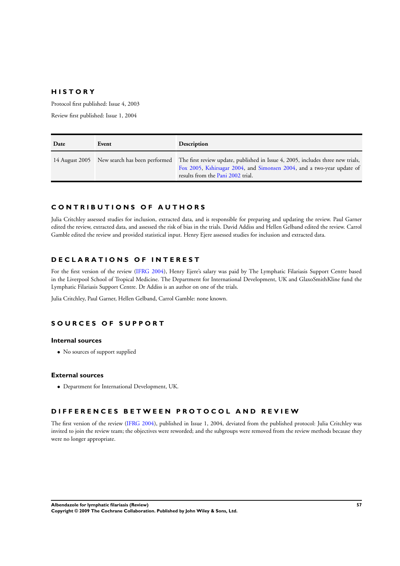## **H I S T O R Y**

Protocol first published: Issue 4, 2003

Review first published: Issue 1, 2004

| Date | Event | Description                                                                                                                                                                                                                                 |
|------|-------|---------------------------------------------------------------------------------------------------------------------------------------------------------------------------------------------------------------------------------------------|
|      |       | 14 August 2005 New search has been performed The first review update, published in Issue 4, 2005, includes three new trials,<br>Fox 2005, Kshirsagar 2004, and Simonsen 2004, and a two-year update of<br>results from the Pani 2002 trial. |

## **C O N T R I B U T I O N S O F A U T H O R S**

Julia Critchley assessed studies for inclusion, extracted data, and is responsible for preparing and updating the review. Paul Garner edited the review, extracted data, and assessed the risk of bias in the trials. David Addiss and Hellen Gelband edited the review. Carrol Gamble edited the review and provided statistical input. Henry Ejere assessed studies for inclusion and extracted data.

## **D E C L A R A T I O N S O F I N T E R E S T**

For the first version of the review [\(IFRG 2004\)](#page-15-0), Henry Ejere's salary was paid by The Lymphatic Filariasis Support Centre based in the Liverpool School of Tropical Medicine. The Department for International Development, UK and GlaxoSmithKline fund the Lymphatic Filariasis Support Centre. Dr Addiss is an author on one of the trials.

Julia Critchley, Paul Garner, Hellen Gelband, Carrol Gamble: none known.

## **S O U R C E S O F S U P P O R T**

#### **Internal sources**

• No sources of support supplied

#### **External sources**

• Department for International Development, UK.

## **DIFFERENCES BETWEEN PROTOCOL AND REVIEW**

The first version of the review [\(IFRG 2004](#page-15-0)), published in Issue 1, 2004, deviated from the published protocol: Julia Critchley was invited to join the review team; the objectives were reworded; and the subgroups were removed from the review methods because they were no longer appropriate.